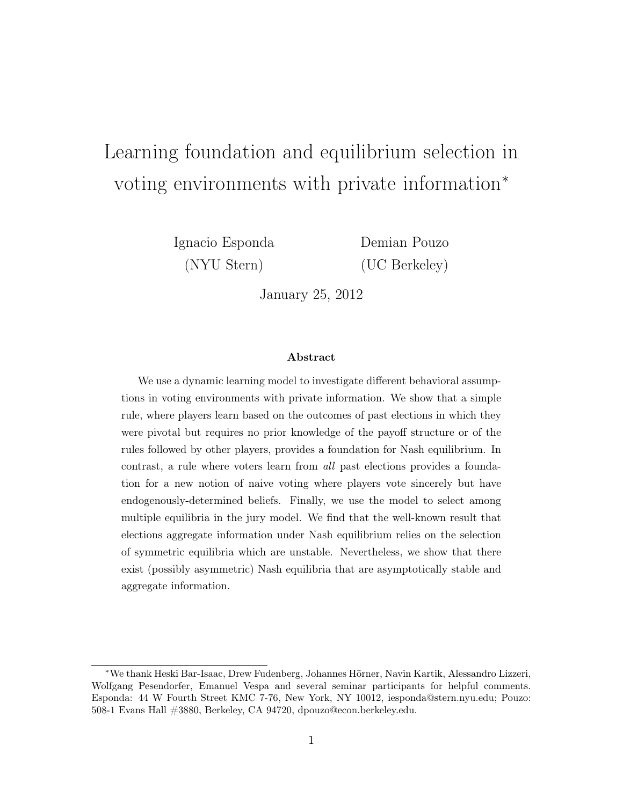# Learning foundation and equilibrium selection in voting environments with private information<sup>∗</sup>

Ignacio Esponda Demian Pouzo

(NYU Stern) (UC Berkeley)

January 25, 2012

#### Abstract

We use a dynamic learning model to investigate different behavioral assumptions in voting environments with private information. We show that a simple rule, where players learn based on the outcomes of past elections in which they were pivotal but requires no prior knowledge of the payoff structure or of the rules followed by other players, provides a foundation for Nash equilibrium. In contrast, a rule where voters learn from all past elections provides a foundation for a new notion of naive voting where players vote sincerely but have endogenously-determined beliefs. Finally, we use the model to select among multiple equilibria in the jury model. We find that the well-known result that elections aggregate information under Nash equilibrium relies on the selection of symmetric equilibria which are unstable. Nevertheless, we show that there exist (possibly asymmetric) Nash equilibria that are asymptotically stable and aggregate information.

<sup>∗</sup>We thank Heski Bar-Isaac, Drew Fudenberg, Johannes Hörner, Navin Kartik, Alessandro Lizzeri, Wolfgang Pesendorfer, Emanuel Vespa and several seminar participants for helpful comments. Esponda: 44 W Fourth Street KMC 7-76, New York, NY 10012, iesponda@stern.nyu.edu; Pouzo: 508-1 Evans Hall #3880, Berkeley, CA 94720, dpouzo@econ.berkeley.edu.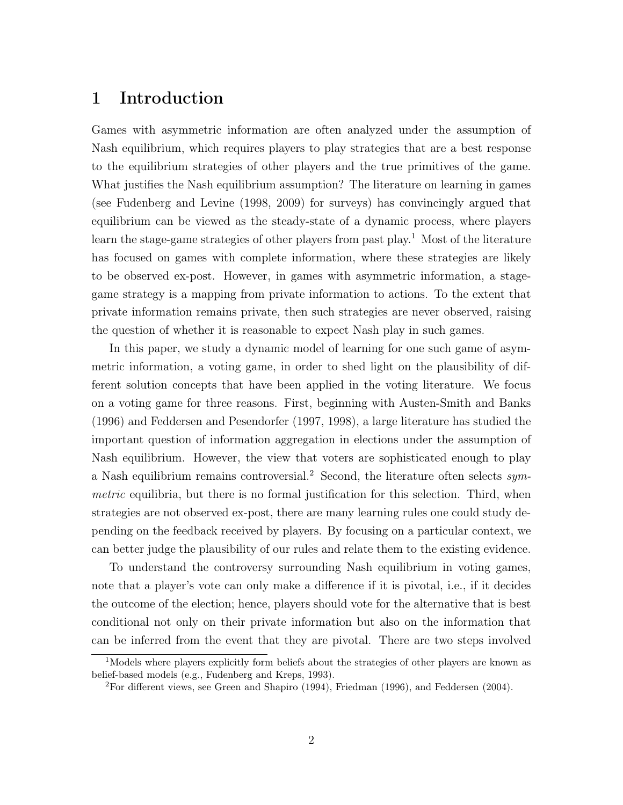# 1 Introduction

Games with asymmetric information are often analyzed under the assumption of Nash equilibrium, which requires players to play strategies that are a best response to the equilibrium strategies of other players and the true primitives of the game. What justifies the Nash equilibrium assumption? The literature on learning in games (see Fudenberg and Levine (1998, 2009) for surveys) has convincingly argued that equilibrium can be viewed as the steady-state of a dynamic process, where players learn the stage-game strategies of other players from past play.<sup>1</sup> Most of the literature has focused on games with complete information, where these strategies are likely to be observed ex-post. However, in games with asymmetric information, a stagegame strategy is a mapping from private information to actions. To the extent that private information remains private, then such strategies are never observed, raising the question of whether it is reasonable to expect Nash play in such games.

In this paper, we study a dynamic model of learning for one such game of asymmetric information, a voting game, in order to shed light on the plausibility of different solution concepts that have been applied in the voting literature. We focus on a voting game for three reasons. First, beginning with Austen-Smith and Banks (1996) and Feddersen and Pesendorfer (1997, 1998), a large literature has studied the important question of information aggregation in elections under the assumption of Nash equilibrium. However, the view that voters are sophisticated enough to play a Nash equilibrium remains controversial.<sup>2</sup> Second, the literature often selects symmetric equilibria, but there is no formal justification for this selection. Third, when strategies are not observed ex-post, there are many learning rules one could study depending on the feedback received by players. By focusing on a particular context, we can better judge the plausibility of our rules and relate them to the existing evidence.

To understand the controversy surrounding Nash equilibrium in voting games, note that a player's vote can only make a difference if it is pivotal, i.e., if it decides the outcome of the election; hence, players should vote for the alternative that is best conditional not only on their private information but also on the information that can be inferred from the event that they are pivotal. There are two steps involved

<sup>&</sup>lt;sup>1</sup>Models where players explicitly form beliefs about the strategies of other players are known as belief-based models (e.g., Fudenberg and Kreps, 1993).

<sup>2</sup>For different views, see Green and Shapiro (1994), Friedman (1996), and Feddersen (2004).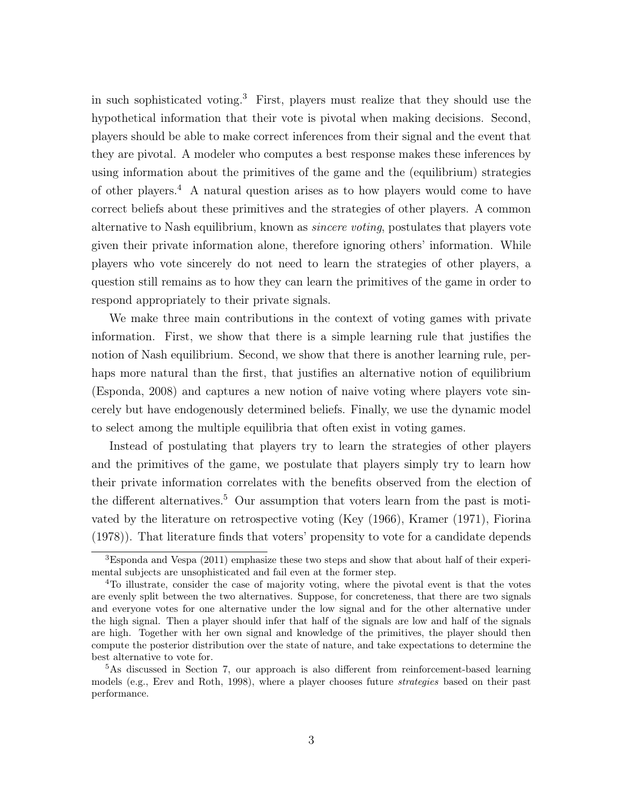in such sophisticated voting.<sup>3</sup> First, players must realize that they should use the hypothetical information that their vote is pivotal when making decisions. Second, players should be able to make correct inferences from their signal and the event that they are pivotal. A modeler who computes a best response makes these inferences by using information about the primitives of the game and the (equilibrium) strategies of other players.<sup>4</sup> A natural question arises as to how players would come to have correct beliefs about these primitives and the strategies of other players. A common alternative to Nash equilibrium, known as sincere voting, postulates that players vote given their private information alone, therefore ignoring others' information. While players who vote sincerely do not need to learn the strategies of other players, a question still remains as to how they can learn the primitives of the game in order to respond appropriately to their private signals.

We make three main contributions in the context of voting games with private information. First, we show that there is a simple learning rule that justifies the notion of Nash equilibrium. Second, we show that there is another learning rule, perhaps more natural than the first, that justifies an alternative notion of equilibrium (Esponda, 2008) and captures a new notion of naive voting where players vote sincerely but have endogenously determined beliefs. Finally, we use the dynamic model to select among the multiple equilibria that often exist in voting games.

Instead of postulating that players try to learn the strategies of other players and the primitives of the game, we postulate that players simply try to learn how their private information correlates with the benefits observed from the election of the different alternatives.<sup>5</sup> Our assumption that voters learn from the past is motivated by the literature on retrospective voting (Key (1966), Kramer (1971), Fiorina (1978)). That literature finds that voters' propensity to vote for a candidate depends

<sup>3</sup>Esponda and Vespa (2011) emphasize these two steps and show that about half of their experimental subjects are unsophisticated and fail even at the former step.

<sup>4</sup>To illustrate, consider the case of majority voting, where the pivotal event is that the votes are evenly split between the two alternatives. Suppose, for concreteness, that there are two signals and everyone votes for one alternative under the low signal and for the other alternative under the high signal. Then a player should infer that half of the signals are low and half of the signals are high. Together with her own signal and knowledge of the primitives, the player should then compute the posterior distribution over the state of nature, and take expectations to determine the best alternative to vote for.

<sup>5</sup>As discussed in Section 7, our approach is also different from reinforcement-based learning models (e.g., Erev and Roth, 1998), where a player chooses future *strategies* based on their past performance.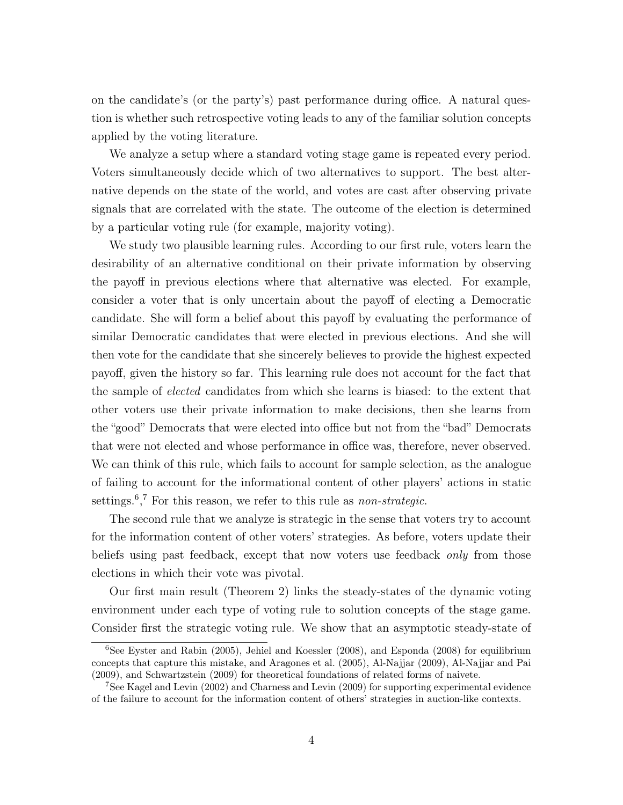on the candidate's (or the party's) past performance during office. A natural question is whether such retrospective voting leads to any of the familiar solution concepts applied by the voting literature.

We analyze a setup where a standard voting stage game is repeated every period. Voters simultaneously decide which of two alternatives to support. The best alternative depends on the state of the world, and votes are cast after observing private signals that are correlated with the state. The outcome of the election is determined by a particular voting rule (for example, majority voting).

We study two plausible learning rules. According to our first rule, voters learn the desirability of an alternative conditional on their private information by observing the payoff in previous elections where that alternative was elected. For example, consider a voter that is only uncertain about the payoff of electing a Democratic candidate. She will form a belief about this payoff by evaluating the performance of similar Democratic candidates that were elected in previous elections. And she will then vote for the candidate that she sincerely believes to provide the highest expected payoff, given the history so far. This learning rule does not account for the fact that the sample of elected candidates from which she learns is biased: to the extent that other voters use their private information to make decisions, then she learns from the "good" Democrats that were elected into office but not from the "bad" Democrats that were not elected and whose performance in office was, therefore, never observed. We can think of this rule, which fails to account for sample selection, as the analogue of failing to account for the informational content of other players' actions in static settings.<sup>6</sup>,<sup>7</sup> For this reason, we refer to this rule as *non-strategic*.

The second rule that we analyze is strategic in the sense that voters try to account for the information content of other voters' strategies. As before, voters update their beliefs using past feedback, except that now voters use feedback only from those elections in which their vote was pivotal.

Our first main result (Theorem 2) links the steady-states of the dynamic voting environment under each type of voting rule to solution concepts of the stage game. Consider first the strategic voting rule. We show that an asymptotic steady-state of

 $6$ See Eyster and Rabin (2005), Jehiel and Koessler (2008), and Esponda (2008) for equilibrium concepts that capture this mistake, and Aragones et al. (2005), Al-Najjar (2009), Al-Najjar and Pai (2009), and Schwartzstein (2009) for theoretical foundations of related forms of naivete.

 $7$ See Kagel and Levin (2002) and Charness and Levin (2009) for supporting experimental evidence of the failure to account for the information content of others' strategies in auction-like contexts.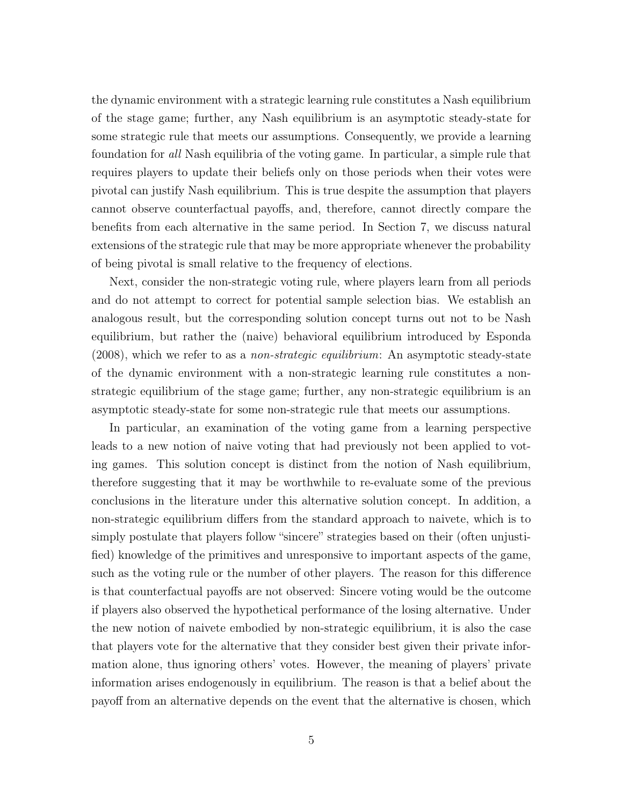the dynamic environment with a strategic learning rule constitutes a Nash equilibrium of the stage game; further, any Nash equilibrium is an asymptotic steady-state for some strategic rule that meets our assumptions. Consequently, we provide a learning foundation for all Nash equilibria of the voting game. In particular, a simple rule that requires players to update their beliefs only on those periods when their votes were pivotal can justify Nash equilibrium. This is true despite the assumption that players cannot observe counterfactual payoffs, and, therefore, cannot directly compare the benefits from each alternative in the same period. In Section 7, we discuss natural extensions of the strategic rule that may be more appropriate whenever the probability of being pivotal is small relative to the frequency of elections.

Next, consider the non-strategic voting rule, where players learn from all periods and do not attempt to correct for potential sample selection bias. We establish an analogous result, but the corresponding solution concept turns out not to be Nash equilibrium, but rather the (naive) behavioral equilibrium introduced by Esponda (2008), which we refer to as a non-strategic equilibrium: An asymptotic steady-state of the dynamic environment with a non-strategic learning rule constitutes a nonstrategic equilibrium of the stage game; further, any non-strategic equilibrium is an asymptotic steady-state for some non-strategic rule that meets our assumptions.

In particular, an examination of the voting game from a learning perspective leads to a new notion of naive voting that had previously not been applied to voting games. This solution concept is distinct from the notion of Nash equilibrium, therefore suggesting that it may be worthwhile to re-evaluate some of the previous conclusions in the literature under this alternative solution concept. In addition, a non-strategic equilibrium differs from the standard approach to naivete, which is to simply postulate that players follow "sincere" strategies based on their (often unjustified) knowledge of the primitives and unresponsive to important aspects of the game, such as the voting rule or the number of other players. The reason for this difference is that counterfactual payoffs are not observed: Sincere voting would be the outcome if players also observed the hypothetical performance of the losing alternative. Under the new notion of naivete embodied by non-strategic equilibrium, it is also the case that players vote for the alternative that they consider best given their private information alone, thus ignoring others' votes. However, the meaning of players' private information arises endogenously in equilibrium. The reason is that a belief about the payoff from an alternative depends on the event that the alternative is chosen, which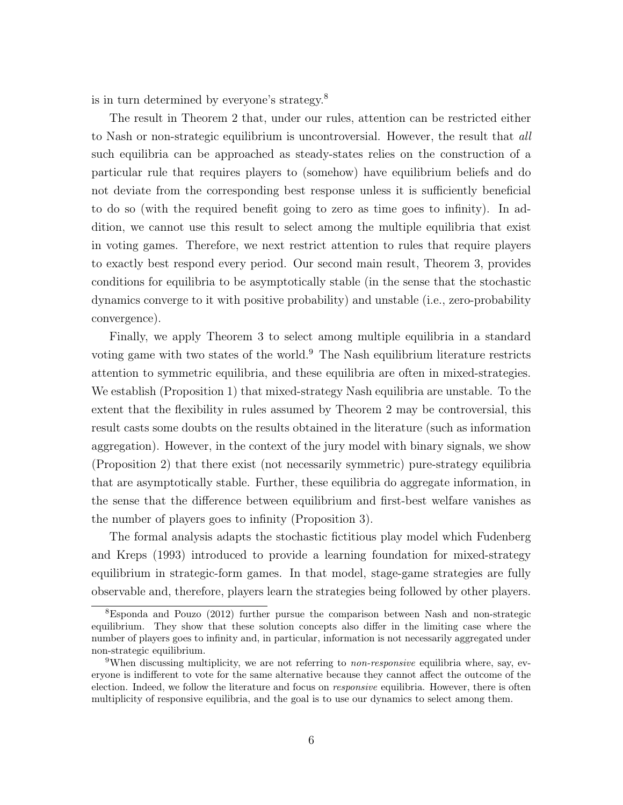is in turn determined by everyone's strategy.<sup>8</sup>

The result in Theorem 2 that, under our rules, attention can be restricted either to Nash or non-strategic equilibrium is uncontroversial. However, the result that all such equilibria can be approached as steady-states relies on the construction of a particular rule that requires players to (somehow) have equilibrium beliefs and do not deviate from the corresponding best response unless it is sufficiently beneficial to do so (with the required benefit going to zero as time goes to infinity). In addition, we cannot use this result to select among the multiple equilibria that exist in voting games. Therefore, we next restrict attention to rules that require players to exactly best respond every period. Our second main result, Theorem 3, provides conditions for equilibria to be asymptotically stable (in the sense that the stochastic dynamics converge to it with positive probability) and unstable (i.e., zero-probability convergence).

Finally, we apply Theorem 3 to select among multiple equilibria in a standard voting game with two states of the world.<sup>9</sup> The Nash equilibrium literature restricts attention to symmetric equilibria, and these equilibria are often in mixed-strategies. We establish (Proposition 1) that mixed-strategy Nash equilibria are unstable. To the extent that the flexibility in rules assumed by Theorem 2 may be controversial, this result casts some doubts on the results obtained in the literature (such as information aggregation). However, in the context of the jury model with binary signals, we show (Proposition 2) that there exist (not necessarily symmetric) pure-strategy equilibria that are asymptotically stable. Further, these equilibria do aggregate information, in the sense that the difference between equilibrium and first-best welfare vanishes as the number of players goes to infinity (Proposition 3).

The formal analysis adapts the stochastic fictitious play model which Fudenberg and Kreps (1993) introduced to provide a learning foundation for mixed-strategy equilibrium in strategic-form games. In that model, stage-game strategies are fully observable and, therefore, players learn the strategies being followed by other players.

<sup>8</sup>Esponda and Pouzo (2012) further pursue the comparison between Nash and non-strategic equilibrium. They show that these solution concepts also differ in the limiting case where the number of players goes to infinity and, in particular, information is not necessarily aggregated under non-strategic equilibrium.

<sup>&</sup>lt;sup>9</sup>When discussing multiplicity, we are not referring to *non-responsive* equilibria where, say, everyone is indifferent to vote for the same alternative because they cannot affect the outcome of the election. Indeed, we follow the literature and focus on *responsive* equilibria. However, there is often multiplicity of responsive equilibria, and the goal is to use our dynamics to select among them.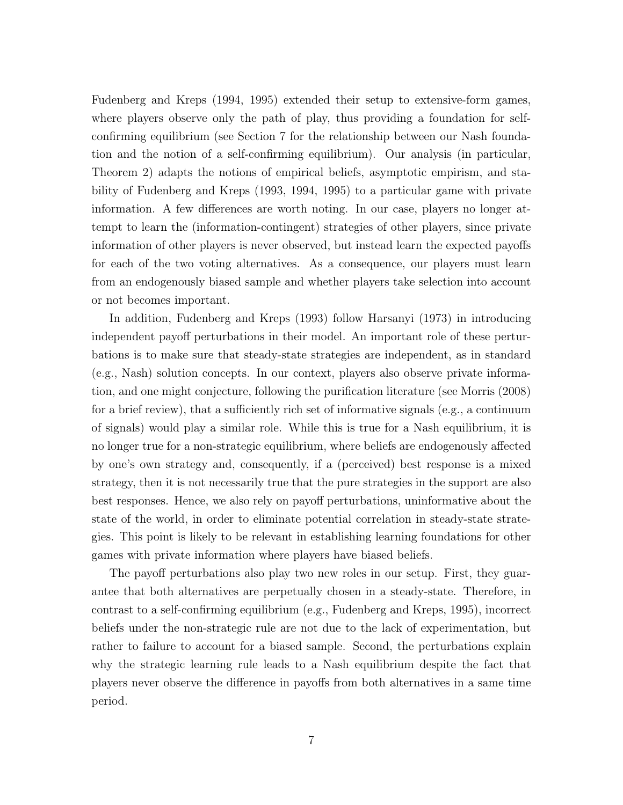Fudenberg and Kreps (1994, 1995) extended their setup to extensive-form games, where players observe only the path of play, thus providing a foundation for selfconfirming equilibrium (see Section 7 for the relationship between our Nash foundation and the notion of a self-confirming equilibrium). Our analysis (in particular, Theorem 2) adapts the notions of empirical beliefs, asymptotic empirism, and stability of Fudenberg and Kreps (1993, 1994, 1995) to a particular game with private information. A few differences are worth noting. In our case, players no longer attempt to learn the (information-contingent) strategies of other players, since private information of other players is never observed, but instead learn the expected payoffs for each of the two voting alternatives. As a consequence, our players must learn from an endogenously biased sample and whether players take selection into account or not becomes important.

In addition, Fudenberg and Kreps (1993) follow Harsanyi (1973) in introducing independent payoff perturbations in their model. An important role of these perturbations is to make sure that steady-state strategies are independent, as in standard (e.g., Nash) solution concepts. In our context, players also observe private information, and one might conjecture, following the purification literature (see Morris (2008) for a brief review), that a sufficiently rich set of informative signals (e.g., a continuum of signals) would play a similar role. While this is true for a Nash equilibrium, it is no longer true for a non-strategic equilibrium, where beliefs are endogenously affected by one's own strategy and, consequently, if a (perceived) best response is a mixed strategy, then it is not necessarily true that the pure strategies in the support are also best responses. Hence, we also rely on payoff perturbations, uninformative about the state of the world, in order to eliminate potential correlation in steady-state strategies. This point is likely to be relevant in establishing learning foundations for other games with private information where players have biased beliefs.

The payoff perturbations also play two new roles in our setup. First, they guarantee that both alternatives are perpetually chosen in a steady-state. Therefore, in contrast to a self-confirming equilibrium (e.g., Fudenberg and Kreps, 1995), incorrect beliefs under the non-strategic rule are not due to the lack of experimentation, but rather to failure to account for a biased sample. Second, the perturbations explain why the strategic learning rule leads to a Nash equilibrium despite the fact that players never observe the difference in payoffs from both alternatives in a same time period.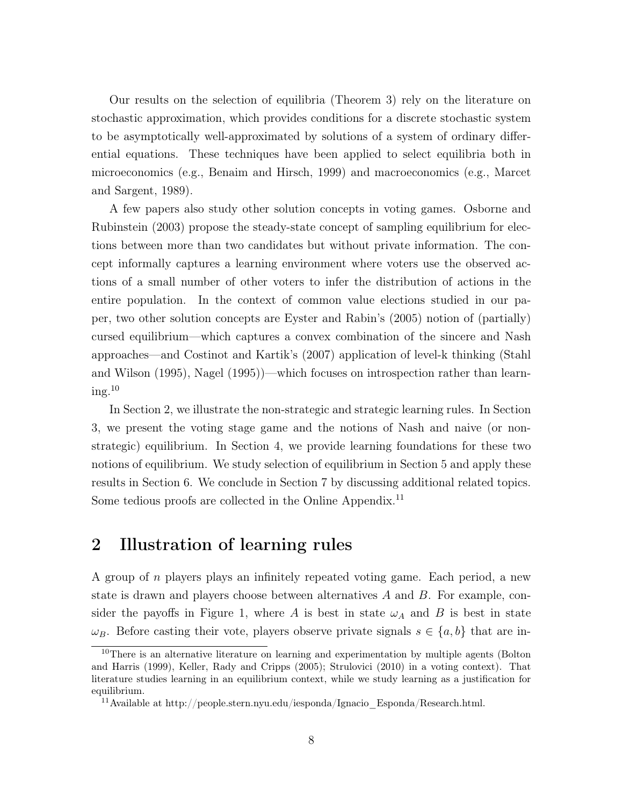Our results on the selection of equilibria (Theorem 3) rely on the literature on stochastic approximation, which provides conditions for a discrete stochastic system to be asymptotically well-approximated by solutions of a system of ordinary differential equations. These techniques have been applied to select equilibria both in microeconomics (e.g., Benaim and Hirsch, 1999) and macroeconomics (e.g., Marcet and Sargent, 1989).

A few papers also study other solution concepts in voting games. Osborne and Rubinstein (2003) propose the steady-state concept of sampling equilibrium for elections between more than two candidates but without private information. The concept informally captures a learning environment where voters use the observed actions of a small number of other voters to infer the distribution of actions in the entire population. In the context of common value elections studied in our paper, two other solution concepts are Eyster and Rabin's (2005) notion of (partially) cursed equilibrium—which captures a convex combination of the sincere and Nash approaches—and Costinot and Kartik's (2007) application of level-k thinking (Stahl and Wilson (1995), Nagel (1995))—which focuses on introspection rather than learn $ing.<sup>10</sup>$ 

In Section 2, we illustrate the non-strategic and strategic learning rules. In Section 3, we present the voting stage game and the notions of Nash and naive (or nonstrategic) equilibrium. In Section 4, we provide learning foundations for these two notions of equilibrium. We study selection of equilibrium in Section 5 and apply these results in Section 6. We conclude in Section 7 by discussing additional related topics. Some tedious proofs are collected in the Online Appendix.<sup>11</sup>

### 2 Illustration of learning rules

A group of n players plays an infinitely repeated voting game. Each period, a new state is drawn and players choose between alternatives  $A$  and  $B$ . For example, consider the payoffs in Figure 1, where A is best in state  $\omega_A$  and B is best in state  $\omega_B$ . Before casting their vote, players observe private signals  $s \in \{a, b\}$  that are in-

<sup>&</sup>lt;sup>10</sup>There is an alternative literature on learning and experimentation by multiple agents (Bolton and Harris (1999), Keller, Rady and Cripps (2005); Strulovici (2010) in a voting context). That literature studies learning in an equilibrium context, while we study learning as a justification for equilibrium.

 $^{11}\rm{Available}$  at http://people.stern.nyu.edu/iesponda/Ignacio\_Esponda/Research.html.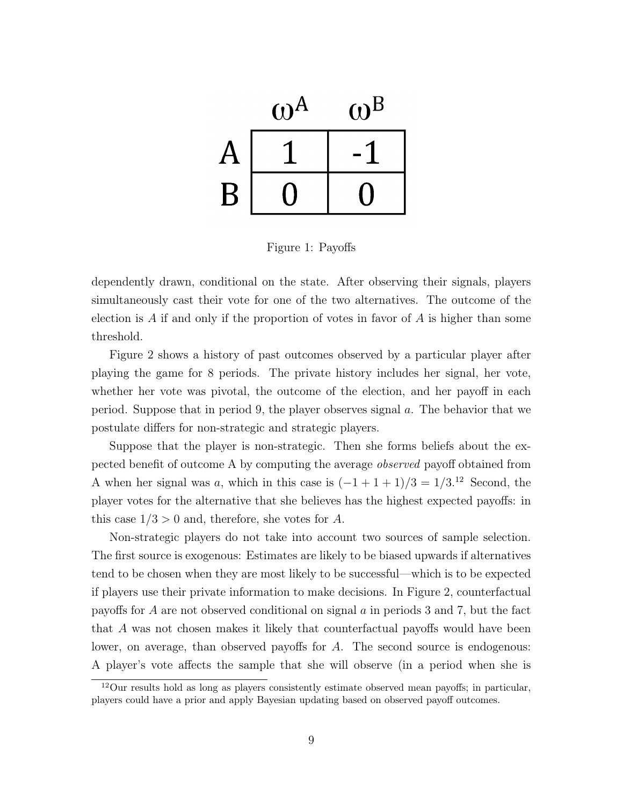

Figure 1: Payoffs

dependently drawn, conditional on the state. After observing their signals, players simultaneously cast their vote for one of the two alternatives. The outcome of the election is A if and only if the proportion of votes in favor of A is higher than some threshold.

Figure 2 shows a history of past outcomes observed by a particular player after playing the game for 8 periods. The private history includes her signal, her vote, whether her vote was pivotal, the outcome of the election, and her payoff in each period. Suppose that in period 9, the player observes signal a. The behavior that we postulate differs for non-strategic and strategic players.

Suppose that the player is non-strategic. Then she forms beliefs about the expected benefit of outcome A by computing the average observed payoff obtained from A when her signal was a, which in this case is  $(-1+1+1)/3 = 1/3$ .<sup>12</sup> Second, the player votes for the alternative that she believes has the highest expected payoffs: in this case  $1/3 > 0$  and, therefore, she votes for A.

Non-strategic players do not take into account two sources of sample selection. The first source is exogenous: Estimates are likely to be biased upwards if alternatives tend to be chosen when they are most likely to be successful—which is to be expected if players use their private information to make decisions. In Figure 2, counterfactual payoffs for A are not observed conditional on signal a in periods 3 and 7, but the fact that A was not chosen makes it likely that counterfactual payoffs would have been lower, on average, than observed payoffs for A. The second source is endogenous: A player's vote affects the sample that she will observe (in a period when she is

<sup>12</sup>Our results hold as long as players consistently estimate observed mean payoffs; in particular, players could have a prior and apply Bayesian updating based on observed payoff outcomes.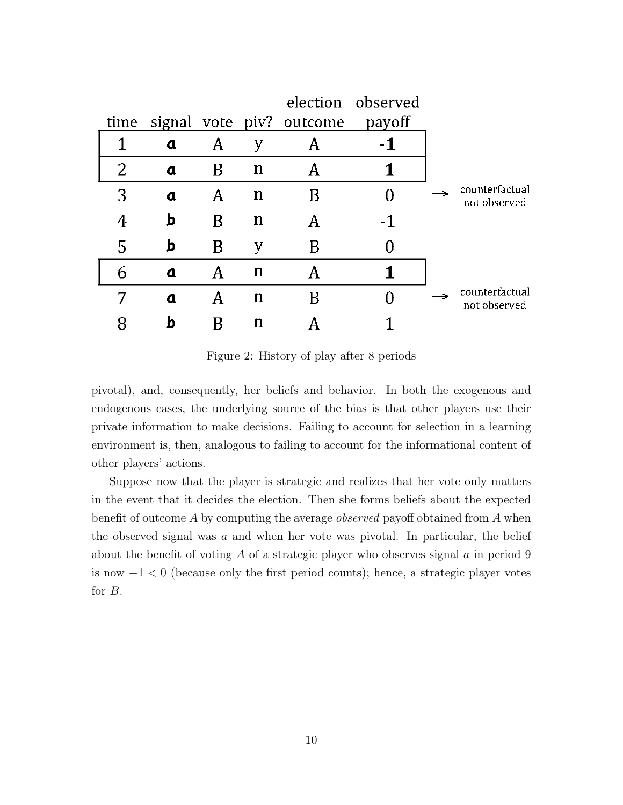|   |                  |   |             |                               | election observed |                                |
|---|------------------|---|-------------|-------------------------------|-------------------|--------------------------------|
|   |                  |   |             | time signal vote piv? outcome | payoff            |                                |
|   | $\mathbf a$      | A | у           |                               | $-1$              |                                |
| 2 | a                | Β | n           |                               |                   |                                |
| 3 | $\mathbf a$      | A | n           |                               |                   | counterfactual<br>not observed |
|   | b                | Β | n           |                               | $-1$              |                                |
| 5 | b                | B | У           | B                             |                   |                                |
| 6 | $\boldsymbol{a}$ | Α | $\mathbf n$ |                               |                   |                                |
|   | $\mathbf a$      | Α | n           |                               |                   | counterfactual<br>not observed |
|   | h                |   | n           |                               |                   |                                |

Figure 2: History of play after 8 periods

pivotal), and, consequently, her beliefs and behavior. In both the exogenous and endogenous cases, the underlying source of the bias is that other players use their private information to make decisions. Failing to account for selection in a learning environment is, then, analogous to failing to account for the informational content of other players' actions.

Suppose now that the player is strategic and realizes that her vote only matters in the event that it decides the election. Then she forms beliefs about the expected benefit of outcome A by computing the average *observed* payoff obtained from A when the observed signal was  $a$  and when her vote was pivotal. In particular, the belief about the benefit of voting  $A$  of a strategic player who observes signal  $a$  in period 9 is now  $-1 < 0$  (because only the first period counts); hence, a strategic player votes for B.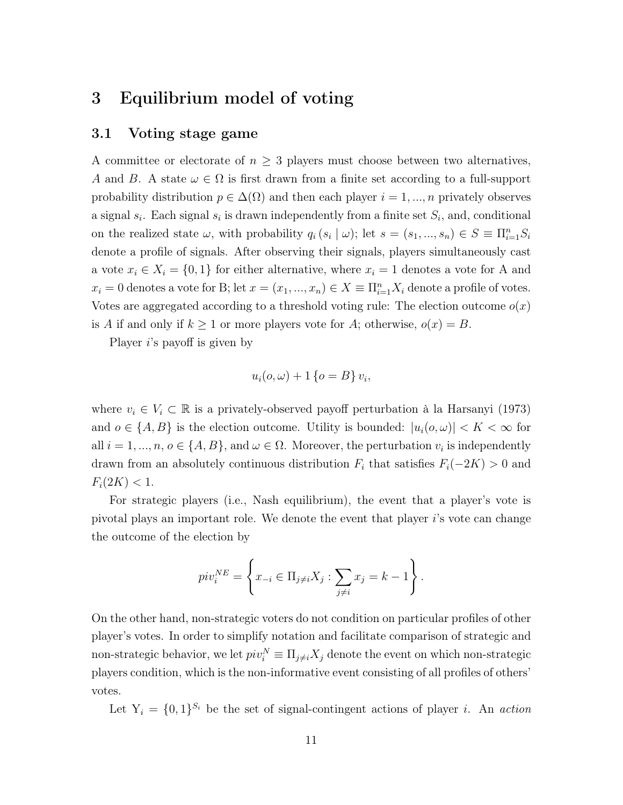### 3 Equilibrium model of voting

#### 3.1 Voting stage game

A committee or electorate of  $n \geq 3$  players must choose between two alternatives, A and B. A state  $\omega \in \Omega$  is first drawn from a finite set according to a full-support probability distribution  $p \in \Delta(\Omega)$  and then each player  $i = 1, ..., n$  privately observes a signal  $s_i$ . Each signal  $s_i$  is drawn independently from a finite set  $S_i$ , and, conditional on the realized state  $\omega$ , with probability  $q_i(s_i | \omega)$ ; let  $s = (s_1, ..., s_n) \in S \equiv \prod_{i=1}^n S_i$ denote a profile of signals. After observing their signals, players simultaneously cast a vote  $x_i \in X_i = \{0,1\}$  for either alternative, where  $x_i = 1$  denotes a vote for A and  $x_i = 0$  denotes a vote for B; let  $x = (x_1, ..., x_n) \in X \equiv \prod_{i=1}^n X_i$  denote a profile of votes. Votes are aggregated according to a threshold voting rule: The election outcome  $o(x)$ is A if and only if  $k \ge 1$  or more players vote for A; otherwise,  $o(x) = B$ .

Player i's payoff is given by

$$
u_i(o, \omega) + 1 \{ o = B \} v_i,
$$

where  $v_i \in V_i \subset \mathbb{R}$  is a privately-observed payoff perturbation à la Harsanyi (1973) and  $o \in \{A, B\}$  is the election outcome. Utility is bounded:  $|u_i(o, \omega)| < K < \infty$  for all  $i = 1, ..., n, o \in \{A, B\}$ , and  $\omega \in \Omega$ . Moreover, the perturbation  $v_i$  is independently drawn from an absolutely continuous distribution  $F_i$  that satisfies  $F_i(-2K) > 0$  and  $F_i(2K) < 1.$ 

For strategic players (i.e., Nash equilibrium), the event that a player's vote is pivotal plays an important role. We denote the event that player  $i$ 's vote can change the outcome of the election by

$$
pi v_i^{NE} = \left\{ x_{-i} \in \Pi_{j \neq i} X_j : \sum_{j \neq i} x_j = k - 1 \right\}.
$$

On the other hand, non-strategic voters do not condition on particular profiles of other player's votes. In order to simplify notation and facilitate comparison of strategic and non-strategic behavior, we let  $piv_i^N \equiv \prod_{j\neq i} X_j$  denote the event on which non-strategic players condition, which is the non-informative event consisting of all profiles of others' votes.

Let  $Y_i = \{0,1\}^{S_i}$  be the set of signal-contingent actions of player *i*. An action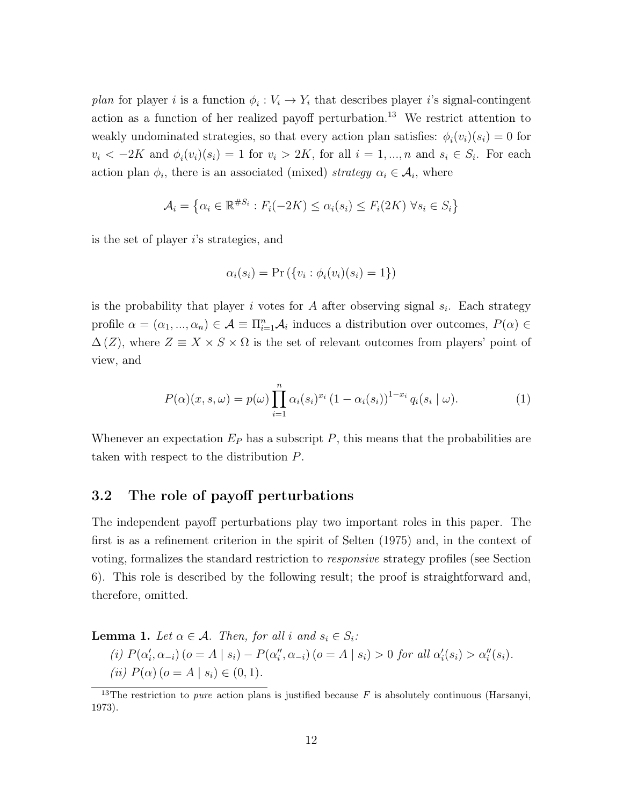plan for player i is a function  $\phi_i: V_i \to Y_i$  that describes player i's signal-contingent action as a function of her realized payoff perturbation.<sup>13</sup> We restrict attention to weakly undominated strategies, so that every action plan satisfies:  $\phi_i(v_i)(s_i) = 0$  for  $v_i < -2K$  and  $\phi_i(v_i)(s_i) = 1$  for  $v_i > 2K$ , for all  $i = 1, ..., n$  and  $s_i \in S_i$ . For each action plan  $\phi_i$ , there is an associated (mixed) strategy  $\alpha_i \in \mathcal{A}_i$ , where

$$
\mathcal{A}_i = \left\{ \alpha_i \in \mathbb{R}^{\#S_i} : F_i(-2K) \le \alpha_i(s_i) \le F_i(2K) \ \forall s_i \in S_i \right\}
$$

is the set of player i's strategies, and

$$
\alpha_i(s_i) = \Pr\left(\{v_i : \phi_i(v_i)(s_i) = 1\}\right)
$$

is the probability that player i votes for A after observing signal  $s_i$ . Each strategy profile  $\alpha = (\alpha_1, ..., \alpha_n) \in \mathcal{A} \equiv \prod_{i=1}^n \mathcal{A}_i$  induces a distribution over outcomes,  $P(\alpha) \in$  $\Delta(Z)$ , where  $Z \equiv X \times S \times \Omega$  is the set of relevant outcomes from players' point of view, and

$$
P(\alpha)(x,s,\omega) = p(\omega) \prod_{i=1}^{n} \alpha_i (s_i)^{x_i} (1 - \alpha_i (s_i))^{1 - x_i} q_i (s_i \mid \omega).
$$
 (1)

Whenever an expectation  $E_P$  has a subscript  $P$ , this means that the probabilities are taken with respect to the distribution P.

#### 3.2 The role of payoff perturbations

The independent payoff perturbations play two important roles in this paper. The first is as a refinement criterion in the spirit of Selten (1975) and, in the context of voting, formalizes the standard restriction to responsive strategy profiles (see Section 6). This role is described by the following result; the proof is straightforward and, therefore, omitted.

**Lemma 1.** Let  $\alpha \in \mathcal{A}$ . Then, for all i and  $s_i \in S_i$ :

(i) 
$$
P(\alpha'_i, \alpha_{-i})
$$
 ( $o = A | s_i$ ) –  $P(\alpha''_i, \alpha_{-i})$  ( $o = A | s_i$ ) > 0 for all  $\alpha'_i(s_i) > \alpha''_i(s_i)$ .  
(ii)  $P(\alpha)$  ( $o = A | s_i$ )  $\in (0, 1)$ .

<sup>&</sup>lt;sup>13</sup>The restriction to *pure* action plans is justified because  $F$  is absolutely continuous (Harsanyi, 1973).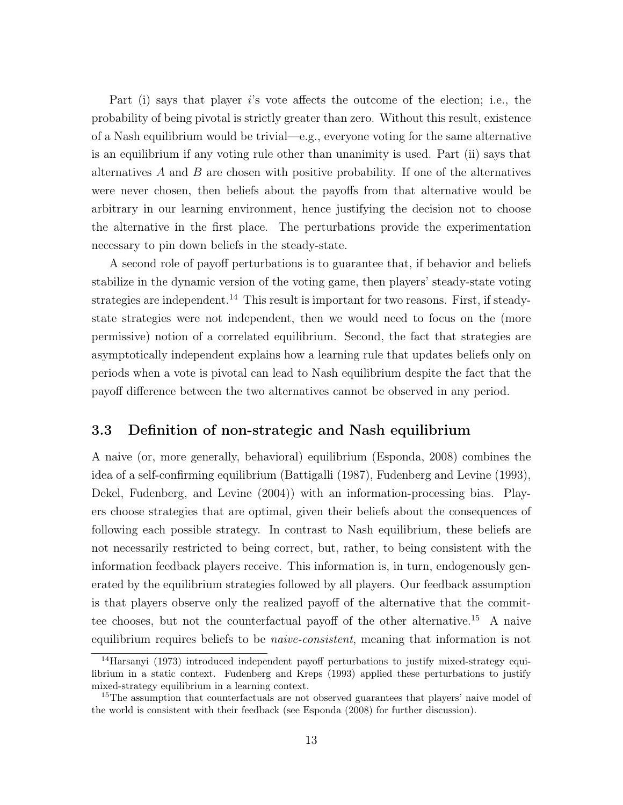Part (i) says that player i's vote affects the outcome of the election; i.e., the probability of being pivotal is strictly greater than zero. Without this result, existence of a Nash equilibrium would be trivial—e.g., everyone voting for the same alternative is an equilibrium if any voting rule other than unanimity is used. Part (ii) says that alternatives  $A$  and  $B$  are chosen with positive probability. If one of the alternatives were never chosen, then beliefs about the payoffs from that alternative would be arbitrary in our learning environment, hence justifying the decision not to choose the alternative in the first place. The perturbations provide the experimentation necessary to pin down beliefs in the steady-state.

A second role of payoff perturbations is to guarantee that, if behavior and beliefs stabilize in the dynamic version of the voting game, then players' steady-state voting strategies are independent.<sup>14</sup> This result is important for two reasons. First, if steadystate strategies were not independent, then we would need to focus on the (more permissive) notion of a correlated equilibrium. Second, the fact that strategies are asymptotically independent explains how a learning rule that updates beliefs only on periods when a vote is pivotal can lead to Nash equilibrium despite the fact that the payoff difference between the two alternatives cannot be observed in any period.

#### 3.3 Definition of non-strategic and Nash equilibrium

A naive (or, more generally, behavioral) equilibrium (Esponda, 2008) combines the idea of a self-confirming equilibrium (Battigalli (1987), Fudenberg and Levine (1993), Dekel, Fudenberg, and Levine (2004)) with an information-processing bias. Players choose strategies that are optimal, given their beliefs about the consequences of following each possible strategy. In contrast to Nash equilibrium, these beliefs are not necessarily restricted to being correct, but, rather, to being consistent with the information feedback players receive. This information is, in turn, endogenously generated by the equilibrium strategies followed by all players. Our feedback assumption is that players observe only the realized payoff of the alternative that the committee chooses, but not the counterfactual payoff of the other alternative.<sup>15</sup> A naive equilibrium requires beliefs to be *naive-consistent*, meaning that information is not

<sup>14</sup>Harsanyi (1973) introduced independent payoff perturbations to justify mixed-strategy equilibrium in a static context. Fudenberg and Kreps (1993) applied these perturbations to justify mixed-strategy equilibrium in a learning context.

<sup>&</sup>lt;sup>15</sup>The assumption that counterfactuals are not observed guarantees that players' naive model of the world is consistent with their feedback (see Esponda (2008) for further discussion).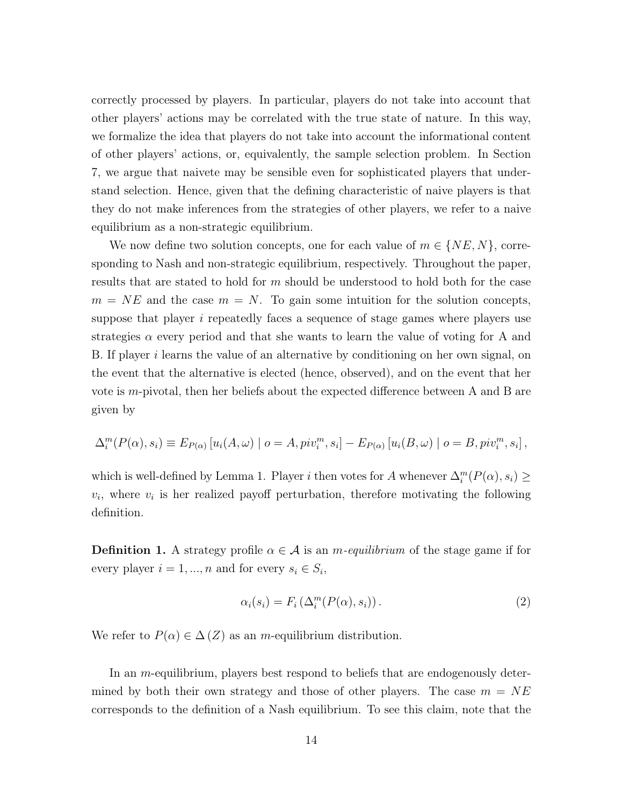correctly processed by players. In particular, players do not take into account that other players' actions may be correlated with the true state of nature. In this way, we formalize the idea that players do not take into account the informational content of other players' actions, or, equivalently, the sample selection problem. In Section 7, we argue that naivete may be sensible even for sophisticated players that understand selection. Hence, given that the defining characteristic of naive players is that they do not make inferences from the strategies of other players, we refer to a naive equilibrium as a non-strategic equilibrium.

We now define two solution concepts, one for each value of  $m \in \{NE, N\}$ , corresponding to Nash and non-strategic equilibrium, respectively. Throughout the paper, results that are stated to hold for m should be understood to hold both for the case  $m = NE$  and the case  $m = N$ . To gain some intuition for the solution concepts, suppose that player  $i$  repeatedly faces a sequence of stage games where players use strategies  $\alpha$  every period and that she wants to learn the value of voting for A and B. If player *i* learns the value of an alternative by conditioning on her own signal, on the event that the alternative is elected (hence, observed), and on the event that her vote is m-pivotal, then her beliefs about the expected difference between A and B are given by

$$
\Delta_i^m(P(\alpha), s_i) \equiv E_{P(\alpha)}\left[u_i(A, \omega) \mid o = A, piv_i^m, s_i\right] - E_{P(\alpha)}\left[u_i(B, \omega) \mid o = B, piv_i^m, s_i\right],
$$

which is well-defined by Lemma 1. Player i then votes for A whenever  $\Delta_i^m(P(\alpha), s_i) \geq$  $v_i$ , where  $v_i$  is her realized payoff perturbation, therefore motivating the following definition.

**Definition 1.** A strategy profile  $\alpha \in \mathcal{A}$  is an *m*-equilibrium of the stage game if for every player  $i = 1, ..., n$  and for every  $s_i \in S_i$ ,

$$
\alpha_i(s_i) = F_i\left(\Delta_i^m(P(\alpha), s_i)\right). \tag{2}
$$

We refer to  $P(\alpha) \in \Delta(Z)$  as an *m*-equilibrium distribution.

In an *m*-equilibrium, players best respond to beliefs that are endogenously determined by both their own strategy and those of other players. The case  $m = NE$ corresponds to the definition of a Nash equilibrium. To see this claim, note that the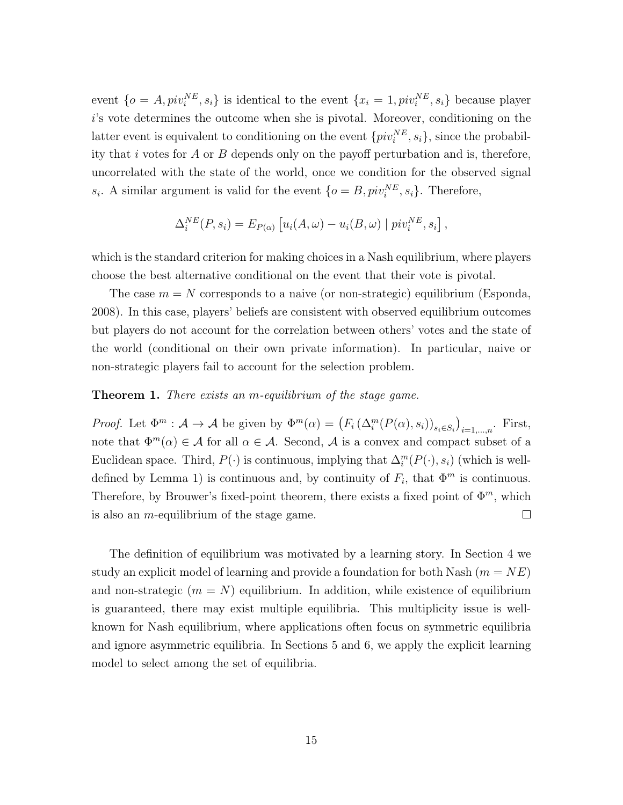event  $\{o = A, piv_i^{NE}, s_i\}$  is identical to the event  $\{x_i = 1, piv_i^{NE}, s_i\}$  because player i's vote determines the outcome when she is pivotal. Moreover, conditioning on the latter event is equivalent to conditioning on the event  $\{pi^{NE}, s_i\}$ , since the probability that i votes for  $A$  or  $B$  depends only on the payoff perturbation and is, therefore, uncorrelated with the state of the world, once we condition for the observed signal  $s_i$ . A similar argument is valid for the event  $\{o = B, piv_i^{NE}, s_i\}$ . Therefore,

$$
\Delta_i^{NE}(P, s_i) = E_{P(\alpha)} \left[ u_i(A, \omega) - u_i(B, \omega) \mid piv_i^{NE}, s_i \right],
$$

which is the standard criterion for making choices in a Nash equilibrium, where players choose the best alternative conditional on the event that their vote is pivotal.

The case  $m = N$  corresponds to a naive (or non-strategic) equilibrium (Esponda, 2008). In this case, players' beliefs are consistent with observed equilibrium outcomes but players do not account for the correlation between others' votes and the state of the world (conditional on their own private information). In particular, naive or non-strategic players fail to account for the selection problem.

#### **Theorem 1.** There exists an m-equilibrium of the stage game.

Proof. Let  $\Phi^m : A \to A$  be given by  $\Phi^m(\alpha) = (F_i(\Delta_i^m(P(\alpha), s_i))_{s_i \in S_i})_{i=1,\dots,n}$ . First, note that  $\Phi^m(\alpha) \in \mathcal{A}$  for all  $\alpha \in \mathcal{A}$ . Second,  $\mathcal{A}$  is a convex and compact subset of a Euclidean space. Third,  $P(\cdot)$  is continuous, implying that  $\Delta_i^m(P(\cdot), s_i)$  (which is welldefined by Lemma 1) is continuous and, by continuity of  $F_i$ , that  $\Phi^m$  is continuous. Therefore, by Brouwer's fixed-point theorem, there exists a fixed point of  $\Phi^m$ , which  $\Box$ is also an m-equilibrium of the stage game.

The definition of equilibrium was motivated by a learning story. In Section 4 we study an explicit model of learning and provide a foundation for both Nash  $(m = NE)$ and non-strategic  $(m = N)$  equilibrium. In addition, while existence of equilibrium is guaranteed, there may exist multiple equilibria. This multiplicity issue is wellknown for Nash equilibrium, where applications often focus on symmetric equilibria and ignore asymmetric equilibria. In Sections 5 and 6, we apply the explicit learning model to select among the set of equilibria.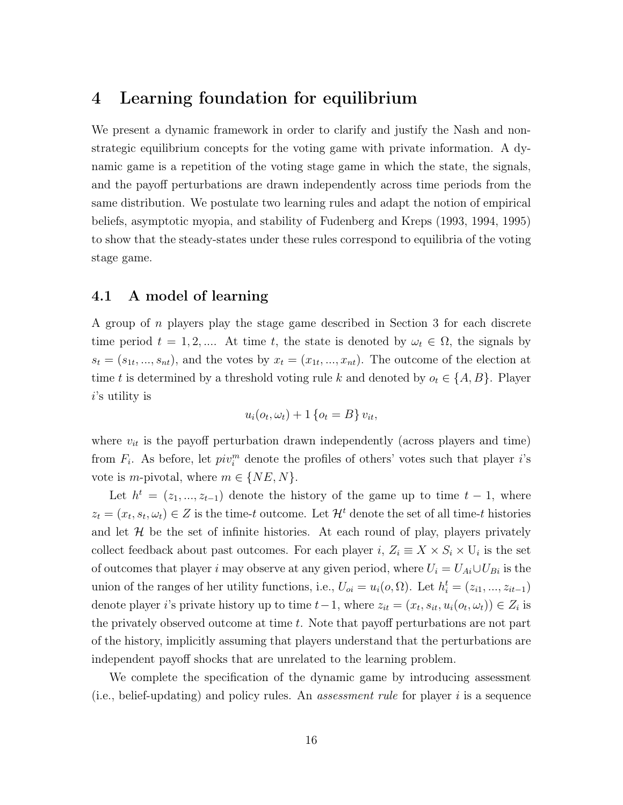### 4 Learning foundation for equilibrium

We present a dynamic framework in order to clarify and justify the Nash and nonstrategic equilibrium concepts for the voting game with private information. A dynamic game is a repetition of the voting stage game in which the state, the signals, and the payoff perturbations are drawn independently across time periods from the same distribution. We postulate two learning rules and adapt the notion of empirical beliefs, asymptotic myopia, and stability of Fudenberg and Kreps (1993, 1994, 1995) to show that the steady-states under these rules correspond to equilibria of the voting stage game.

#### 4.1 A model of learning

A group of n players play the stage game described in Section 3 for each discrete time period  $t = 1, 2, ...$  At time t, the state is denoted by  $\omega_t \in \Omega$ , the signals by  $s_t = (s_{1t},...,s_{nt})$ , and the votes by  $x_t = (x_{1t},...,x_{nt})$ . The outcome of the election at time t is determined by a threshold voting rule k and denoted by  $o_t \in \{A, B\}$ . Player  $i$ 's utility is

$$
u_i(o_t, \omega_t) + 1 \{o_t = B\} v_{it},
$$

where  $v_{it}$  is the payoff perturbation drawn independently (across players and time) from  $F_i$ . As before, let  $pi_i^m$  denote the profiles of others' votes such that player *i*'s vote is *m*-pivotal, where  $m \in \{NE, N\}.$ 

Let  $h^t = (z_1, ..., z_{t-1})$  denote the history of the game up to time  $t-1$ , where  $z_t = (x_t, s_t, \omega_t) \in Z$  is the time-t outcome. Let  $\mathcal{H}^t$  denote the set of all time-t histories and let  $H$  be the set of infinite histories. At each round of play, players privately collect feedback about past outcomes. For each player  $i, Z_i \equiv X \times S_i \times U_i$  is the set of outcomes that player i may observe at any given period, where  $U_i = U_{Ai} \cup U_{Bi}$  is the union of the ranges of her utility functions, i.e.,  $U_{oi} = u_i(o, \Omega)$ . Let  $h_i^t = (z_{i1}, ..., z_{it-1})$ denote player *i*'s private history up to time  $t-1$ , where  $z_{it} = (x_t, s_{it}, u_i(o_t, \omega_t)) \in Z_i$  is the privately observed outcome at time  $t$ . Note that payoff perturbations are not part of the history, implicitly assuming that players understand that the perturbations are independent payoff shocks that are unrelated to the learning problem.

We complete the specification of the dynamic game by introducing assessment (i.e., belief-updating) and policy rules. An assessment rule for player i is a sequence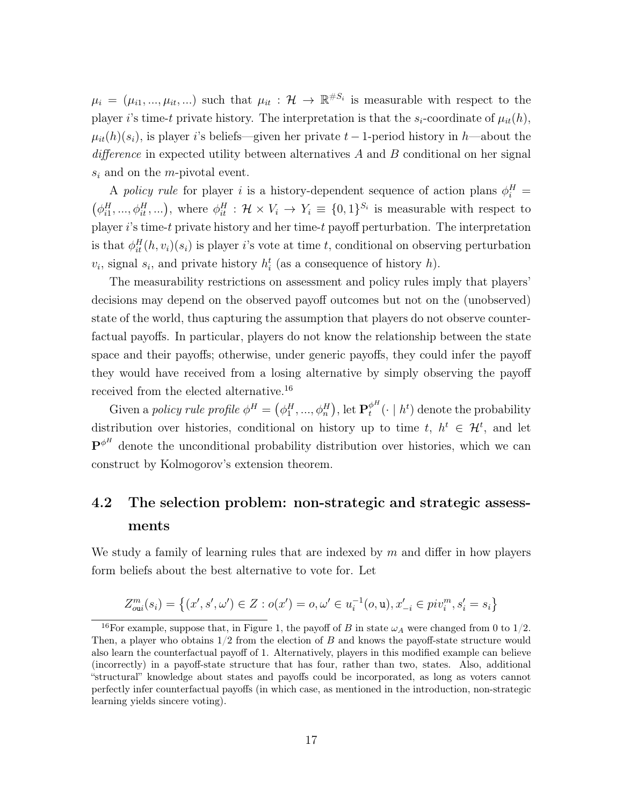$\mu_i = (\mu_{i1}, ..., \mu_{it}, ...)$  such that  $\mu_{it} : \mathcal{H} \to \mathbb{R}^{\#S_i}$  is measurable with respect to the player i's time-t private history. The interpretation is that the  $s_i$ -coordinate of  $\mu_{it}(h)$ ,  $\mu_{it}(h)(s_i)$ , is player i's beliefs—given her private  $t-1$ -period history in h—about the difference in expected utility between alternatives A and B conditional on her signal  $s_i$  and on the *m*-pivotal event.

A policy rule for player i is a history-dependent sequence of action plans  $\phi_i^H$  =  $(\phi_{i1}^H, ..., \phi_{it}^H, ...)$ , where  $\phi_{it}^H : \mathcal{H} \times V_i \to Y_i \equiv \{0,1\}^{S_i}$  is measurable with respect to player  $i$ 's time-t private history and her time-t payoff perturbation. The interpretation is that  $\phi_{it}^H(h, v_i)(s_i)$  is player i's vote at time t, conditional on observing perturbation  $v_i$ , signal  $s_i$ , and private history  $h_i^t$  (as a consequence of history  $h$ ).

The measurability restrictions on assessment and policy rules imply that players' decisions may depend on the observed payoff outcomes but not on the (unobserved) state of the world, thus capturing the assumption that players do not observe counterfactual payoffs. In particular, players do not know the relationship between the state space and their payoffs; otherwise, under generic payoffs, they could infer the payoff they would have received from a losing alternative by simply observing the payoff received from the elected alternative.<sup>16</sup>

Given a policy rule profile  $\phi^H = (\phi^H_1, ..., \phi^H_n)$ , let  $\mathbf{P}_t^{\phi^H}$  $t_t^{\phi^n}(\cdot \mid h^t)$  denote the probability distribution over histories, conditional on history up to time  $t, h^t \in \mathcal{H}^t$ , and let  $\mathbf{P}^{\phi^H}$  denote the unconditional probability distribution over histories, which we can construct by Kolmogorov's extension theorem.

# 4.2 The selection problem: non-strategic and strategic assessments

We study a family of learning rules that are indexed by  $m$  and differ in how players form beliefs about the best alternative to vote for. Let

$$
Z_{\text{out}}^m(s_i) = \left\{ (x', s', \omega') \in Z : o(x') = o, \omega' \in u_i^{-1}(o, \mathbf{u}), x'_{-i} \in \text{piv}_i^m, s_i' = s_i \right\}
$$

<sup>&</sup>lt;sup>16</sup>For example, suppose that, in Figure 1, the payoff of B in state  $\omega_A$  were changed from 0 to 1/2. Then, a player who obtains  $1/2$  from the election of B and knows the payoff-state structure would also learn the counterfactual payoff of 1. Alternatively, players in this modified example can believe (incorrectly) in a payoff-state structure that has four, rather than two, states. Also, additional "structural" knowledge about states and payoffs could be incorporated, as long as voters cannot perfectly infer counterfactual payoffs (in which case, as mentioned in the introduction, non-strategic learning yields sincere voting).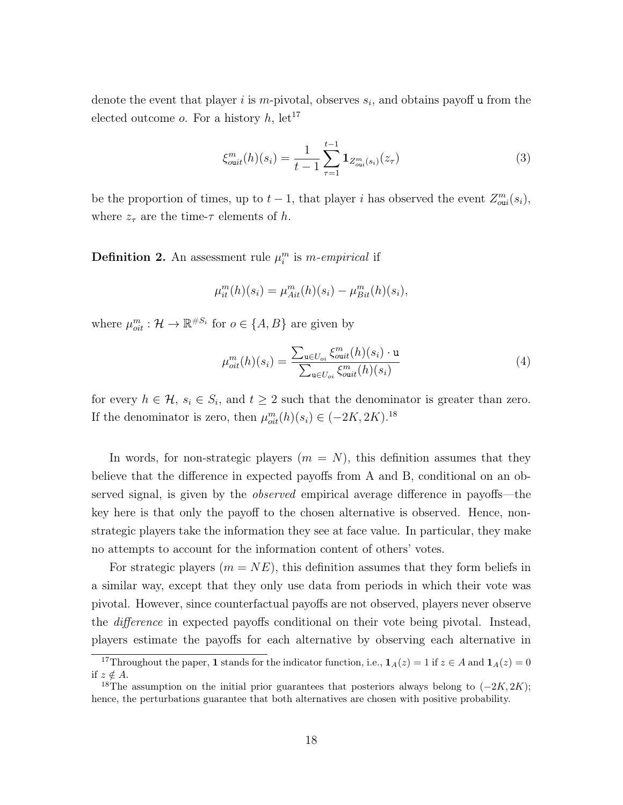denote the event that player i is m-pivotal, observes  $s_i$ , and obtains payoff u from the elected outcome *o*. For a history  $h$ , let<sup>17</sup>

$$
\xi_{\text{out}}^m(h)(s_i) = \frac{1}{t-1} \sum_{\tau=1}^{t-1} \mathbf{1}_{Z_{\text{out}}^m(s_i)}(z_\tau)
$$
\n(3)

be the proportion of times, up to  $t-1$ , that player i has observed the event  $Z_{\text{out}}^m(s_i)$ , where  $z_{\tau}$  are the time- $\tau$  elements of h.

**Definition 2.** An assessment rule  $\mu_i^m$  is m-empirical if

$$
\mu_{it}^{m}(h)(s_i) = \mu_{Ait}^{m}(h)(s_i) - \mu_{Bit}^{m}(h)(s_i),
$$

where  $\mu_{oit}^m : \mathcal{H} \to \mathbb{R}^{\#S_i}$  for  $o \in \{A, B\}$  are given by

$$
\mu_{oit}^{m}(h)(s_i) = \frac{\sum_{\mathbf{u} \in U_{oi}} \xi_{out}^{m}(h)(s_i) \cdot \mathbf{u}}{\sum_{\mathbf{u} \in U_{oi}} \xi_{out}^{m}(h)(s_i)}
$$
(4)

for every  $h \in \mathcal{H}$ ,  $s_i \in S_i$ , and  $t \geq 2$  such that the denominator is greater than zero. If the denominator is zero, then  $\mu_{oit}^m(h)(s_i) \in (-2K, 2K)^{18}$ 

In words, for non-strategic players  $(m = N)$ , this definition assumes that they believe that the difference in expected payoffs from A and B, conditional on an observed signal, is given by the observed empirical average difference in payoffs—the key here is that only the payoff to the chosen alternative is observed. Hence, nonstrategic players take the information they see at face value. In particular, they make no attempts to account for the information content of others' votes.

For strategic players  $(m = NE)$ , this definition assumes that they form beliefs in a similar way, except that they only use data from periods in which their vote was pivotal. However, since counterfactual payoffs are not observed, players never observe the difference in expected payoffs conditional on their vote being pivotal. Instead, players estimate the payoffs for each alternative by observing each alternative in

<sup>&</sup>lt;sup>17</sup>Throughout the paper, 1 stands for the indicator function, i.e.,  $\mathbf{1}_A(z) = 1$  if  $z \in A$  and  $\mathbf{1}_A(z) = 0$ if  $z \notin A$ .

<sup>&</sup>lt;sup>18</sup>The assumption on the initial prior guarantees that posteriors always belong to  $(-2K, 2K)$ ; hence, the perturbations guarantee that both alternatives are chosen with positive probability.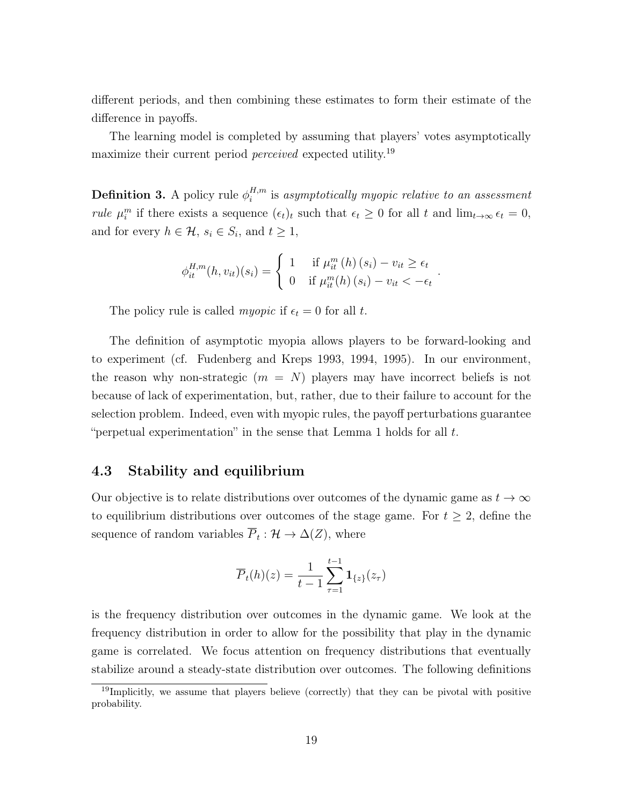different periods, and then combining these estimates to form their estimate of the difference in payoffs.

The learning model is completed by assuming that players' votes asymptotically maximize their current period perceived expected utility.<sup>19</sup>

**Definition 3.** A policy rule  $\phi_i^{H,m}$  $i^{H,m}$  is asymptotically myopic relative to an assessment *rule*  $\mu_i^m$  if there exists a sequence  $(\epsilon_t)_t$  such that  $\epsilon_t \geq 0$  for all t and  $\lim_{t\to\infty} \epsilon_t = 0$ , and for every  $h \in \mathcal{H}$ ,  $s_i \in S_i$ , and  $t \geq 1$ ,

$$
\phi_{it}^{H,m}(h, v_{it})(s_i) = \begin{cases} 1 & \text{if } \mu_{it}^m(h)(s_i) - v_{it} \ge \epsilon_t \\ 0 & \text{if } \mu_{it}^m(h)(s_i) - v_{it} < -\epsilon_t \end{cases}.
$$

The policy rule is called *myopic* if  $\epsilon_t = 0$  for all t.

The definition of asymptotic myopia allows players to be forward-looking and to experiment (cf. Fudenberg and Kreps 1993, 1994, 1995). In our environment, the reason why non-strategic  $(m = N)$  players may have incorrect beliefs is not because of lack of experimentation, but, rather, due to their failure to account for the selection problem. Indeed, even with myopic rules, the payoff perturbations guarantee "perpetual experimentation" in the sense that Lemma 1 holds for all  $t$ .

### 4.3 Stability and equilibrium

Our objective is to relate distributions over outcomes of the dynamic game as  $t \to \infty$ to equilibrium distributions over outcomes of the stage game. For  $t \geq 2$ , define the sequence of random variables  $\overline{P}_t : \mathcal{H} \to \Delta(Z)$ , where

$$
\overline{P}_t(h)(z) = \frac{1}{t-1} \sum_{\tau=1}^{t-1} \mathbf{1}_{\{z\}}(z_\tau)
$$

is the frequency distribution over outcomes in the dynamic game. We look at the frequency distribution in order to allow for the possibility that play in the dynamic game is correlated. We focus attention on frequency distributions that eventually stabilize around a steady-state distribution over outcomes. The following definitions

<sup>&</sup>lt;sup>19</sup>Implicitly, we assume that players believe (correctly) that they can be pivotal with positive probability.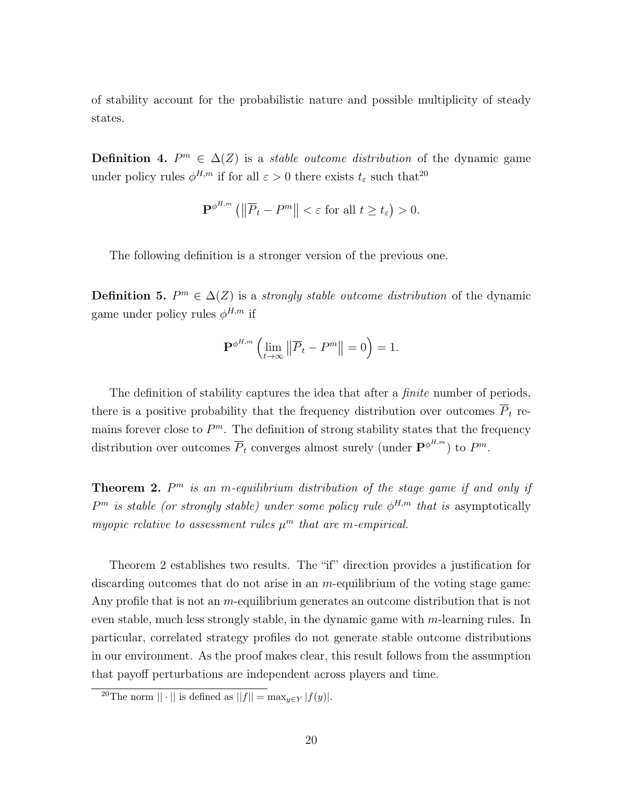of stability account for the probabilistic nature and possible multiplicity of steady states.

**Definition 4.**  $P^m \in \Delta(Z)$  is a *stable outcome distribution* of the dynamic game under policy rules  $\phi^{H,m}$  if for all  $\varepsilon > 0$  there exists  $t_{\varepsilon}$  such that<sup>20</sup>

$$
\mathbf{P}^{\phi^{H,m}}\left(\left\|\overline{P}_t-P^m\right\|<\varepsilon\text{ for all }t\geq t_\varepsilon\right)>0.
$$

The following definition is a stronger version of the previous one.

**Definition 5.**  $P^m \in \Delta(Z)$  is a *strongly stable outcome distribution* of the dynamic game under policy rules  $\phi^{H,m}$  if

$$
\mathbf{P}^{\phi^{H,m}}\left(\lim_{t\to\infty}\left\|\overline{P}_t-P^m\right\|=0\right)=1.
$$

The definition of stability captures the idea that after a *finite* number of periods, there is a positive probability that the frequency distribution over outcomes  $\overline{P}_t$  remains forever close to  $P^m$ . The definition of strong stability states that the frequency distribution over outcomes  $\overline{P}_t$  converges almost surely (under  $\mathbf{P}^{\phi^{H,m}}$ ) to  $P^m$ .

**Theorem 2.**  $P^m$  is an m-equilibrium distribution of the stage game if and only if  $P<sup>m</sup>$  is stable (or strongly stable) under some policy rule  $\phi^{H,m}$  that is asymptotically myopic relative to assessment rules  $\mu^m$  that are m-empirical.

Theorem 2 establishes two results. The "if" direction provides a justification for discarding outcomes that do not arise in an  $m$ -equilibrium of the voting stage game: Any profile that is not an *m*-equilibrium generates an outcome distribution that is not even stable, much less strongly stable, in the dynamic game with  $m$ -learning rules. In particular, correlated strategy profiles do not generate stable outcome distributions in our environment. As the proof makes clear, this result follows from the assumption that payoff perturbations are independent across players and time.

<sup>&</sup>lt;sup>20</sup>The norm  $|| \cdot ||$  is defined as  $||f|| = \max_{y \in Y} |f(y)|$ .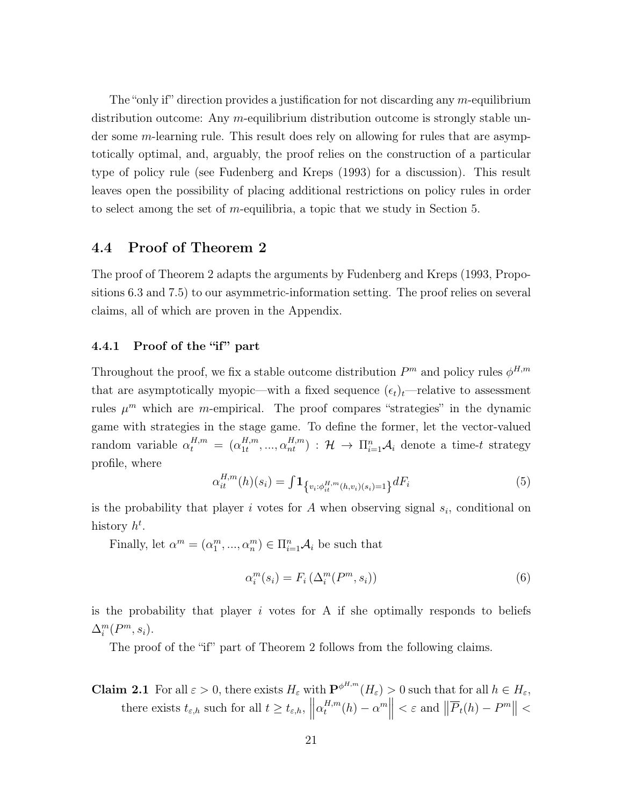The "only if" direction provides a justification for not discarding any  $m$ -equilibrium distribution outcome: Any m-equilibrium distribution outcome is strongly stable under some m-learning rule. This result does rely on allowing for rules that are asymptotically optimal, and, arguably, the proof relies on the construction of a particular type of policy rule (see Fudenberg and Kreps (1993) for a discussion). This result leaves open the possibility of placing additional restrictions on policy rules in order to select among the set of m-equilibria, a topic that we study in Section 5.

### 4.4 Proof of Theorem 2

The proof of Theorem 2 adapts the arguments by Fudenberg and Kreps (1993, Propositions 6.3 and 7.5) to our asymmetric-information setting. The proof relies on several claims, all of which are proven in the Appendix.

#### 4.4.1 Proof of the "if" part

Throughout the proof, we fix a stable outcome distribution  $P^m$  and policy rules  $\phi^{H,m}$ that are asymptotically myopic—with a fixed sequence  $(\epsilon_t)_t$ —relative to assessment rules  $\mu^m$  which are *m*-empirical. The proof compares "strategies" in the dynamic game with strategies in the stage game. To define the former, let the vector-valued random variable  $\alpha_t^{H,m} = (\alpha_{1t}^{H,m})$  $H^{H,m}_{1t},..., \alpha^{H,m}_{nt}$  :  $\mathcal{H} \rightarrow \Pi_{i=1}^{n} \mathcal{A}_{i}$  denote a time-t strategy profile, where

$$
\alpha_{it}^{H,m}(h)(s_i) = \int 1_{\{v_i : \phi_{it}^{H,m}(h,v_i)(s_i) = 1\}} dF_i
$$
\n(5)

is the probability that player i votes for A when observing signal  $s_i$ , conditional on history  $h^t$ .

Finally, let  $\alpha^m = (\alpha_1^m, ..., \alpha_n^m) \in \Pi_{i=1}^n \mathcal{A}_i$  be such that

$$
\alpha_i^m(s_i) = F_i\left(\Delta_i^m(P^m, s_i)\right) \tag{6}
$$

is the probability that player  $i$  votes for A if she optimally responds to beliefs  $\Delta_i^m(P^m, s_i)$ .

The proof of the "if" part of Theorem 2 follows from the following claims.

**Claim 2.1** For all  $\varepsilon > 0$ , there exists  $H_{\varepsilon}$  with  $\mathbf{P}^{\phi^{H,m}}(H_{\varepsilon}) > 0$  such that for all  $h \in H_{\varepsilon}$ , there exists  $t_{\varepsilon,h}$  such for all  $t \geq t_{\varepsilon,h}$ ,  $\parallel$  $\alpha_t^{H,m}$  $t^{H,m}(h) - \alpha^m$  $< \varepsilon$  and  $\left\| \overline{P}_t(h) - P^m \right\| <$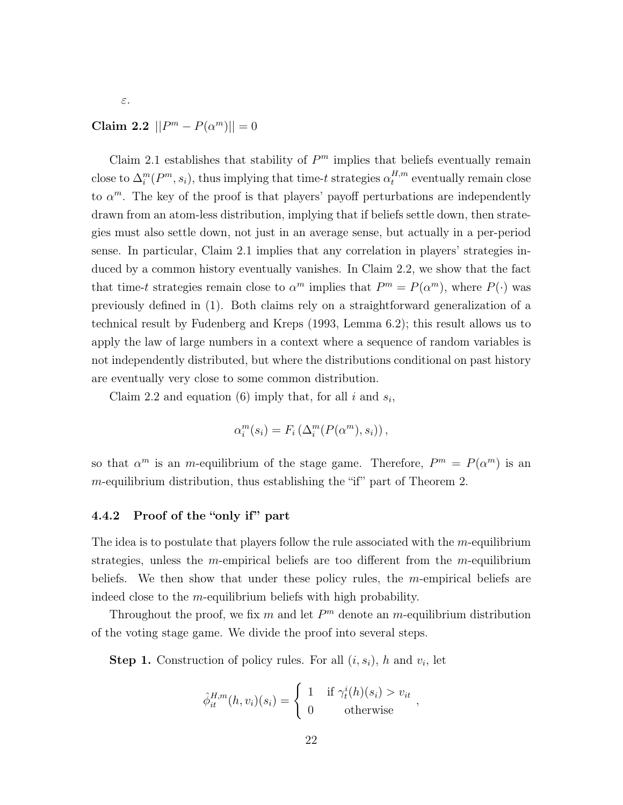### Claim 2.2  $||P^m - P(\alpha^m)|| = 0$

ε.

Claim 2.1 establishes that stability of  $P<sup>m</sup>$  implies that beliefs eventually remain close to  $\Delta_i^m(P^m, s_i)$ , thus implying that time-t strategies  $\alpha_t^{H,m}$  $t^{H,m}$  eventually remain close to  $\alpha^m$ . The key of the proof is that players' payoff perturbations are independently drawn from an atom-less distribution, implying that if beliefs settle down, then strategies must also settle down, not just in an average sense, but actually in a per-period sense. In particular, Claim 2.1 implies that any correlation in players' strategies induced by a common history eventually vanishes. In Claim 2.2, we show that the fact that time-t strategies remain close to  $\alpha^m$  implies that  $P^m = P(\alpha^m)$ , where  $P(\cdot)$  was previously defined in (1). Both claims rely on a straightforward generalization of a technical result by Fudenberg and Kreps (1993, Lemma 6.2); this result allows us to apply the law of large numbers in a context where a sequence of random variables is not independently distributed, but where the distributions conditional on past history are eventually very close to some common distribution.

Claim 2.2 and equation (6) imply that, for all  $i$  and  $s_i$ ,

$$
\alpha_i^m(s_i) = F_i\left(\Delta_i^m(P(\alpha^m), s_i)\right),
$$

so that  $\alpha^m$  is an *m*-equilibrium of the stage game. Therefore,  $P^m = P(\alpha^m)$  is an  $m$ -equilibrium distribution, thus establishing the "if" part of Theorem 2.

#### 4.4.2 Proof of the "only if" part

The idea is to postulate that players follow the rule associated with the  $m$ -equilibrium strategies, unless the m-empirical beliefs are too different from the m-equilibrium beliefs. We then show that under these policy rules, the m-empirical beliefs are indeed close to the m-equilibrium beliefs with high probability.

Throughout the proof, we fix  $m$  and let  $P^m$  denote an  $m$ -equilibrium distribution of the voting stage game. We divide the proof into several steps.

**Step 1.** Construction of policy rules. For all  $(i, s_i)$ , h and  $v_i$ , let

$$
\hat{\phi}_{it}^{H,m}(h, v_i)(s_i) = \begin{cases} 1 & \text{if } \gamma_t^i(h)(s_i) > v_{it} \\ 0 & \text{otherwise} \end{cases}
$$

,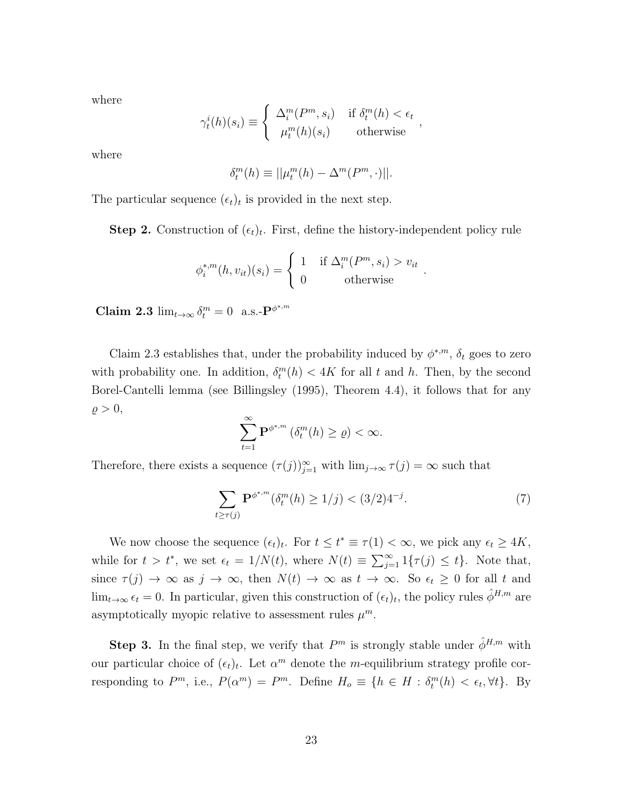where

$$
\gamma_t^i(h)(s_i) \equiv \begin{cases} \Delta_i^m(P^m, s_i) & \text{if } \delta_t^m(h) < \epsilon_t \\ \mu_t^m(h)(s_i) & \text{otherwise} \end{cases},
$$

where

$$
\delta_t^m(h) \equiv ||\mu_t^m(h) - \Delta^m(P^m, \cdot)||.
$$

The particular sequence  $(\epsilon_t)_t$  is provided in the next step.

**Step 2.** Construction of  $(\epsilon_t)_t$ . First, define the history-independent policy rule

$$
\phi_i^{*,m}(h, v_{it})(s_i) = \begin{cases} 1 & \text{if } \Delta_i^m(P^m, s_i) > v_{it} \\ 0 & \text{otherwise} \end{cases}
$$

Claim 2.3  $\lim_{t\to\infty} \delta_t^m = 0$  a.s.- $\mathbf{P}^{\phi^{*,m}}$ 

Claim 2.3 establishes that, under the probability induced by  $\phi^{*,m}$ ,  $\delta_t$  goes to zero with probability one. In addition,  $\delta_t^m(h) < 4K$  for all t and h. Then, by the second Borel-Cantelli lemma (see Billingsley (1995), Theorem 4.4), it follows that for any  $\rho > 0,$ 

$$
\sum_{t=1}^{\infty} \mathbf{P}^{\phi^{*,m}}\left(\delta_t^m(h) \ge \varrho\right) < \infty.
$$

Therefore, there exists a sequence  $(\tau(j))_{j=1}^{\infty}$  with  $\lim_{j\to\infty} \tau(j) = \infty$  such that

$$
\sum_{t \ge \tau(j)} \mathbf{P}^{\phi^{*,m}}(\delta_t^m(h) \ge 1/j) < (3/2)4^{-j}.\tag{7}
$$

.

We now choose the sequence  $(\epsilon_t)_t$ . For  $t \leq t^* \equiv \tau(1) < \infty$ , we pick any  $\epsilon_t \geq 4K$ , while for  $t > t^*$ , we set  $\epsilon_t = 1/N(t)$ , where  $N(t) \equiv \sum_{j=1}^{\infty} 1\{\tau(j) \leq t\}$ . Note that, since  $\tau(j) \to \infty$  as  $j \to \infty$ , then  $N(t) \to \infty$  as  $t \to \infty$ . So  $\epsilon_t \geq 0$  for all t and  $\lim_{t\to\infty} \epsilon_t = 0$ . In particular, given this construction of  $(\epsilon_t)_t$ , the policy rules  $\hat{\phi}^{H,m}$  are asymptotically myopic relative to assessment rules  $\mu^m$ .

**Step 3.** In the final step, we verify that  $P^m$  is strongly stable under  $\hat{\phi}^{H,m}$  with our particular choice of  $(\epsilon_t)_t$ . Let  $\alpha^m$  denote the *m*-equilibrium strategy profile corresponding to  $P^m$ , i.e.,  $P(\alpha^m) = P^m$ . Define  $H_o \equiv \{h \in H : \delta_t^m(h) < \epsilon_t, \forall t\}$ . By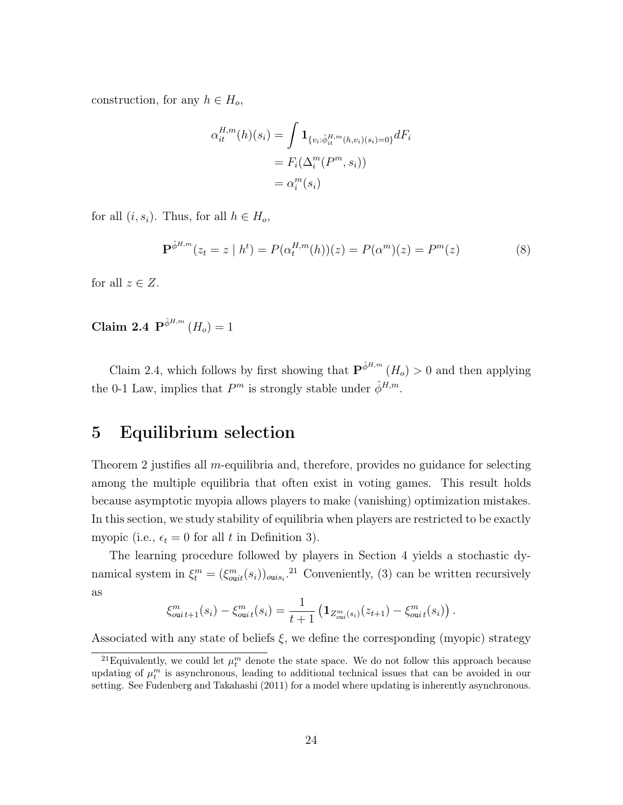construction, for any  $h \in H_o$ ,

$$
\alpha_{it}^{H,m}(h)(s_i) = \int \mathbf{1}_{\{v_i : \hat{\phi}_{it}^{H,m}(h,v_i)(s_i) = 0\}} dF_i
$$

$$
= F_i(\Delta_i^m(P^m, s_i))
$$

$$
= \alpha_i^m(s_i)
$$

for all  $(i, s_i)$ . Thus, for all  $h \in H_o$ ,

$$
\mathbf{P}^{\hat{\phi}^{H,m}}(z_t = z \mid h^t) = P(\alpha_t^{H,m}(h))(z) = P(\alpha^m)(z) = P^m(z)
$$
\n(8)

for all  $z \in Z$ .

Claim 2.4  ${\bf P}^{\hat{\phi}^{H,m}}(H_o)=1$ 

Claim 2.4, which follows by first showing that  $\mathbf{P}^{\hat{\phi}^{H,m}}(H_o) > 0$  and then applying the 0-1 Law, implies that  $P^m$  is strongly stable under  $\hat{\phi}^{H,m}$ .

### 5 Equilibrium selection

Theorem 2 justifies all m-equilibria and, therefore, provides no guidance for selecting among the multiple equilibria that often exist in voting games. This result holds because asymptotic myopia allows players to make (vanishing) optimization mistakes. In this section, we study stability of equilibria when players are restricted to be exactly myopic (i.e.,  $\epsilon_t = 0$  for all t in Definition 3).

The learning procedure followed by players in Section 4 yields a stochastic dynamical system in  $\xi_t^m = (\xi_{out}^m(s_i))_{ouis_i}$ <sup>21</sup> Conveniently, (3) can be written recursively as

$$
\xi_{\text{out }t+1}^m(s_i) - \xi_{\text{out }t}^m(s_i) = \frac{1}{t+1} \left( \mathbf{1}_{Z_{\text{out}}^m(s_i)}(z_{t+1}) - \xi_{\text{out }t}^m(s_i) \right).
$$

Associated with any state of beliefs  $\xi$ , we define the corresponding (myopic) strategy

<sup>&</sup>lt;sup>21</sup> Equivalently, we could let  $\mu_t^m$  denote the state space. We do not follow this approach because updating of  $\mu_t^m$  is asynchronous, leading to additional technical issues that can be avoided in our setting. See Fudenberg and Takahashi (2011) for a model where updating is inherently asynchronous.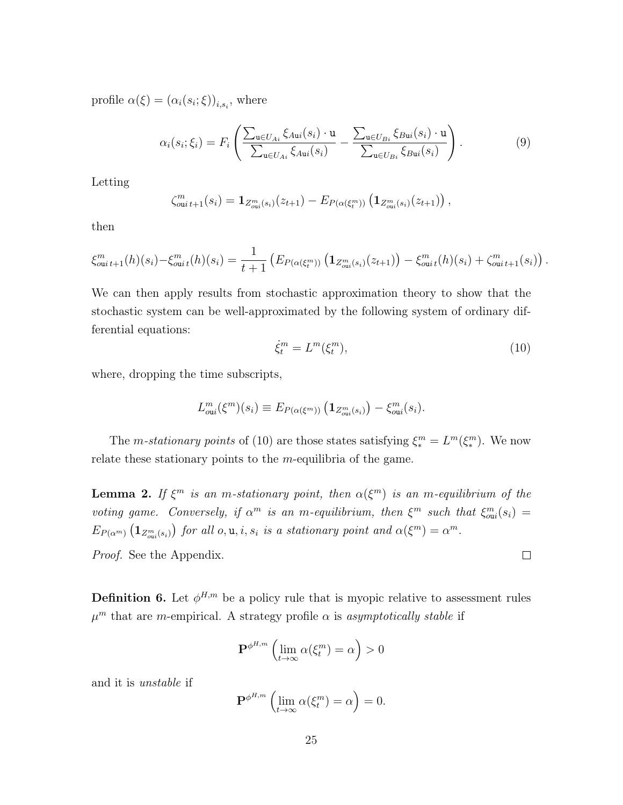profile  $\alpha(\xi) = (\alpha_i(s_i;\xi))_{i,s_i}$ , where

$$
\alpha_i(s_i; \xi_i) = F_i \left( \frac{\sum_{\mathbf{u} \in U_{Ai}} \xi_{A\mathbf{u}i}(s_i) \cdot \mathbf{u}}{\sum_{\mathbf{u} \in U_{Ai}} \xi_{A\mathbf{u}i}(s_i)} - \frac{\sum_{\mathbf{u} \in U_{Bi}} \xi_{B\mathbf{u}i}(s_i) \cdot \mathbf{u}}{\sum_{\mathbf{u} \in U_{Bi}} \xi_{B\mathbf{u}i}(s_i)} \right).
$$
(9)

Letting

$$
\zeta_{\text{out }t+1}^m(s_i) = \mathbf{1}_{Z_{\text{out}}^m(s_i)}(z_{t+1}) - E_{P(\alpha(\xi_t^m))} \left( \mathbf{1}_{Z_{\text{out}}^m(s_i)}(z_{t+1}) \right),
$$

then

$$
\xi_{\text{out }t+1}^m(h)(s_i) - \xi_{\text{out }t}^m(h)(s_i) = \frac{1}{t+1} \left( E_{P(\alpha(\xi_t^m))} \left( \mathbf{1}_{Z_{\text{out}}^m(s_i)}(z_{t+1}) \right) - \xi_{\text{out }t}^m(h)(s_i) + \zeta_{\text{out }t+1}^m(s_i) \right).
$$

We can then apply results from stochastic approximation theory to show that the stochastic system can be well-approximated by the following system of ordinary differential equations:

$$
\dot{\xi}_t^m = L^m(\xi_t^m),\tag{10}
$$

 $\Box$ 

where, dropping the time subscripts,

$$
L_{\text{out}}^m(\xi^m)(s_i) \equiv E_{P(\alpha(\xi^m))} \left( \mathbf{1}_{Z_{\text{out}}^m(s_i)} \right) - \xi_{\text{out}}^m(s_i).
$$

The *m*-stationary points of (10) are those states satisfying  $\xi_*^m = L^m(\xi_*^m)$ . We now relate these stationary points to the  $m$ -equilibria of the game.

**Lemma 2.** If  $\xi^m$  is an m-stationary point, then  $\alpha(\xi^m)$  is an m-equilibrium of the voting game. Conversely, if  $\alpha^m$  is an m-equilibrium, then  $\xi^m$  such that  $\xi_{\text{out}}^m(s_i)$  =  $E_{P(\alpha^m)}\left(\mathbf{1}_{Z_{out}^m(s_i)}\right)$  for all  $o, u, i, s_i$  is a stationary point and  $\alpha(\xi^m) = \alpha^m$ .

Proof. See the Appendix.

**Definition 6.** Let  $\phi^{H,m}$  be a policy rule that is myopic relative to assessment rules  $\mu^m$  that are m-empirical. A strategy profile  $\alpha$  is asymptotically stable if

$$
\mathbf{P}^{\phi^{H,m}}\left(\lim_{t\to\infty}\alpha(\xi_t^m)=\alpha\right)>0
$$

and it is unstable if

$$
\mathbf{P}^{\phi^{H,m}}\left(\lim_{t\to\infty}\alpha(\xi_t^m)=\alpha\right)=0.
$$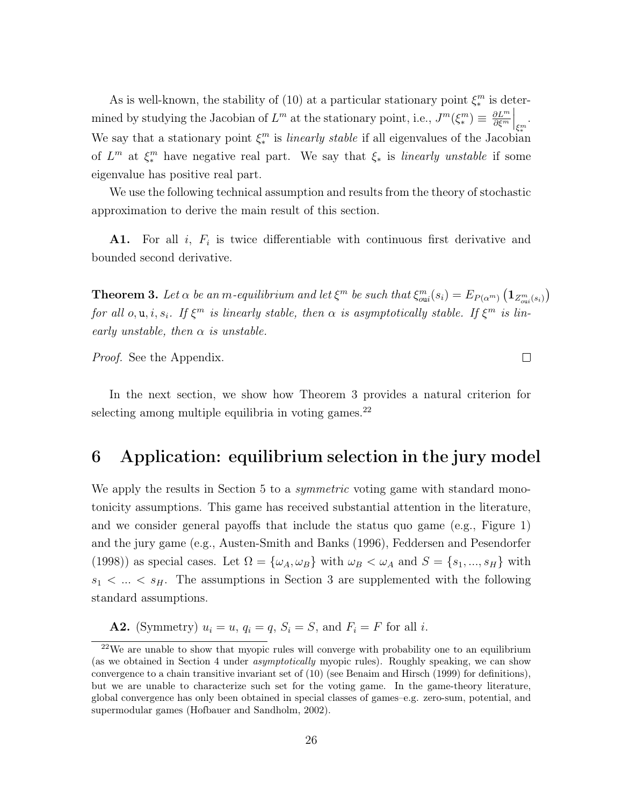As is well-known, the stability of (10) at a particular stationary point  $\xi_*^m$  is determined by studying the Jacobian of  $L^m$  at the stationary point, i.e.,  $J^m(\xi^m_*) \equiv \frac{\partial L^m}{\partial \xi^m}$ ∂ξ<sup>m</sup>  $\Big|_{\xi^{m}_*}$ . We say that a stationary point  $\xi_*^m$  is *linearly stable* if all eigenvalues of the Jacobian of  $L^m$  at  $\xi_*^m$  have negative real part. We say that  $\xi_*$  is linearly unstable if some eigenvalue has positive real part.

We use the following technical assumption and results from the theory of stochastic approximation to derive the main result of this section.

A1. For all  $i$ ,  $F_i$  is twice differentiable with continuous first derivative and bounded second derivative.

**Theorem 3.** Let  $\alpha$  be an m-equilibrium and let  $\xi^m$  be such that  $\xi_{\text{out}}^m(s_i) = E_{P(\alpha^m)}(1_{Z_{\text{out}}^m(s_i)})$ for all  $o, u, i, s_i$ . If  $\xi^m$  is linearly stable, then  $\alpha$  is asymptotically stable. If  $\xi^m$  is linearly unstable, then  $\alpha$  is unstable.

 $\Box$ 

Proof. See the Appendix.

In the next section, we show how Theorem 3 provides a natural criterion for selecting among multiple equilibria in voting games. $^{22}$ 

### 6 Application: equilibrium selection in the jury model

We apply the results in Section 5 to a *symmetric* voting game with standard monotonicity assumptions. This game has received substantial attention in the literature, and we consider general payoffs that include the status quo game (e.g., Figure 1) and the jury game (e.g., Austen-Smith and Banks (1996), Feddersen and Pesendorfer (1998)) as special cases. Let  $\Omega = {\omega_A, \omega_B}$  with  $\omega_B < \omega_A$  and  $S = {s_1, ..., s_H}$  with  $s_1 < \ldots < s_H$ . The assumptions in Section 3 are supplemented with the following standard assumptions.

A2. (Symmetry)  $u_i = u$ ,  $q_i = q$ ,  $S_i = S$ , and  $F_i = F$  for all i.

 $22$ We are unable to show that myopic rules will converge with probability one to an equilibrium (as we obtained in Section 4 under asymptotically myopic rules). Roughly speaking, we can show convergence to a chain transitive invariant set of (10) (see Benaim and Hirsch (1999) for definitions), but we are unable to characterize such set for the voting game. In the game-theory literature, global convergence has only been obtained in special classes of games–e.g. zero-sum, potential, and supermodular games (Hofbauer and Sandholm, 2002).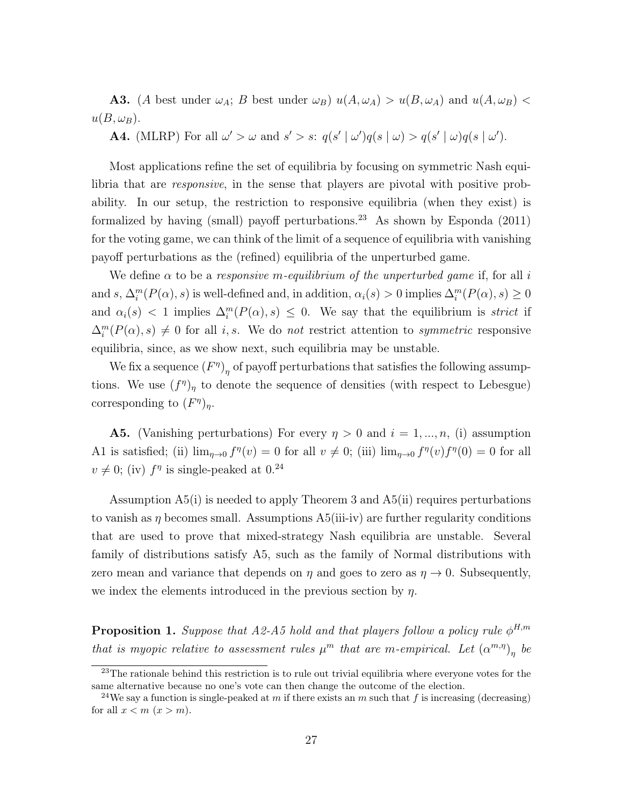**A3.** (A best under  $\omega_A$ ; B best under  $\omega_B$ )  $u(A, \omega_A) > u(B, \omega_A)$  and  $u(A, \omega_B)$  $u(B,\omega_B)$ .

**A4.** (MLRP) For all  $\omega' > \omega$  and  $s' > s$ :  $q(s' | \omega')q(s | \omega) > q(s' | \omega)q(s | \omega')$ .

Most applications refine the set of equilibria by focusing on symmetric Nash equilibria that are responsive, in the sense that players are pivotal with positive probability. In our setup, the restriction to responsive equilibria (when they exist) is formalized by having (small) payoff perturbations.<sup>23</sup> As shown by Esponda  $(2011)$ for the voting game, we can think of the limit of a sequence of equilibria with vanishing payoff perturbations as the (refined) equilibria of the unperturbed game.

We define  $\alpha$  to be a responsive m-equilibrium of the unperturbed game if, for all i and s,  $\Delta_i^m(P(\alpha), s)$  is well-defined and, in addition,  $\alpha_i(s) > 0$  implies  $\Delta_i^m(P(\alpha), s) \ge 0$ and  $\alpha_i(s) < 1$  implies  $\Delta_i^m(P(\alpha), s) \leq 0$ . We say that the equilibrium is *strict* if  $\Delta_i^m(P(\alpha), s) \neq 0$  for all i, s. We do not restrict attention to symmetric responsive equilibria, since, as we show next, such equilibria may be unstable.

We fix a sequence  $(F^{\eta})_{\eta}$  of payoff perturbations that satisfies the following assumptions. We use  $(f^{\eta})_{\eta}$  to denote the sequence of densities (with respect to Lebesgue) corresponding to  $(F^{\eta})_{\eta}$ .

**A5.** (Vanishing perturbations) For every  $\eta > 0$  and  $i = 1, ..., n$ , (i) assumption A1 is satisfied; (ii)  $\lim_{\eta\to 0} f^{\eta}(v) = 0$  for all  $v \neq 0$ ; (iii)  $\lim_{\eta\to 0} f^{\eta}(v) f^{\eta}(0) = 0$  for all  $v \neq 0$ ; (iv)  $f^{\eta}$  is single-peaked at 0.<sup>24</sup>

Assumption A5(i) is needed to apply Theorem 3 and A5(ii) requires perturbations to vanish as  $\eta$  becomes small. Assumptions A5(iii-iv) are further regularity conditions that are used to prove that mixed-strategy Nash equilibria are unstable. Several family of distributions satisfy A5, such as the family of Normal distributions with zero mean and variance that depends on  $\eta$  and goes to zero as  $\eta \to 0$ . Subsequently, we index the elements introduced in the previous section by  $\eta$ .

**Proposition 1.** Suppose that A2-A5 hold and that players follow a policy rule  $\phi^{H,m}$ that is myopic relative to assessment rules  $\mu^m$  that are m-empirical. Let  $(\alpha^{m,\eta})_{\eta}$  be

<sup>&</sup>lt;sup>23</sup>The rationale behind this restriction is to rule out trivial equilibria where everyone votes for the same alternative because no one's vote can then change the outcome of the election.

<sup>&</sup>lt;sup>24</sup>We say a function is single-peaked at m if there exists an m such that f is increasing (decreasing) for all  $x < m$   $(x > m)$ .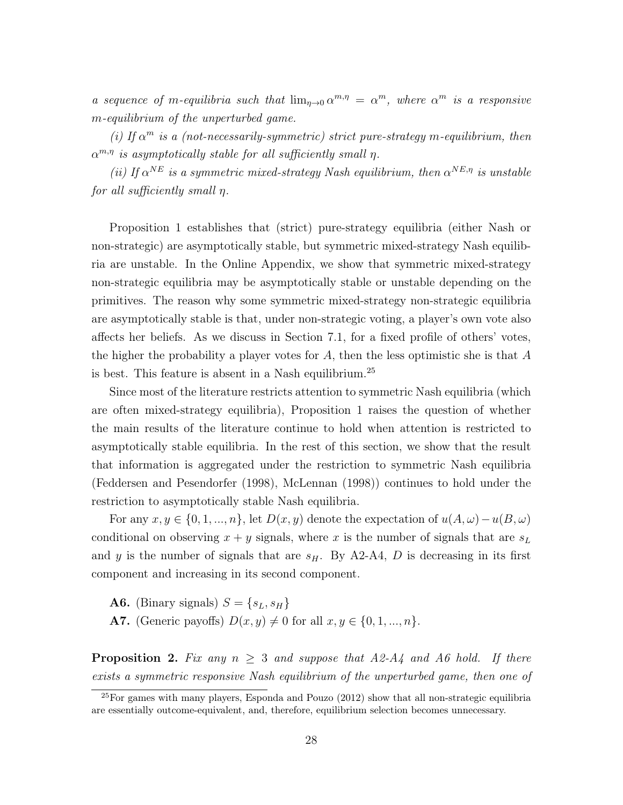a sequence of m-equilibria such that  $\lim_{\eta \to 0} \alpha^{m,\eta} = \alpha^m$ , where  $\alpha^m$  is a responsive m-equilibrium of the unperturbed game.

(i) If  $\alpha^m$  is a (not-necessarily-symmetric) strict pure-strategy m-equilibrium, then  $\alpha^{m,\eta}$  is asymptotically stable for all sufficiently small  $\eta$ .

(ii) If  $\alpha^{NE}$  is a symmetric mixed-strategy Nash equilibrium, then  $\alpha^{NE,\eta}$  is unstable for all sufficiently small η.

Proposition 1 establishes that (strict) pure-strategy equilibria (either Nash or non-strategic) are asymptotically stable, but symmetric mixed-strategy Nash equilibria are unstable. In the Online Appendix, we show that symmetric mixed-strategy non-strategic equilibria may be asymptotically stable or unstable depending on the primitives. The reason why some symmetric mixed-strategy non-strategic equilibria are asymptotically stable is that, under non-strategic voting, a player's own vote also affects her beliefs. As we discuss in Section 7.1, for a fixed profile of others' votes, the higher the probability a player votes for A, then the less optimistic she is that A is best. This feature is absent in a Nash equilibrium.<sup>25</sup>

Since most of the literature restricts attention to symmetric Nash equilibria (which are often mixed-strategy equilibria), Proposition 1 raises the question of whether the main results of the literature continue to hold when attention is restricted to asymptotically stable equilibria. In the rest of this section, we show that the result that information is aggregated under the restriction to symmetric Nash equilibria (Feddersen and Pesendorfer (1998), McLennan (1998)) continues to hold under the restriction to asymptotically stable Nash equilibria.

For any  $x, y \in \{0, 1, ..., n\}$ , let  $D(x, y)$  denote the expectation of  $u(A, \omega) - u(B, \omega)$ conditional on observing  $x + y$  signals, where x is the number of signals that are  $s<sub>L</sub>$ and y is the number of signals that are  $s_H$ . By A2-A4, D is decreasing in its first component and increasing in its second component.

**A6.** (Binary signals)  $S = \{s_L, s_H\}$ 

A7. (Generic payoffs)  $D(x, y) \neq 0$  for all  $x, y \in \{0, 1, ..., n\}.$ 

**Proposition 2.** Fix any  $n \geq 3$  and suppose that A2-A4 and A6 hold. If there exists a symmetric responsive Nash equilibrium of the unperturbed game, then one of

 $^{25}$ For games with many players, Esponda and Pouzo (2012) show that all non-strategic equilibria are essentially outcome-equivalent, and, therefore, equilibrium selection becomes unnecessary.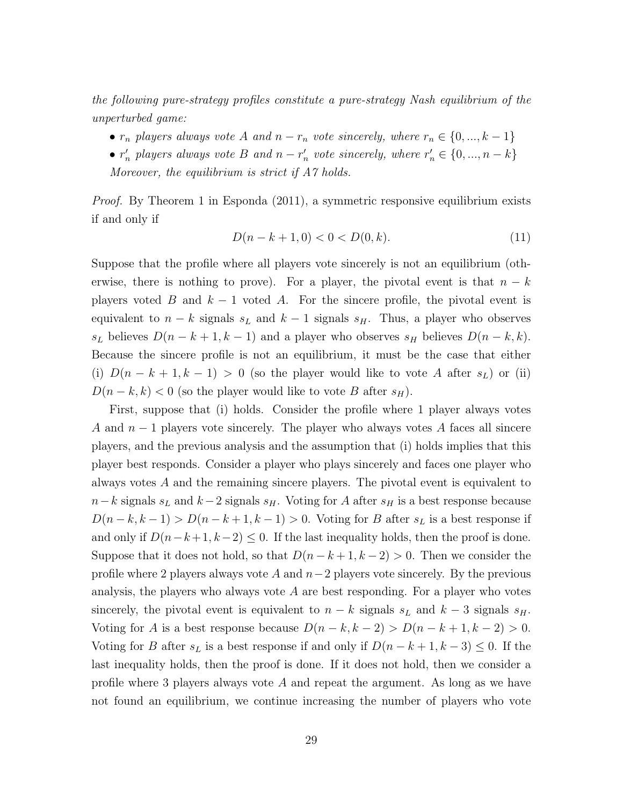the following pure-strategy profiles constitute a pure-strategy Nash equilibrium of the unperturbed game:

- $r_n$  players always vote A and  $n r_n$  vote sincerely, where  $r_n \in \{0, ..., k-1\}$
- $r'_n$  players always vote B and  $n r'_n$  vote sincerely, where  $r'_n \in \{0, ..., n k\}$ Moreover, the equilibrium is strict if A7 holds.

Proof. By Theorem 1 in Esponda (2011), a symmetric responsive equilibrium exists if and only if

$$
D(n - k + 1, 0) < 0 < D(0, k). \tag{11}
$$

Suppose that the profile where all players vote sincerely is not an equilibrium (otherwise, there is nothing to prove). For a player, the pivotal event is that  $n - k$ players voted B and  $k - 1$  voted A. For the sincere profile, the pivotal event is equivalent to  $n - k$  signals  $s<sub>L</sub>$  and  $k - 1$  signals  $s<sub>H</sub>$ . Thus, a player who observes s<sub>L</sub> believes  $D(n - k + 1, k - 1)$  and a player who observes s<sub>H</sub> believes  $D(n - k, k)$ . Because the sincere profile is not an equilibrium, it must be the case that either (i)  $D(n-k+1, k-1) > 0$  (so the player would like to vote A after  $s_L$ ) or (ii)  $D(n-k, k) < 0$  (so the player would like to vote B after  $s_H$ ).

First, suppose that (i) holds. Consider the profile where 1 player always votes A and  $n-1$  players vote sincerely. The player who always votes A faces all sincere players, and the previous analysis and the assumption that (i) holds implies that this player best responds. Consider a player who plays sincerely and faces one player who always votes A and the remaining sincere players. The pivotal event is equivalent to  $n-k$  signals  $s<sub>L</sub>$  and  $k-2$  signals  $s<sub>H</sub>$ . Voting for A after  $s<sub>H</sub>$  is a best response because  $D(n-k, k-1) > D(n-k+1, k-1) > 0$ . Voting for B after  $s<sub>L</sub>$  is a best response if and only if  $D(n-k+1, k-2) \leq 0$ . If the last inequality holds, then the proof is done. Suppose that it does not hold, so that  $D(n - k + 1, k - 2) > 0$ . Then we consider the profile where 2 players always vote A and  $n-2$  players vote sincerely. By the previous analysis, the players who always vote  $A$  are best responding. For a player who votes sincerely, the pivotal event is equivalent to  $n - k$  signals  $s<sub>L</sub>$  and  $k - 3$  signals  $s<sub>H</sub>$ . Voting for A is a best response because  $D(n-k, k-2) > D(n-k+1, k-2) > 0$ . Voting for B after  $s<sub>L</sub>$  is a best response if and only if  $D(n-k+1, k-3) \leq 0$ . If the last inequality holds, then the proof is done. If it does not hold, then we consider a profile where 3 players always vote A and repeat the argument. As long as we have not found an equilibrium, we continue increasing the number of players who vote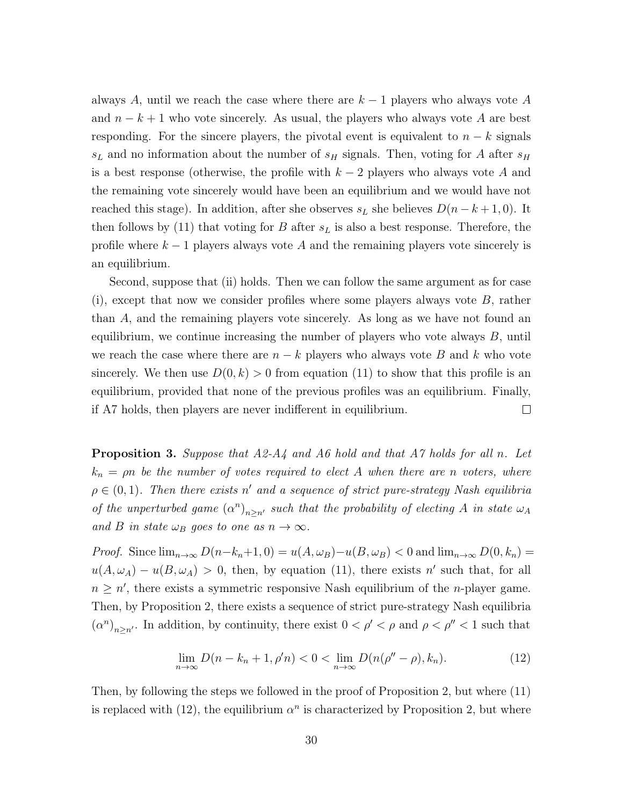always A, until we reach the case where there are  $k-1$  players who always vote A and  $n - k + 1$  who vote sincerely. As usual, the players who always vote A are best responding. For the sincere players, the pivotal event is equivalent to  $n - k$  signals  $s_L$  and no information about the number of  $s_H$  signals. Then, voting for A after  $s_H$ is a best response (otherwise, the profile with  $k-2$  players who always vote A and the remaining vote sincerely would have been an equilibrium and we would have not reached this stage). In addition, after she observes  $s<sub>L</sub>$  she believes  $D(n-k+1,0)$ . It then follows by (11) that voting for B after  $s<sub>L</sub>$  is also a best response. Therefore, the profile where  $k - 1$  players always vote A and the remaining players vote sincerely is an equilibrium.

Second, suppose that (ii) holds. Then we can follow the same argument as for case  $(i)$ , except that now we consider profiles where some players always vote  $B$ , rather than A, and the remaining players vote sincerely. As long as we have not found an equilibrium, we continue increasing the number of players who vote always  $B$ , until we reach the case where there are  $n - k$  players who always vote B and k who vote sincerely. We then use  $D(0, k) > 0$  from equation (11) to show that this profile is an equilibrium, provided that none of the previous profiles was an equilibrium. Finally, if A7 holds, then players are never indifferent in equilibrium.  $\Box$ 

**Proposition 3.** Suppose that  $A2-A4$  and  $A6$  hold and that  $A7$  holds for all n. Let  $k_n = \rho n$  be the number of votes required to elect A when there are n voters, where  $\rho \in (0,1)$ . Then there exists n' and a sequence of strict pure-strategy Nash equilibria of the unperturbed game  $(\alpha^n)_{n\geq n'}$  such that the probability of electing A in state  $\omega_A$ and B in state  $\omega_B$  goes to one as  $n \to \infty$ .

*Proof.* Since  $\lim_{n\to\infty} D(n-k_n+1, 0) = u(A, \omega_B) - u(B, \omega_B) < 0$  and  $\lim_{n\to\infty} D(0, k_n) =$  $u(A, \omega_A) - u(B, \omega_A) > 0$ , then, by equation (11), there exists n' such that, for all  $n \geq n'$ , there exists a symmetric responsive Nash equilibrium of the *n*-player game. Then, by Proposition 2, there exists a sequence of strict pure-strategy Nash equilibria  $(\alpha^n)_{n\geq n'}$ . In addition, by continuity, there exist  $0 < \rho' < \rho$  and  $\rho < \rho'' < 1$  such that

$$
\lim_{n \to \infty} D(n - k_n + 1, \rho' n) < 0 < \lim_{n \to \infty} D(n(\rho'' - \rho), k_n). \tag{12}
$$

Then, by following the steps we followed in the proof of Proposition 2, but where (11) is replaced with (12), the equilibrium  $\alpha^n$  is characterized by Proposition 2, but where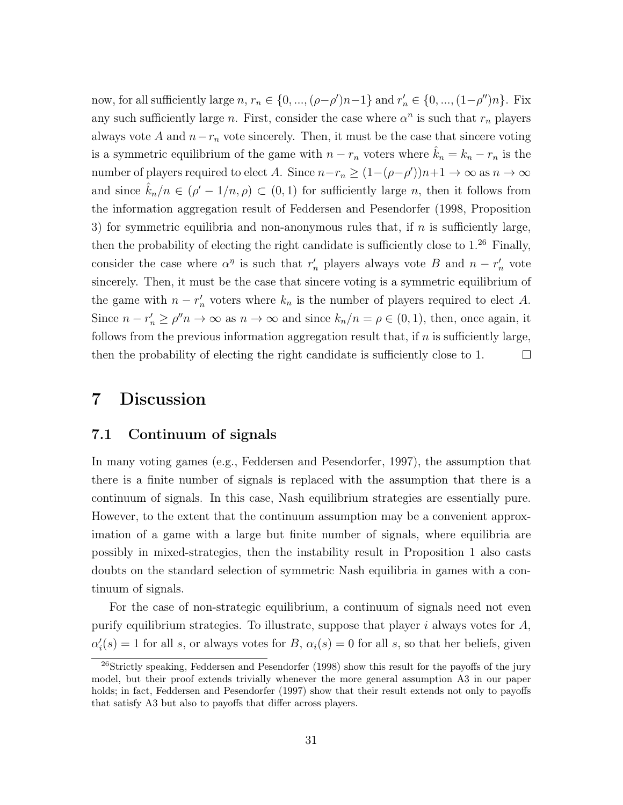now, for all sufficiently large  $n, r_n \in \{0, ..., (\rho-\rho')n-1\}$  and  $r'_n \in \{0, ..., (1-\rho'')n\}$ . Fix any such sufficiently large *n*. First, consider the case where  $\alpha^n$  is such that  $r_n$  players always vote A and  $n-r_n$  vote sincerely. Then, it must be the case that sincere voting is a symmetric equilibrium of the game with  $n - r_n$  voters where  $\hat{k}_n = k_n - r_n$  is the number of players required to elect A. Since  $n-r_n \ge (1-(\rho-\rho'))n+1 \to \infty$  as  $n \to \infty$ and since  $\hat{k}_n/n \in (\rho' - 1/n, \rho) \subset (0, 1)$  for sufficiently large n, then it follows from the information aggregation result of Feddersen and Pesendorfer (1998, Proposition 3) for symmetric equilibria and non-anonymous rules that, if  $n$  is sufficiently large, then the probability of electing the right candidate is sufficiently close to  $1.^{26}$  Finally, consider the case where  $\alpha^{\eta}$  is such that  $r'_{n}$  players always vote B and  $n - r'_{n}$  vote sincerely. Then, it must be the case that sincere voting is a symmetric equilibrium of the game with  $n - r'_n$  voters where  $k_n$  is the number of players required to elect A. Since  $n - r'_n \ge \rho'' n \to \infty$  as  $n \to \infty$  and since  $k_n/n = \rho \in (0, 1)$ , then, once again, it follows from the previous information aggregation result that, if  $n$  is sufficiently large,  $\Box$ then the probability of electing the right candidate is sufficiently close to 1.

### 7 Discussion

#### 7.1 Continuum of signals

In many voting games (e.g., Feddersen and Pesendorfer, 1997), the assumption that there is a finite number of signals is replaced with the assumption that there is a continuum of signals. In this case, Nash equilibrium strategies are essentially pure. However, to the extent that the continuum assumption may be a convenient approximation of a game with a large but finite number of signals, where equilibria are possibly in mixed-strategies, then the instability result in Proposition 1 also casts doubts on the standard selection of symmetric Nash equilibria in games with a continuum of signals.

For the case of non-strategic equilibrium, a continuum of signals need not even purify equilibrium strategies. To illustrate, suppose that player i always votes for  $A$ ,  $\alpha_i'(s) = 1$  for all s, or always votes for B,  $\alpha_i(s) = 0$  for all s, so that her beliefs, given

<sup>&</sup>lt;sup>26</sup>Strictly speaking, Feddersen and Pesendorfer (1998) show this result for the payoffs of the jury model, but their proof extends trivially whenever the more general assumption A3 in our paper holds; in fact, Feddersen and Pesendorfer (1997) show that their result extends not only to payoffs that satisfy A3 but also to payoffs that differ across players.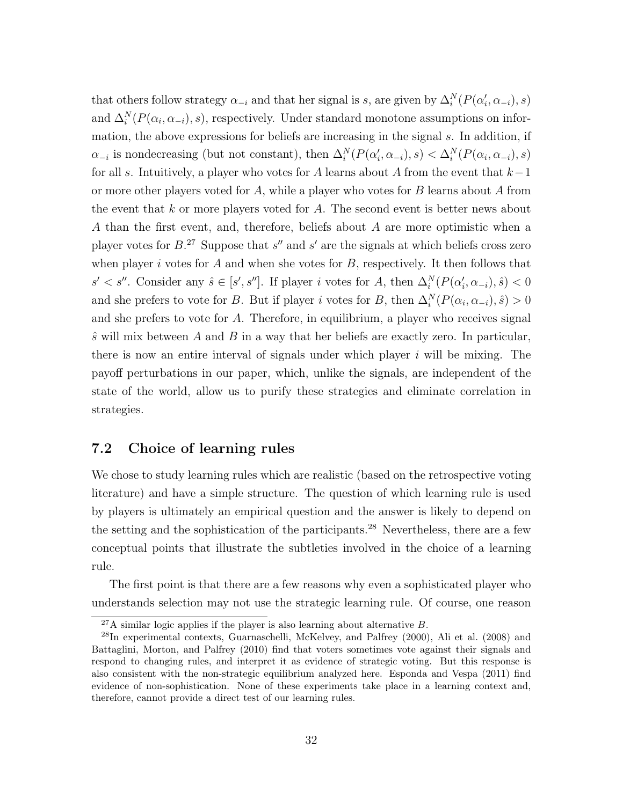that others follow strategy  $\alpha_{-i}$  and that her signal is s, are given by  $\Delta_i^N(P(\alpha_i', \alpha_{-i}), s)$ and  $\Delta_i^N(P(\alpha_i, \alpha_{-i}), s)$ , respectively. Under standard monotone assumptions on information, the above expressions for beliefs are increasing in the signal s. In addition, if  $\alpha_{-i}$  is nondecreasing (but not constant), then  $\Delta_i^N(P(\alpha_i', \alpha_{-i}), s) < \Delta_i^N(P(\alpha_i, \alpha_{-i}), s)$ for all s. Intuitively, a player who votes for A learns about A from the event that  $k-1$ or more other players voted for  $A$ , while a player who votes for  $B$  learns about  $A$  from the event that  $k$  or more players voted for  $A$ . The second event is better news about A than the first event, and, therefore, beliefs about A are more optimistic when a player votes for  $B^{27}$ . Suppose that s'' and s' are the signals at which beliefs cross zero when player i votes for A and when she votes for  $B$ , respectively. It then follows that  $s' < s''$ . Consider any  $\hat{s} \in [s', s'']$ . If player i votes for A, then  $\Delta_i^N(P(\alpha_i', \alpha_{-i}), \hat{s}) < 0$ and she prefers to vote for B. But if player i votes for B, then  $\Delta_i^N(P(\alpha_i, \alpha_{-i}), \hat{s}) > 0$ and she prefers to vote for A. Therefore, in equilibrium, a player who receives signal  $\hat{s}$  will mix between A and B in a way that her beliefs are exactly zero. In particular, there is now an entire interval of signals under which player  $i$  will be mixing. The payoff perturbations in our paper, which, unlike the signals, are independent of the state of the world, allow us to purify these strategies and eliminate correlation in strategies.

### 7.2 Choice of learning rules

We chose to study learning rules which are realistic (based on the retrospective voting literature) and have a simple structure. The question of which learning rule is used by players is ultimately an empirical question and the answer is likely to depend on the setting and the sophistication of the participants.<sup>28</sup> Nevertheless, there are a few conceptual points that illustrate the subtleties involved in the choice of a learning rule.

The first point is that there are a few reasons why even a sophisticated player who understands selection may not use the strategic learning rule. Of course, one reason

 $^{27}$ A similar logic applies if the player is also learning about alternative B.

<sup>28</sup>In experimental contexts, Guarnaschelli, McKelvey, and Palfrey (2000), Ali et al. (2008) and Battaglini, Morton, and Palfrey (2010) find that voters sometimes vote against their signals and respond to changing rules, and interpret it as evidence of strategic voting. But this response is also consistent with the non-strategic equilibrium analyzed here. Esponda and Vespa (2011) find evidence of non-sophistication. None of these experiments take place in a learning context and, therefore, cannot provide a direct test of our learning rules.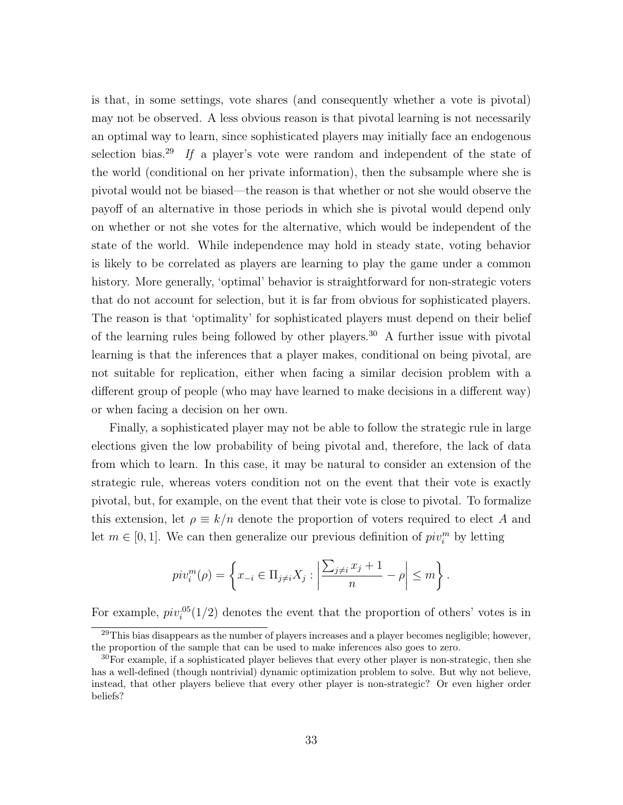is that, in some settings, vote shares (and consequently whether a vote is pivotal) may not be observed. A less obvious reason is that pivotal learning is not necessarily an optimal way to learn, since sophisticated players may initially face an endogenous selection bias.<sup>29</sup> If a player's vote were random and independent of the state of the world (conditional on her private information), then the subsample where she is pivotal would not be biased—the reason is that whether or not she would observe the payoff of an alternative in those periods in which she is pivotal would depend only on whether or not she votes for the alternative, which would be independent of the state of the world. While independence may hold in steady state, voting behavior is likely to be correlated as players are learning to play the game under a common history. More generally, 'optimal' behavior is straightforward for non-strategic voters that do not account for selection, but it is far from obvious for sophisticated players. The reason is that 'optimality' for sophisticated players must depend on their belief of the learning rules being followed by other players.<sup>30</sup> A further issue with pivotal learning is that the inferences that a player makes, conditional on being pivotal, are not suitable for replication, either when facing a similar decision problem with a different group of people (who may have learned to make decisions in a different way) or when facing a decision on her own.

Finally, a sophisticated player may not be able to follow the strategic rule in large elections given the low probability of being pivotal and, therefore, the lack of data from which to learn. In this case, it may be natural to consider an extension of the strategic rule, whereas voters condition not on the event that their vote is exactly pivotal, but, for example, on the event that their vote is close to pivotal. To formalize this extension, let  $\rho \equiv k/n$  denote the proportion of voters required to elect A and let  $m \in [0, 1]$ . We can then generalize our previous definition of  $piv_i^m$  by letting

$$
piv_i^m(\rho) = \left\{ x_{-i} \in \Pi_{j \neq i} X_j : \left| \frac{\sum_{j \neq i} x_j + 1}{n} - \rho \right| \leq m \right\}.
$$

For example,  $piv_i^{0.05}(1/2)$  denotes the event that the proportion of others' votes is in

 $^{29}$ This bias disappears as the number of players increases and a player becomes negligible; however, the proportion of the sample that can be used to make inferences also goes to zero.

 $30\,\text{For example, if a sophisticated player believes that every other player is non-strategic, then she$ has a well-defined (though nontrivial) dynamic optimization problem to solve. But why not believe, instead, that other players believe that every other player is non-strategic? Or even higher order beliefs?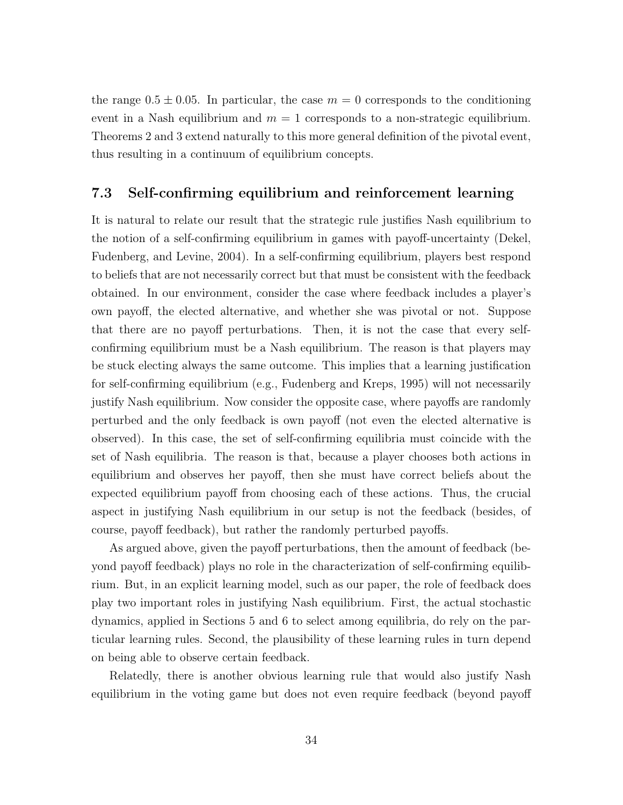the range  $0.5 \pm 0.05$ . In particular, the case  $m = 0$  corresponds to the conditioning event in a Nash equilibrium and  $m = 1$  corresponds to a non-strategic equilibrium. Theorems 2 and 3 extend naturally to this more general definition of the pivotal event, thus resulting in a continuum of equilibrium concepts.

#### 7.3 Self-confirming equilibrium and reinforcement learning

It is natural to relate our result that the strategic rule justifies Nash equilibrium to the notion of a self-confirming equilibrium in games with payoff-uncertainty (Dekel, Fudenberg, and Levine, 2004). In a self-confirming equilibrium, players best respond to beliefs that are not necessarily correct but that must be consistent with the feedback obtained. In our environment, consider the case where feedback includes a player's own payoff, the elected alternative, and whether she was pivotal or not. Suppose that there are no payoff perturbations. Then, it is not the case that every selfconfirming equilibrium must be a Nash equilibrium. The reason is that players may be stuck electing always the same outcome. This implies that a learning justification for self-confirming equilibrium (e.g., Fudenberg and Kreps, 1995) will not necessarily justify Nash equilibrium. Now consider the opposite case, where payoffs are randomly perturbed and the only feedback is own payoff (not even the elected alternative is observed). In this case, the set of self-confirming equilibria must coincide with the set of Nash equilibria. The reason is that, because a player chooses both actions in equilibrium and observes her payoff, then she must have correct beliefs about the expected equilibrium payoff from choosing each of these actions. Thus, the crucial aspect in justifying Nash equilibrium in our setup is not the feedback (besides, of course, payoff feedback), but rather the randomly perturbed payoffs.

As argued above, given the payoff perturbations, then the amount of feedback (beyond payoff feedback) plays no role in the characterization of self-confirming equilibrium. But, in an explicit learning model, such as our paper, the role of feedback does play two important roles in justifying Nash equilibrium. First, the actual stochastic dynamics, applied in Sections 5 and 6 to select among equilibria, do rely on the particular learning rules. Second, the plausibility of these learning rules in turn depend on being able to observe certain feedback.

Relatedly, there is another obvious learning rule that would also justify Nash equilibrium in the voting game but does not even require feedback (beyond payoff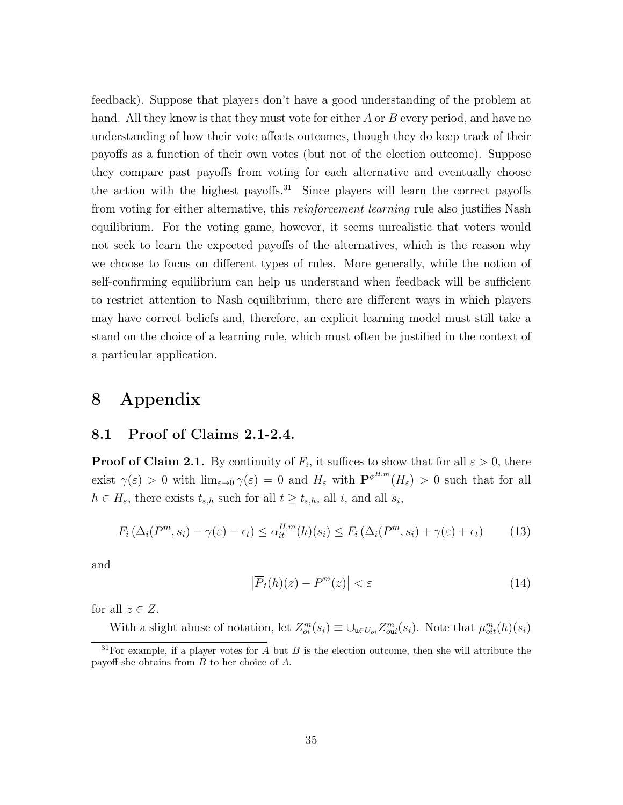feedback). Suppose that players don't have a good understanding of the problem at hand. All they know is that they must vote for either A or B every period, and have no understanding of how their vote affects outcomes, though they do keep track of their payoffs as a function of their own votes (but not of the election outcome). Suppose they compare past payoffs from voting for each alternative and eventually choose the action with the highest payoffs.<sup>31</sup> Since players will learn the correct payoffs from voting for either alternative, this *reinforcement learning* rule also justifies Nash equilibrium. For the voting game, however, it seems unrealistic that voters would not seek to learn the expected payoffs of the alternatives, which is the reason why we choose to focus on different types of rules. More generally, while the notion of self-confirming equilibrium can help us understand when feedback will be sufficient to restrict attention to Nash equilibrium, there are different ways in which players may have correct beliefs and, therefore, an explicit learning model must still take a stand on the choice of a learning rule, which must often be justified in the context of a particular application.

# 8 Appendix

#### 8.1 Proof of Claims 2.1-2.4.

**Proof of Claim 2.1.** By continuity of  $F_i$ , it suffices to show that for all  $\varepsilon > 0$ , there exist  $\gamma(\varepsilon) > 0$  with  $\lim_{\varepsilon \to 0} \gamma(\varepsilon) = 0$  and  $H_{\varepsilon}$  with  $\mathbf{P}^{\phi^{H,m}}(H_{\varepsilon}) > 0$  such that for all  $h \in H_{\varepsilon}$ , there exists  $t_{\varepsilon,h}$  such for all  $t \geq t_{\varepsilon,h}$ , all i, and all  $s_i$ ,

$$
F_i\left(\Delta_i(P^m, s_i) - \gamma(\varepsilon) - \epsilon_t\right) \leq \alpha_{it}^{H, m}(h)(s_i) \leq F_i\left(\Delta_i(P^m, s_i) + \gamma(\varepsilon) + \epsilon_t\right) \tag{13}
$$

and

$$
\left|\overline{P}_t(h)(z) - P^m(z)\right| < \varepsilon \tag{14}
$$

for all  $z \in Z$ .

With a slight abuse of notation, let  $Z_{oi}^m(s_i) \equiv \bigcup_{\mathbf{u}\in U_{oi}} Z_{oi}^m(s_i)$ . Note that  $\mu_{oi}^m(h)(s_i)$ 

 $31$  For example, if a player votes for A but B is the election outcome, then she will attribute the payoff she obtains from B to her choice of A.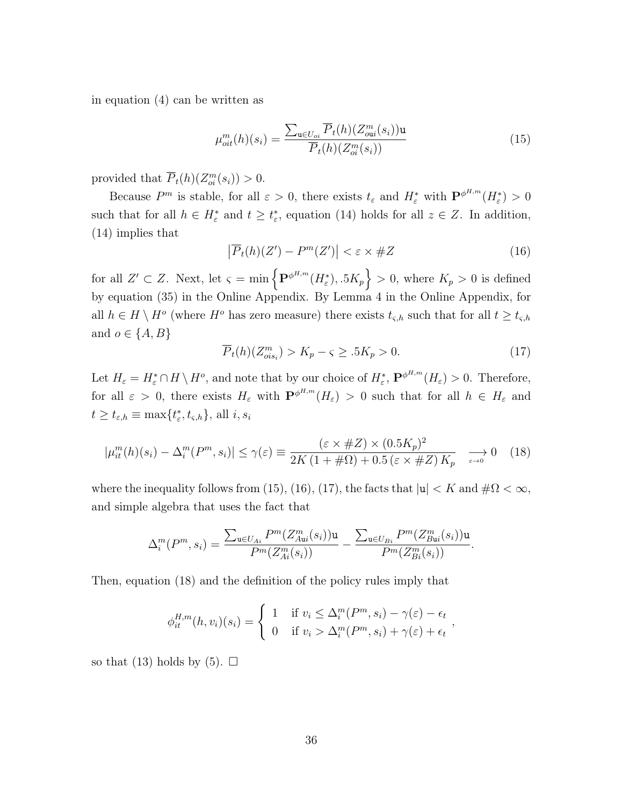in equation (4) can be written as

$$
\mu_{oit}^m(h)(s_i) = \frac{\sum_{\mathbf{u} \in U_{oi}} \overline{P}_t(h)(Z_{oi}^m(s_i))\mathbf{u}}{\overline{P}_t(h)(Z_{oi}^m(s_i))}
$$
(15)

provided that  $\overline{P}_t(h)(Z_{oi}^m(s_i)) > 0.$ 

Because  $P^m$  is stable, for all  $\varepsilon > 0$ , there exists  $t_\varepsilon$  and  $H_\varepsilon^*$  with  $\mathbf{P}^{\phi^{H,m}}(H_\varepsilon^*) > 0$ such that for all  $h \in H_{\varepsilon}^*$  and  $t \geq t_{\varepsilon}^*$ , equation (14) holds for all  $z \in Z$ . In addition, (14) implies that

$$
\left|\overline{P}_t(h)(Z') - P^m(Z')\right| < \varepsilon \times \#Z\tag{16}
$$

for all  $Z' \subset Z$ . Next, let  $\varsigma = \min \{ \mathbf{P}^{\phi^{H,m}}(H_{\varepsilon}^*), 0.5K_p \} > 0$ , where  $K_p > 0$  is defined by equation (35) in the Online Appendix. By Lemma 4 in the Online Appendix, for all  $h \in H \setminus H^o$  (where  $H^o$  has zero measure) there exists  $t_{\varsigma,h}$  such that for all  $t \ge t_{\varsigma,h}$ and  $o \in \{A, B\}$ 

$$
\overline{P}_t(h)(Z_{ois_i}^m) > K_p - \varsigma \ge .5K_p > 0. \tag{17}
$$

Let  $H_{\varepsilon} = H_{\varepsilon}^* \cap H \setminus H^o$ , and note that by our choice of  $H_{\varepsilon}^*$ ,  $\mathbf{P}^{\phi^{H,m}}(H_{\varepsilon}) > 0$ . Therefore, for all  $\varepsilon > 0$ , there exists  $H_{\varepsilon}$  with  $\mathbf{P}^{\phi^{H,m}}(H_{\varepsilon}) > 0$  such that for all  $h \in H_{\varepsilon}$  and  $t \ge t_{\varepsilon,h} \equiv \max\{t_{\varepsilon}^*, t_{\varsigma,h}\},\, \text{all } i, s_i$ 

$$
|\mu_{it}^{m}(h)(s_i) - \Delta_i^{m}(P^{m}, s_i)| \leq \gamma(\varepsilon) \equiv \frac{(\varepsilon \times \#Z) \times (0.5K_p)^2}{2K(1 + \# \Omega) + 0.5(\varepsilon \times \#Z)K_p} \longrightarrow 0 \quad (18)
$$

where the inequality follows from (15), (16), (17), the facts that  $|u| < K$  and  $\#\Omega < \infty$ , and simple algebra that uses the fact that

$$
\Delta_i^m(P^m, s_i) = \frac{\sum_{\mathbf{u} \in U_{Ai}} P^m(Z_{Au}^m(s_i)) \mathbf{u}}{P^m(Z_{Ai}^m(s_i))} - \frac{\sum_{\mathbf{u} \in U_{Bi}} P^m(Z_{Bu}^m(s_i)) \mathbf{u}}{P^m(Z_{Bi}^m(s_i))}.
$$

Then, equation (18) and the definition of the policy rules imply that

$$
\phi_{it}^{H,m}(h,v_i)(s_i) = \begin{cases} 1 & \text{if } v_i \leq \Delta_i^m(P^m, s_i) - \gamma(\varepsilon) - \epsilon_t \\ 0 & \text{if } v_i > \Delta_i^m(P^m, s_i) + \gamma(\varepsilon) + \epsilon_t \end{cases}
$$

so that (13) holds by (5).  $\Box$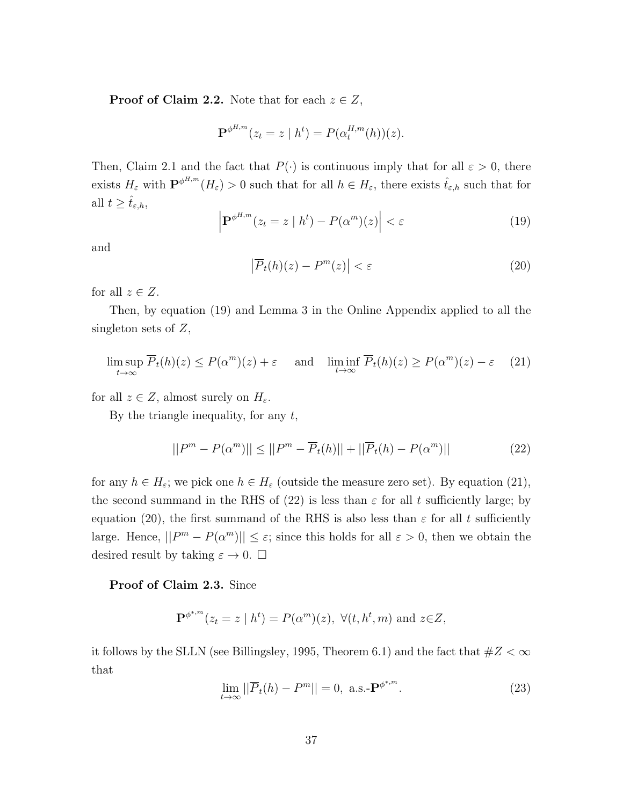**Proof of Claim 2.2.** Note that for each  $z \in Z$ ,

$$
\mathbf{P}^{\phi^{H,m}}(z_t = z \mid h^t) = P(\alpha_t^{H,m}(h))(z).
$$

Then, Claim 2.1 and the fact that  $P(\cdot)$  is continuous imply that for all  $\varepsilon > 0$ , there exists  $H_{\varepsilon}$  with  $\mathbf{P}^{\phi^{H,m}}(H_{\varepsilon}) > 0$  such that for all  $h \in H_{\varepsilon}$ , there exists  $\hat{t}_{\varepsilon,h}$  such that for all  $t \geq \hat{t}_{\varepsilon,h}$ ,

$$
\left| \mathbf{P}^{\phi^{H,m}}(z_t = z \mid h^t) - P(\alpha^m)(z) \right| < \varepsilon \tag{19}
$$

and

$$
\left|\overline{P}_t(h)(z) - P^m(z)\right| < \varepsilon \tag{20}
$$

for all  $z \in Z$ .

Then, by equation (19) and Lemma 3 in the Online Appendix applied to all the singleton sets of  $Z$ ,

$$
\limsup_{t \to \infty} \overline{P}_t(h)(z) \le P(\alpha^m)(z) + \varepsilon \quad \text{and} \quad \liminf_{t \to \infty} \overline{P}_t(h)(z) \ge P(\alpha^m)(z) - \varepsilon \tag{21}
$$

for all  $z \in Z$ , almost surely on  $H_{\varepsilon}$ .

By the triangle inequality, for any  $t$ ,

$$
||P^{m} - P(\alpha^{m})|| \le ||P^{m} - \overline{P}_{t}(h)|| + ||\overline{P}_{t}(h) - P(\alpha^{m})|| \tag{22}
$$

for any  $h \in H_{\varepsilon}$ ; we pick one  $h \in H_{\varepsilon}$  (outside the measure zero set). By equation (21), the second summand in the RHS of (22) is less than  $\varepsilon$  for all t sufficiently large; by equation (20), the first summand of the RHS is also less than  $\varepsilon$  for all t sufficiently large. Hence,  $||P^m - P(\alpha^m)|| \leq \varepsilon$ ; since this holds for all  $\varepsilon > 0$ , then we obtain the desired result by taking  $\varepsilon \to 0$ .  $\square$ 

#### Proof of Claim 2.3. Since

$$
\mathbf{P}^{\phi^{*,m}}(z_t = z \mid h^t) = P(\alpha^m)(z), \ \forall (t, h^t, m) \text{ and } z \in \mathbb{Z},
$$

it follows by the SLLN (see Billingsley, 1995, Theorem 6.1) and the fact that  $\#Z < \infty$ that

$$
\lim_{t \to \infty} ||\overline{P}_t(h) - P^m|| = 0, \text{ a.s.-} \mathbf{P}^{\phi^{*,m}}.
$$
 (23)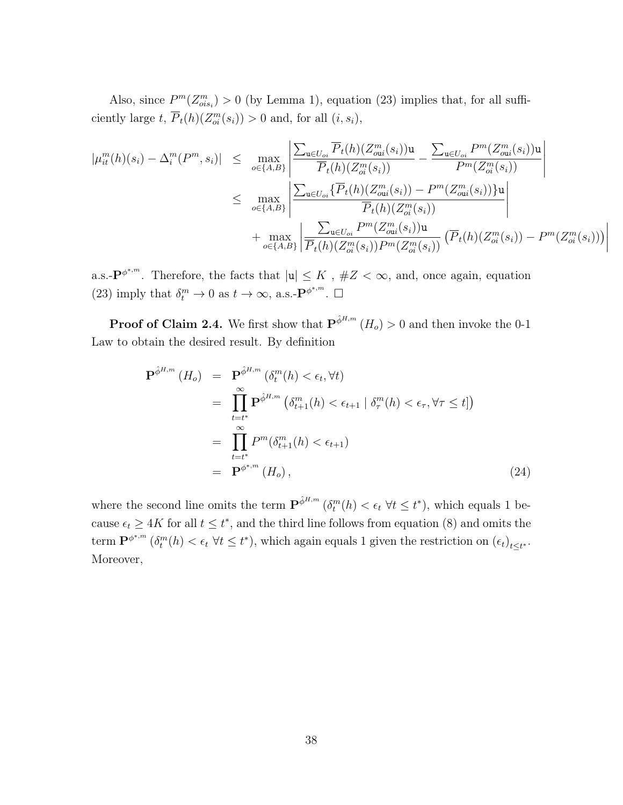Also, since  $P^m(Z_{ois_i}^m) > 0$  (by Lemma 1), equation (23) implies that, for all sufficiently large  $t$ ,  $\overline{P}_t(h)(Z_{oi}^m(s_i)) > 0$  and, for all  $(i, s_i)$ ,

$$
|\mu_{it}^{m}(h)(s_{i}) - \Delta_{i}^{m}(P^{m}, s_{i})| \leq \max_{o \in \{A, B\}} \left| \frac{\sum_{\mathbf{u} \in U_{oi}} \overline{P}_{t}(h)(Z_{oi}^{m}(s_{i}))\mathbf{u}}{\overline{P}_{t}(h)(Z_{oi}^{m}(s_{i}))} - \frac{\sum_{\mathbf{u} \in U_{oi}} P^{m}(Z_{oi}^{m}(s_{i}))\mathbf{u}}{P^{m}(Z_{oi}^{m}(s_{i}))} \right|
$$
  

$$
\leq \max_{o \in \{A, B\}} \left| \frac{\sum_{\mathbf{u} \in U_{oi}} \{\overline{P}_{t}(h)(Z_{oi}^{m}(s_{i})) - P^{m}(Z_{oi}^{m}(s_{i}))\}\mathbf{u}}{\overline{P}_{t}(h)(Z_{oi}^{m}(s_{i}))} \right|
$$
  

$$
+ \max_{o \in \{A, B\}} \left| \frac{\sum_{\mathbf{u} \in U_{oi}} P^{m}(Z_{oi}^{m}(s_{i}))\mathbf{u}}{\overline{P}_{t}(h)(Z_{oi}^{m}(s_{i}))P^{m}(Z_{oi}^{m}(s_{i}))} \left(\overline{P}_{t}(h)(Z_{oi}^{m}(s_{i})) - P^{m}(Z_{oi}^{m}(s_{i}))\right)\right|
$$

 $\mid$  $\mid$  $\mid$  $\vert$ 

a.s.- $\mathbf{P}^{\phi^{*,m}}$ . Therefore, the facts that  $|\mathbf{u}| \leq K$ ,  $\#Z < \infty$ , and, once again, equation (23) imply that  $\delta_t^m \to 0$  as  $t \to \infty$ , a.s.- $\mathbf{P}^{\phi^{*,m}}$ .  $\Box$ 

**Proof of Claim 2.4.** We first show that  $\mathbf{P}^{\hat{\phi}^{H,m}}(H_o) > 0$  and then invoke the 0-1 Law to obtain the desired result. By definition

$$
\mathbf{P}^{\hat{\phi}^{H,m}}\left(H_o\right) = \mathbf{P}^{\hat{\phi}^{H,m}}\left(\delta_t^m(h) < \epsilon_t, \forall t\right)
$$
\n
$$
= \prod_{t=t^*}^{\infty} \mathbf{P}^{\hat{\phi}^{H,m}}\left(\delta_{t+1}^m(h) < \epsilon_{t+1} \mid \delta_{\tau}^m(h) < \epsilon_{\tau}, \forall \tau \le t\right)
$$
\n
$$
= \prod_{t=t^*}^{\infty} P^m(\delta_{t+1}^m(h) < \epsilon_{t+1})
$$
\n
$$
= \mathbf{P}^{\phi^{*,m}}\left(H_o\right), \tag{24}
$$

where the second line omits the term  $\mathbf{P}^{\hat{\phi}^{H,m}}\left(\delta_t^m(h) < \epsilon_t \ \forall t \leq t^*\right)$ , which equals 1 because  $\epsilon_t \geq 4K$  for all  $t \leq t^*$ , and the third line follows from equation (8) and omits the term  $\mathbf{P}^{\phi^{*,m}}(\delta_t^m(h) < \epsilon_t \ \forall t \leq t^*)$ , which again equals 1 given the restriction on  $(\epsilon_t)_{t \leq t^*}$ . Moreover,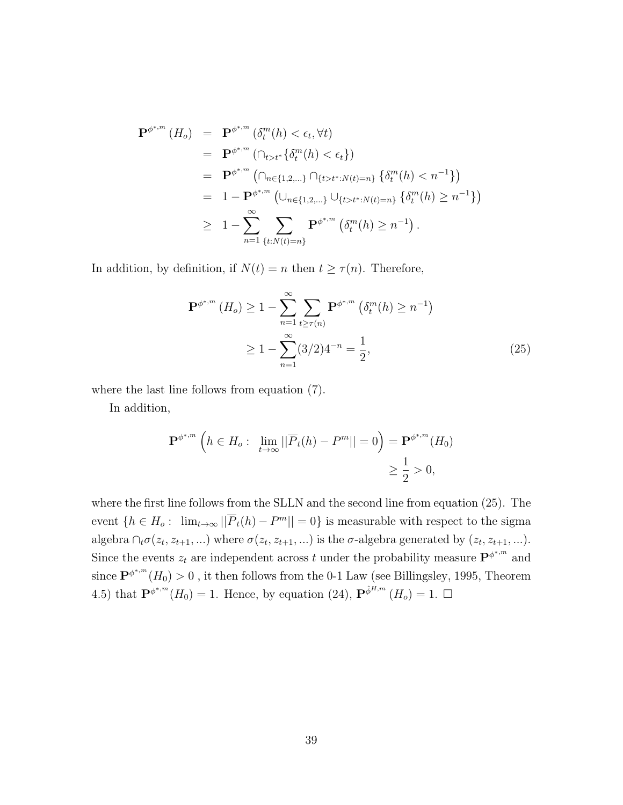$$
\mathbf{P}^{\phi^{*,m}}(H_o) = \mathbf{P}^{\phi^{*,m}}(\delta_t^m(h) < \epsilon_t, \forall t)
$$
\n
$$
= \mathbf{P}^{\phi^{*,m}}(\bigcap_{t>t^*} \{\delta_t^m(h) < \epsilon_t\})
$$
\n
$$
= \mathbf{P}^{\phi^{*,m}}(\bigcap_{n \in \{1,2,\ldots\}} \bigcap_{\{t>t^*: N(t)=n\}} \{\delta_t^m(h) < n^{-1}\})
$$
\n
$$
= 1 - \mathbf{P}^{\phi^{*,m}}(\bigcup_{n \in \{1,2,\ldots\}} \bigcup_{\{t>t^*: N(t)=n\}} \{\delta_t^m(h) \ge n^{-1}\})
$$
\n
$$
\ge 1 - \sum_{n=1}^{\infty} \sum_{\{t: N(t)=n\}} \mathbf{P}^{\phi^{*,m}}(\delta_t^m(h) \ge n^{-1}).
$$

In addition, by definition, if  $N(t) = n$  then  $t \geq \tau(n)$ . Therefore,

$$
\mathbf{P}^{\phi^{*,m}}\left(H_o\right) \ge 1 - \sum_{n=1}^{\infty} \sum_{t \ge \tau(n)} \mathbf{P}^{\phi^{*,m}}\left(\delta_t^m(h) \ge n^{-1}\right)
$$
  
 
$$
\ge 1 - \sum_{n=1}^{\infty} (3/2) 4^{-n} = \frac{1}{2}, \tag{25}
$$

where the last line follows from equation (7).

In addition,

$$
\mathbf{P}^{\phi^{*,m}}\left(h \in H_o: \lim_{t \to \infty} ||\overline{P}_t(h) - P^m|| = 0\right) = \mathbf{P}^{\phi^{*,m}}(H_0)
$$
  
\$\geq \frac{1}{2} > 0\$,

where the first line follows from the SLLN and the second line from equation (25). The event  $\{h \in H_o: \lim_{t \to \infty} ||\overline{P}_t(h) - P^m|| = 0\}$  is measurable with respect to the sigma algebra  $\cap_t \sigma(z_t, z_{t+1}, ...)$  where  $\sigma(z_t, z_{t+1}, ...)$  is the  $\sigma$ -algebra generated by  $(z_t, z_{t+1}, ...)$ . Since the events  $z_t$  are independent across t under the probability measure  $\mathbf{P}^{\phi^{*,m}}$  and since  $\mathbf{P}^{\phi^{*,m}}(H_0) > 0$ , it then follows from the 0-1 Law (see Billingsley, 1995, Theorem 4.5) that  $\mathbf{P}^{\phi^{*,m}}(H_0) = 1$ . Hence, by equation (24),  $\mathbf{P}^{\hat{\phi}^{H,m}}(H_0) = 1$ .  $\Box$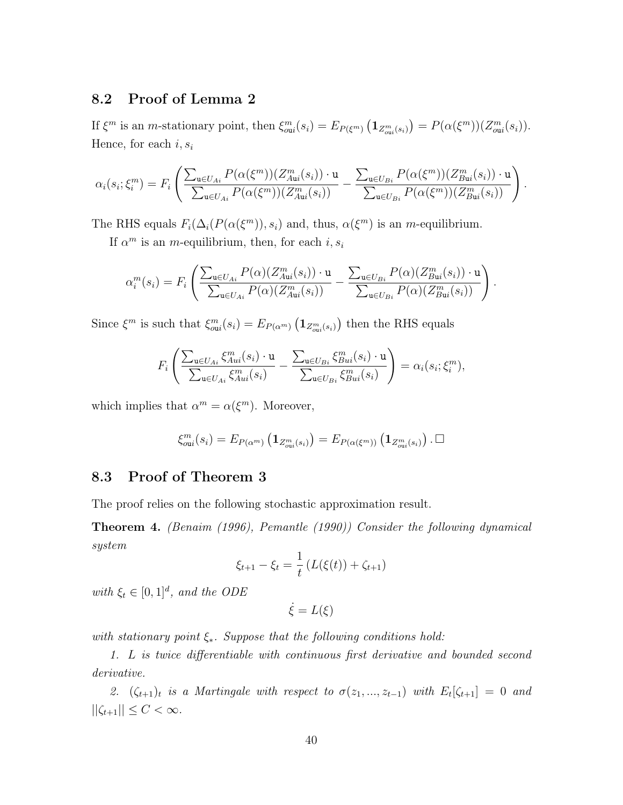### 8.2 Proof of Lemma 2

If  $\xi^m$  is an *m*-stationary point, then  $\xi_{\text{out}}^m(s_i) = E_{P(\xi^m)} \left( \mathbf{1}_{Z_{\text{out}}^m(s_i)} \right) = P(\alpha(\xi^m))(Z_{\text{out}}^m(s_i)).$ Hence, for each  $i, s_i$ 

$$
\alpha_i(s_i;\xi_i^m) = F_i\left(\frac{\sum_{\mathbf{u}\in U_{Ai}} P(\alpha(\xi^m))(Z_{Au}^m(s_i))\cdot \mathbf{u}}{\sum_{\mathbf{u}\in U_{Ai}} P(\alpha(\xi^m))(Z_{Au}^m(s_i))}-\frac{\sum_{\mathbf{u}\in U_{Bi}} P(\alpha(\xi^m))(Z_{Bu}^m(s_i))\cdot \mathbf{u}}{\sum_{\mathbf{u}\in U_{Bi}} P(\alpha(\xi^m))(Z_{Bu}^m(s_i))}\right).
$$

The RHS equals  $F_i(\Delta_i(P(\alpha(\xi^m)), s_i)$  and, thus,  $\alpha(\xi^m)$  is an *m*-equilibrium.

If  $\alpha^m$  is an *m*-equilibrium, then, for each *i*,  $s_i$ 

$$
\alpha_i^m(s_i) = F_i \left( \frac{\sum_{\mathbf{u} \in U_{Ai}} P(\alpha)(Z_{A\mathbf{u}i}^m(s_i)) \cdot \mathbf{u}}{\sum_{\mathbf{u} \in U_{Ai}} P(\alpha)(Z_{A\mathbf{u}i}^m(s_i))} - \frac{\sum_{\mathbf{u} \in U_{Bi}} P(\alpha)(Z_{B\mathbf{u}i}^m(s_i)) \cdot \mathbf{u}}{\sum_{\mathbf{u} \in U_{Bi}} P(\alpha)(Z_{B\mathbf{u}i}^m(s_i))} \right).
$$

Since  $\xi^m$  is such that  $\xi_{\text{out}}^m(s_i) = E_{P(\alpha^m)}\left(\mathbf{1}_{Z_{\text{out}}^m(s_i)}\right)$  then the RHS equals

$$
F_i\left(\frac{\sum_{\mathbf{u}\in U_{Ai}}\xi_{Aui}^m(s_i)\cdot\mathbf{u}}{\sum_{\mathbf{u}\in U_{Ai}}\xi_{Aui}^m(s_i)}-\frac{\sum_{\mathbf{u}\in U_{Bi}}\xi_{Bui}^m(s_i)\cdot\mathbf{u}}{\sum_{\mathbf{u}\in U_{Bi}}\xi_{Bui}^m(s_i)}\right)=\alpha_i(s_i;\xi_i^m),
$$

which implies that  $\alpha^m = \alpha(\xi^m)$ . Moreover,

$$
\xi_{\text{out}}^m(s_i) = E_{P(\alpha^m)}\left(\mathbf{1}_{Z_{\text{out}}^m(s_i)}\right) = E_{P(\alpha(\xi^m))}\left(\mathbf{1}_{Z_{\text{out}}^m(s_i)}\right). \ \Box
$$

### 8.3 Proof of Theorem 3

The proof relies on the following stochastic approximation result.

Theorem 4. (Benaim (1996), Pemantle (1990)) Consider the following dynamical system

$$
\xi_{t+1} - \xi_t = \frac{1}{t} \left( L(\xi(t)) + \zeta_{t+1} \right)
$$

with  $\xi_t \in [0,1]^d$ , and the ODE

 $\dot{\xi} = L(\xi)$ 

with stationary point  $\xi_*$ . Suppose that the following conditions hold:

1. L is twice differentiable with continuous first derivative and bounded second derivative.

2.  $(\zeta_{t+1})_t$  is a Martingale with respect to  $\sigma(z_1,...,z_{t-1})$  with  $E_t[\zeta_{t+1}] = 0$  and  $||\zeta_{t+1}|| \leq C < \infty$ .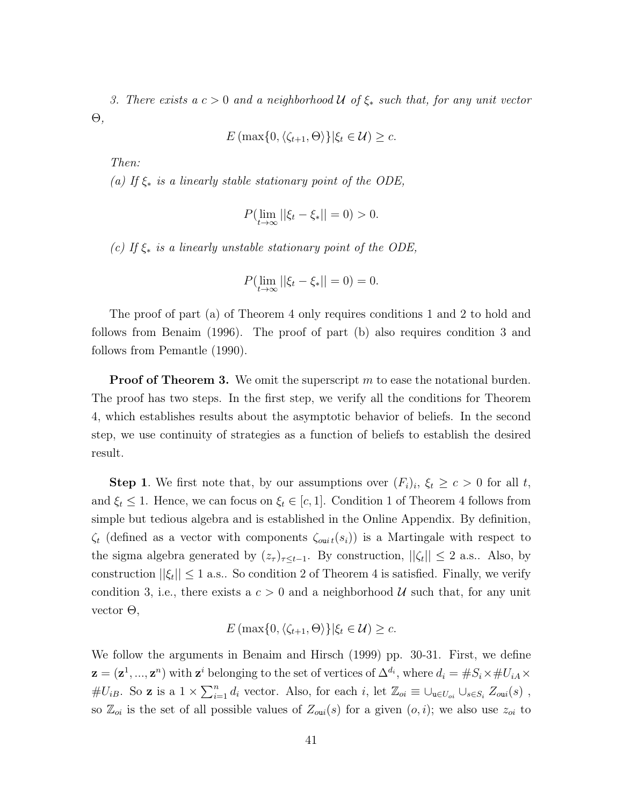3. There exists a  $c > 0$  and a neighborhood  $\mathcal U$  of  $\xi_*$  such that, for any unit vector Θ,

$$
E\left(\max\{0,\langle\zeta_{t+1},\Theta\rangle\}\big|\xi_t\in\mathcal{U}\right)\geq c.
$$

Then:

(a) If  $\xi_*$  is a linearly stable stationary point of the ODE,

$$
P(\lim_{t \to \infty} ||\xi_t - \xi_*|| = 0) > 0.
$$

(c) If  $\xi_*$  is a linearly unstable stationary point of the ODE,

$$
P(\lim_{t \to \infty} ||\xi_t - \xi_*|| = 0) = 0.
$$

The proof of part (a) of Theorem 4 only requires conditions 1 and 2 to hold and follows from Benaim (1996). The proof of part (b) also requires condition 3 and follows from Pemantle (1990).

**Proof of Theorem 3.** We omit the superscript  $m$  to ease the notational burden. The proof has two steps. In the first step, we verify all the conditions for Theorem 4, which establishes results about the asymptotic behavior of beliefs. In the second step, we use continuity of strategies as a function of beliefs to establish the desired result.

**Step 1**. We first note that, by our assumptions over  $(F_i)_i$ ,  $\xi_t \geq c > 0$  for all t, and  $\xi_t \leq 1$ . Hence, we can focus on  $\xi_t \in [c, 1]$ . Condition 1 of Theorem 4 follows from simple but tedious algebra and is established in the Online Appendix. By definition,  $\zeta_t$  (defined as a vector with components  $\zeta_{out}(s_i)$ ) is a Martingale with respect to the sigma algebra generated by  $(z_{\tau})_{\tau \leq t-1}$ . By construction,  $||\zeta_t|| \leq 2$  a.s.. Also, by construction  $||\xi_t|| \leq 1$  a.s.. So condition 2 of Theorem 4 is satisfied. Finally, we verify condition 3, i.e., there exists a  $c > 0$  and a neighborhood U such that, for any unit vector Θ,

$$
E(\max\{0, \langle \zeta_{t+1}, \Theta \rangle\}|\xi_t \in \mathcal{U}) \geq c.
$$

We follow the arguments in Benaim and Hirsch (1999) pp. 30-31. First, we define  $\mathbf{z} = (\mathbf{z}^1, ..., \mathbf{z}^n)$  with  $\mathbf{z}^i$  belonging to the set of vertices of  $\Delta^{d_i}$ , where  $d_i = \#S_i \times \#U_{iA} \times$ # $U_{iB}$ . So **z** is a  $1 \times \sum_{i=1}^{n} d_i$  vector. Also, for each i, let  $\mathbb{Z}_{oi} \equiv \bigcup_{\mathbf{u} \in U_{oi}} \bigcup_{s \in S_i} Z_{\text{out}}(s)$ , so  $\mathbb{Z}_{oi}$  is the set of all possible values of  $Z_{\text{out}}(s)$  for a given  $(o, i)$ ; we also use  $z_{oi}$  to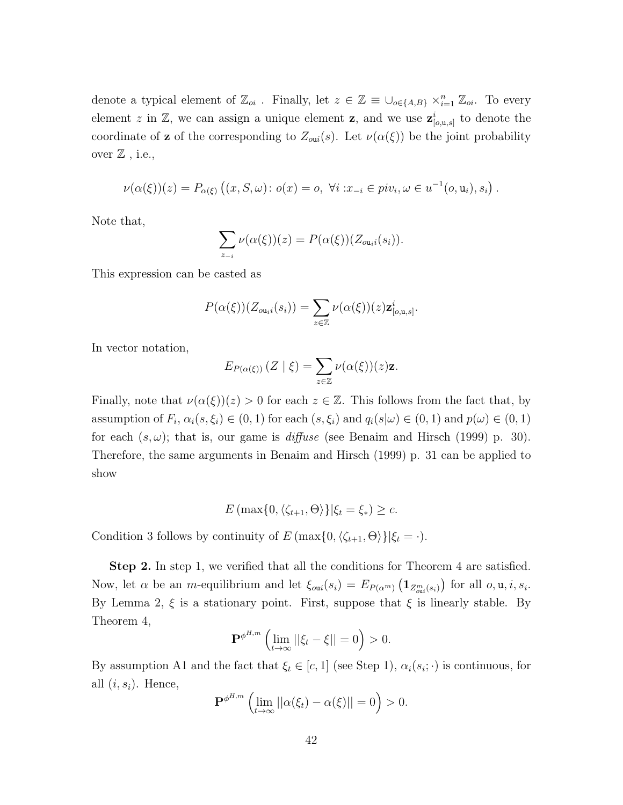denote a typical element of  $\mathbb{Z}_{oi}$ . Finally, let  $z \in \mathbb{Z} \equiv \cup_{o \in \{A,B\}} \times_{i=1}^n \mathbb{Z}_{oi}$ . To every element z in Z, we can assign a unique element z, and we use  $\mathbf{z}_{[o,\mathbf{u},s]}^i$  to denote the coordinate of **z** of the corresponding to  $Z_{\text{out}}(s)$ . Let  $\nu(\alpha(\xi))$  be the joint probability over  $\mathbb Z$ , i.e.,

$$
\nu(\alpha(\xi))(z) = P_{\alpha(\xi)}((x, S, \omega) : o(x) = o, \ \forall i : x_{-i} \in piv_i, \omega \in u^{-1}(o, u_i), s_i).
$$

Note that,

$$
\sum_{z_{-i}} \nu(\alpha(\xi))(z) = P(\alpha(\xi))(Z_{\alpha_{\mathfrak{u}}i}(s_i)).
$$

This expression can be casted as

$$
P(\alpha(\xi))(Z_{\mathfrak{ou}_i i}(s_i)) = \sum_{z \in \mathbb{Z}} \nu(\alpha(\xi))(z) \mathbf{z}_{[\mathfrak{o}, \mathfrak{u}, s]}^i.
$$

In vector notation,

$$
E_{P(\alpha(\xi))}(Z \mid \xi) = \sum_{z \in \mathbb{Z}} \nu(\alpha(\xi))(z) \mathbf{z}.
$$

Finally, note that  $\nu(\alpha(\xi))(z) > 0$  for each  $z \in \mathbb{Z}$ . This follows from the fact that, by assumption of  $F_i$ ,  $\alpha_i(s,\xi_i) \in (0,1)$  for each  $(s,\xi_i)$  and  $q_i(s|\omega) \in (0,1)$  and  $p(\omega) \in (0,1)$ for each  $(s, \omega)$ ; that is, our game is *diffuse* (see Benaim and Hirsch (1999) p. 30). Therefore, the same arguments in Benaim and Hirsch (1999) p. 31 can be applied to show

$$
E(\max\{0, \langle \zeta_{t+1}, \Theta \rangle\}|\xi_t = \xi_*) \geq c.
$$

Condition 3 follows by continuity of  $E(\max\{0, \langle \zeta_{t+1}, \Theta \rangle\}|\xi_t = \cdot).$ 

Step 2. In step 1, we verified that all the conditions for Theorem 4 are satisfied. Now, let  $\alpha$  be an *m*-equilibrium and let  $\xi_{\text{out}}(s_i) = E_{P(\alpha^m)}(\mathbf{1}_{Z_{\text{out}}^m(s_i)})$  for all  $o, u, i, s_i$ . By Lemma 2,  $\xi$  is a stationary point. First, suppose that  $\xi$  is linearly stable. By Theorem 4,

$$
\mathbf{P}^{\phi^{H,m}}\left(\lim_{t\to\infty}||\xi_t-\xi||=0\right)>0.
$$

By assumption A1 and the fact that  $\xi_t \in [c, 1]$  (see Step 1),  $\alpha_i(s_i; \cdot)$  is continuous, for all  $(i, s_i)$ . Hence,

$$
\mathbf{P}^{\phi^{H,m}}\left(\lim_{t\to\infty}||\alpha(\xi_t)-\alpha(\xi)||=0\right)>0.
$$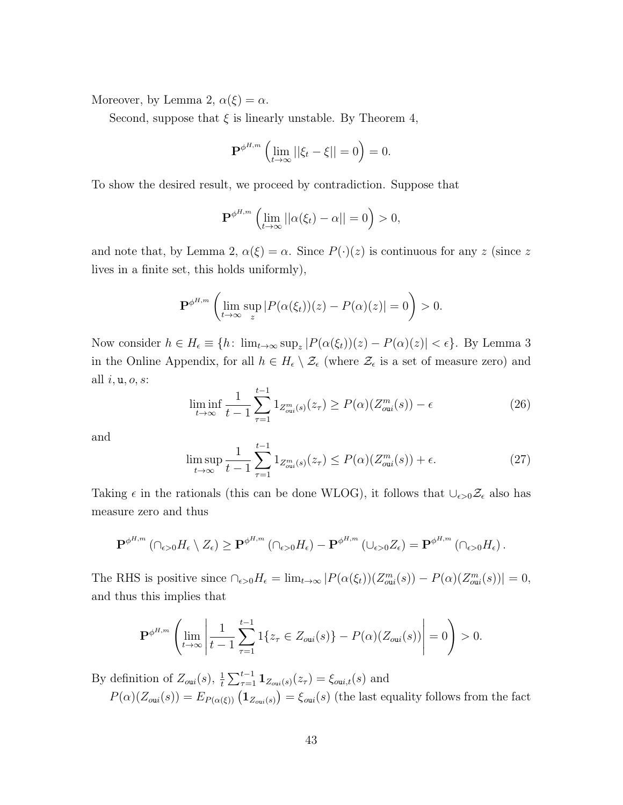Moreover, by Lemma 2,  $\alpha(\xi) = \alpha$ .

Second, suppose that  $\xi$  is linearly unstable. By Theorem 4,

$$
\mathbf{P}^{\phi^{H,m}}\left(\lim_{t\to\infty}||\xi_t-\xi||=0\right)=0.
$$

To show the desired result, we proceed by contradiction. Suppose that

$$
\mathbf{P}^{\phi^{H,m}}\left(\lim_{t\to\infty}||\alpha(\xi_t)-\alpha||=0\right)>0,
$$

and note that, by Lemma 2,  $\alpha(\xi) = \alpha$ . Since  $P(\cdot)(z)$  is continuous for any z (since z lives in a finite set, this holds uniformly),

$$
\mathbf{P}^{\phi^{H,m}}\left(\lim_{t\to\infty}\sup_z|P(\alpha(\xi_t))(z)-P(\alpha)(z)|=0\right)>0.
$$

Now consider  $h \in H_{\epsilon} \equiv \{h : \lim_{t \to \infty} \sup_z |P(\alpha(\xi_t))(z) - P(\alpha)(z)| < \epsilon\}$ . By Lemma 3 in the Online Appendix, for all  $h \in H_{\epsilon} \setminus \mathcal{Z}_{\epsilon}$  (where  $\mathcal{Z}_{\epsilon}$  is a set of measure zero) and all  $i, u, o, s$ :

$$
\liminf_{t \to \infty} \frac{1}{t-1} \sum_{\tau=1}^{t-1} 1_{Z_{\text{out}}^m(s)}(z_{\tau}) \ge P(\alpha)(Z_{\text{out}}^m(s)) - \epsilon
$$
\n(26)

and

$$
\limsup_{t \to \infty} \frac{1}{t-1} \sum_{\tau=1}^{t-1} 1_{Z_{\text{out}}^m(s)}(z_{\tau}) \le P(\alpha)(Z_{\text{out}}^m(s)) + \epsilon.
$$
 (27)

Taking  $\epsilon$  in the rationals (this can be done WLOG), it follows that  $\cup_{\epsilon>0}\mathcal{Z}_{\epsilon}$  also has measure zero and thus

$$
\mathbf{P}^{\phi^{H,m}}\left(\bigcap_{\epsilon>0}H_{\epsilon}\setminus Z_{\epsilon}\right)\geq \mathbf{P}^{\phi^{H,m}}\left(\bigcap_{\epsilon>0}H_{\epsilon}\right)-\mathbf{P}^{\phi^{H,m}}\left(\cup_{\epsilon>0}Z_{\epsilon}\right)=\mathbf{P}^{\phi^{H,m}}\left(\bigcap_{\epsilon>0}H_{\epsilon}\right).
$$

The RHS is positive since  $\bigcap_{\epsilon>0} H_{\epsilon} = \lim_{t\to\infty} |P(\alpha(\xi_t))(Z_{\text{out}}^m(s)) - P(\alpha)(Z_{\text{out}}^m(s))| = 0,$ and thus this implies that

$$
\mathbf{P}^{\phi^{H,m}}\left(\lim_{t\to\infty}\left|\frac{1}{t-1}\sum_{\tau=1}^{t-1}1\{z_{\tau}\in Z_{\text{out}}(s)\}-P(\alpha)(Z_{\text{out}}(s))\right|=0\right)>0.
$$

By definition of  $Z_{\text{out}}(s)$ ,  $\frac{1}{t}$  $\frac{1}{t} \sum_{\tau=1}^{t-1} \mathbf{1}_{Z_{\text{out}}(s)}(z_{\tau}) = \xi_{\text{out},t}(s)$  and

 $P(\alpha)(Z_{\text{out}}(s)) = E_{P(\alpha(\xi))} (1_{Z_{\text{out}}(s)}) = \xi_{\text{out}}(s)$  (the last equality follows from the fact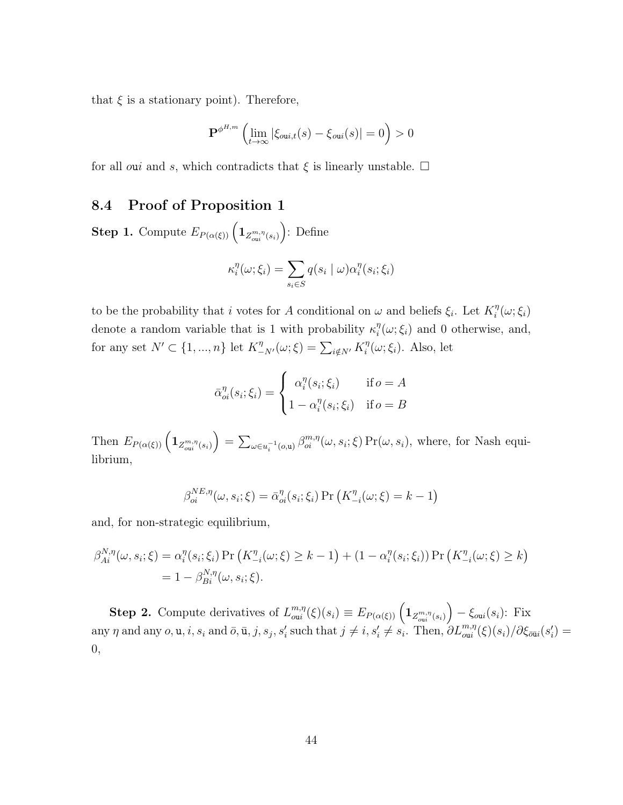that  $\xi$  is a stationary point). Therefore,

$$
\mathbf{P}^{\phi^{H,m}}\left(\lim_{t\to\infty}|\xi_{\text{out},t}(s)-\xi_{\text{out}}(s)|=0\right)>0
$$

for all oui and s, which contradicts that  $\xi$  is linearly unstable.  $\Box$ 

### 8.4 Proof of Proposition 1

**Step 1.** Compute  $E_{P(\alpha(\xi))}\left(\mathbf{1}_{Z^{m,\eta}_{\text{out}}(s_i)}\right)$ : Define

$$
\kappa_i^{\eta}(\omega;\xi_i) = \sum_{s_i \in S} q(s_i \mid \omega) \alpha_i^{\eta}(s_i;\xi_i)
$$

to be the probability that i votes for A conditional on  $\omega$  and beliefs  $\xi_i$ . Let  $K_i^{\eta}$  $\int\limits_{i}^{\eta}(\omega;\xi_{i})$ denote a random variable that is 1 with probability  $\kappa_i^{\eta}$  $i(\omega; \xi_i)$  and 0 otherwise, and, for any set  $N' \subset \{1, ..., n\}$  let  $K^{\eta}_{-N'}(\omega; \xi) = \sum_{i \notin N'} K^{\eta}_{i}$  $i^{\eta}(\omega;\xi_i)$ . Also, let

$$
\bar{\alpha}_{oi}^{\eta}(s_i; \xi_i) = \begin{cases} \alpha_i^{\eta}(s_i; \xi_i) & \text{if } o = A \\ 1 - \alpha_i^{\eta}(s_i; \xi_i) & \text{if } o = B \end{cases}
$$

Then  $E_{P(\alpha(\xi))}\left(\mathbf{1}_{Z_{\text{out}}^{m,\eta}(s_i)}\right) = \sum_{\omega \in u_i^{-1}(o,\mathbf{u})} \beta_{oi}^{m,\eta}(\omega,s_i;\xi) \Pr(\omega,s_i)$ , where, for Nash equilibrium,

$$
\beta_{oi}^{NE,\eta}(\omega, s_i; \xi) = \bar{\alpha}_{oi}^{\eta}(s_i; \xi_i) \Pr\left(K_{-i}^{\eta}(\omega; \xi) = k - 1\right)
$$

and, for non-strategic equilibrium,

$$
\beta_{Ai}^{N,\eta}(\omega, s_i; \xi) = \alpha_i^{\eta}(s_i; \xi_i) \Pr\left(K_{-i}^{\eta}(\omega; \xi) \ge k - 1\right) + (1 - \alpha_i^{\eta}(s_i; \xi_i)) \Pr\left(K_{-i}^{\eta}(\omega; \xi) \ge k\right)
$$
  
= 1 - \beta\_{Bi}^{N,\eta}(\omega, s\_i; \xi).

**Step 2.** Compute derivatives of  $L_{\text{on }i}^{m,\eta}$  $\binom{m,\eta(\xi)}{m} \equiv E_{P(\alpha(\xi))} \left( \mathbf{1}_{Z_{\text{out}}^{m,\eta}(s_i)} \right) - \xi_{\text{out}}(s_i)$ : Fix any  $\eta$  and any  $o, \mathbf{u}, i, s_i$  and  $\bar{o}, \bar{\mathbf{u}}, j, s_j, s'_i$  such that  $j \neq i, s'_i \neq s_i$ . Then,  $\partial L_{\text{out}}^{m,\eta}(\xi)(s_i)/\partial \xi_{\text{out}}(s'_i)$ 0,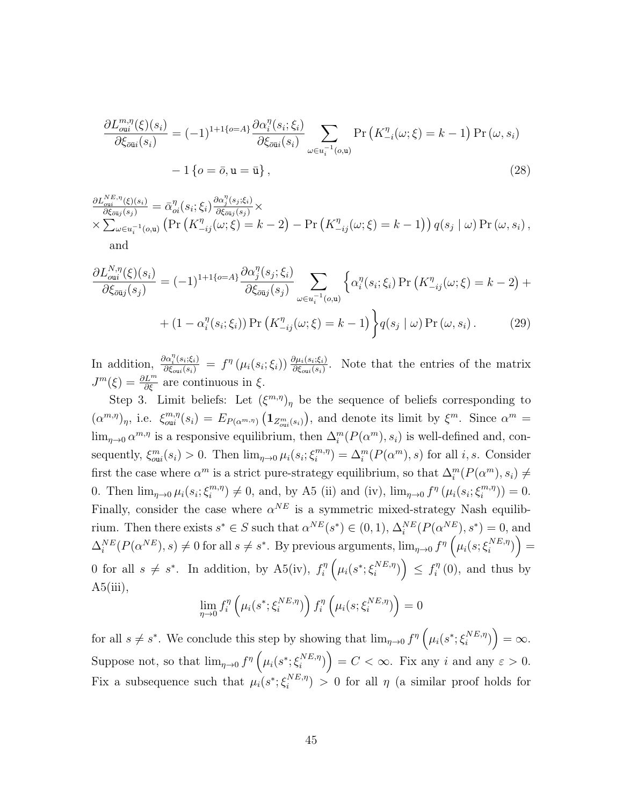$$
\frac{\partial L_{\text{out}}^{m,\eta}(\xi)(s_i)}{\partial \xi_{\text{out}}(s_i)} = (-1)^{1+1\{o=A\}} \frac{\partial \alpha_i^{\eta}(s_i; \xi_i)}{\partial \xi_{\text{out}}(s_i)} \sum_{\omega \in u_i^{-1}(o,\mathbf{u})} \Pr\left(K_{-i}^{\eta}(\omega; \xi) = k-1\right) \Pr\left(\omega, s_i\right) - 1\left\{o = \bar{o}, \mathbf{u} = \bar{\mathbf{u}}\right\},\tag{28}
$$

$$
\frac{\partial L_{\text{out}}^{NE,\eta}(\xi)(s_i)}{\partial \xi_{\text{out}}(s_j)} = \bar{\alpha}_{oi}^{\eta}(s_i; \xi_i) \frac{\partial \alpha_j^{\eta}(s_j; \xi_i)}{\partial \xi_{\text{out}}(s_j)} \times \times \sum_{\omega \in u_i^{-1}(o,\mathbf{u})} \left( \Pr\left( K_{-ij}^{\eta}(\omega; \xi) = k - 2 \right) - \Pr\left( K_{-ij}^{\eta}(\omega; \xi) = k - 1 \right) \right) q(s_j \mid \omega) \Pr\left(\omega, s_i\right),
$$
\nand

$$
\frac{\partial L_{\text{out}}^{N,\eta}(\xi)(s_i)}{\partial \xi_{\bar{\text{out}}j}(s_j)} = (-1)^{1+1\{o=A\}} \frac{\partial \alpha_j^{\eta}(s_j;\xi_i)}{\partial \xi_{\bar{\text{out}}j}(s_j)} \sum_{\omega \in u_i^{-1}(o,\mathbf{u})} \left\{ \alpha_i^{\eta}(s_i;\xi_i) \Pr\left(K_{-ij}^{\eta}(\omega;\xi) = k-2\right) + \left(1 - \alpha_i^{\eta}(s_i;\xi_i)\right) \Pr\left(K_{-ij}^{\eta}(\omega;\xi) = k-1\right) \right\} q(s_j \mid \omega) \Pr(\omega, s_i).
$$
\n(29)

In addition,  $\frac{\partial \alpha_i^{\eta}(s_i;\xi_i)}{\partial \xi_{\text{out}}(s_i)} = f^{\eta}(\mu_i(s_i;\xi_i)) \frac{\partial \mu_i(s_i;\xi_i)}{\partial \xi_{\text{out}}(s_i)}$ . Note that the entries of the matrix  $J^m(\xi) = \frac{\partial L^m}{\partial \xi}$  are continuous in  $\xi$ .

Step 3. Limit beliefs: Let  $(\xi^{m,\eta})_{\eta}$  be the sequence of beliefs corresponding to  $(\alpha^{m,\eta})_{\eta}$ , i.e.  $\xi_{\text{out}}^{m,\eta}$  $\binom{m,\eta}{\text{out}}(s_i) = E_{P(\alpha^{m,\eta})}\left(\mathbf{1}_{Z_{\text{out}}^m(s_i)}\right),$  and denote its limit by  $\xi^m$ . Since  $\alpha^m =$  $\lim_{\eta\to 0} \alpha^{m,\eta}$  is a responsive equilibrium, then  $\Delta_i^m(P(\alpha^m), s_i)$  is well-defined and, consequently,  $\xi_{\text{out}}^m(s_i) > 0$ . Then  $\lim_{\eta \to 0} \mu_i(s_i; \xi_i^{m,\eta})$  $\binom{m,\eta}{i} = \Delta_i^m(P(\alpha^m), s)$  for all *i*, *s*. Consider first the case where  $\alpha^m$  is a strict pure-strategy equilibrium, so that  $\Delta_i^m(P(\alpha^m), s_i) \neq$ 0. Then  $\lim_{\eta \to 0} \mu_i(s_i; \xi_i^{m,\eta})$  $\lim_{i} (m,n) \neq 0$ , and, by A5 (ii) and (iv),  $\lim_{\eta \to 0} f^{\eta}(\mu_i(s_i; \xi_i^{m,\eta}))$  $\binom{m,\eta}{i}$  = 0. Finally, consider the case where  $\alpha^{NE}$  is a symmetric mixed-strategy Nash equilibrium. Then there exists  $s^* \in S$  such that  $\alpha^{NE}(s^*) \in (0, 1), \Delta_i^{NE}(P(\alpha^{NE}), s^*) = 0$ , and  $\Delta_i^{NE}(P(\alpha^{NE}), s) \neq 0$  for all  $s \neq s^*$ . By previous arguments,  $\lim_{\eta \to 0} f^{\eta} \left( \mu_i(s; \xi_i^{NE, \eta}) \right)$  $\binom{NE,\eta}{i}$  = 0 for all  $s \neq s^*$ . In addition, by A5(iv),  $f_i^n$  $\hat{e}^\eta_i\left(\mu_i(s^*; \xi_i^{NE,\eta})\right)$  $\binom{NE,\eta}{i}$   $\leq f_i^{\eta}$  $\sum_{i=1}^{\eta}$  (0), and thus by  $A5(iii)$ ,

$$
\lim_{\eta \to 0} f_i^{\eta} \left( \mu_i(s^*; \xi_i^{NE, \eta}) \right) f_i^{\eta} \left( \mu_i(s; \xi_i^{NE, \eta}) \right) = 0
$$

for all  $s \neq s^*$ . We conclude this step by showing that  $\lim_{\eta \to 0} f^{\eta} \left( \mu_i(s^*; \xi_i^{NE, \eta}) \right)$  $\binom{NE,\eta}{i} = \infty.$ Suppose not, so that  $\lim_{\eta \to 0} f^{\eta} \left( \mu_i(s^*; \xi_i^{NE, \eta}) \right)$  $\binom{NE,\eta}{i}$  =  $C < \infty$ . Fix any i and any  $\varepsilon > 0$ . Fix a subsequence such that  $\mu_i(s^*; \xi_i^{NE, \eta})$  $\binom{N}{i} > 0$  for all  $\eta$  (a similar proof holds for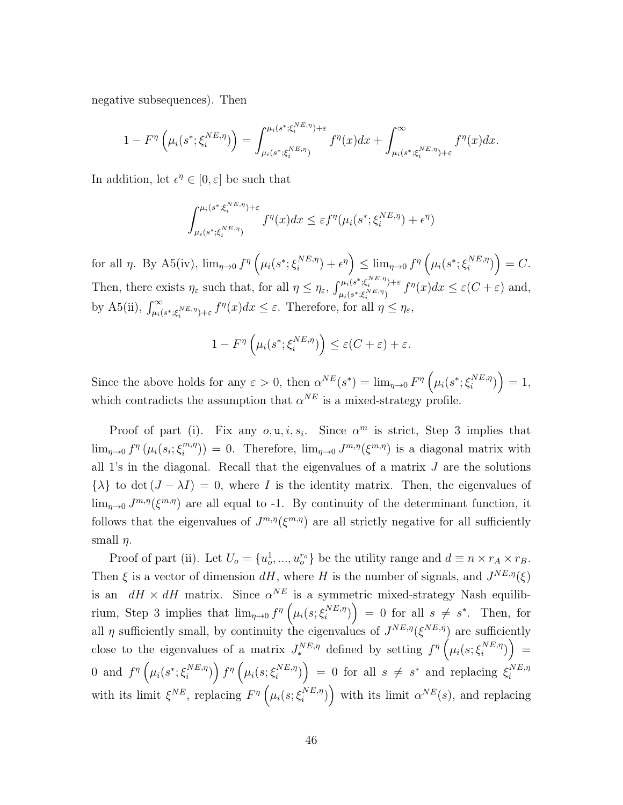negative subsequences). Then

$$
1 - F^{\eta} \left( \mu_i(s^*; \xi_i^{NE, \eta}) \right) = \int_{\mu_i(s^*; \xi_i^{NE, \eta})}^{\mu_i(s^*; \xi_i^{NE, \eta}) + \varepsilon} f^{\eta}(x) dx + \int_{\mu_i(s^*; \xi_i^{NE, \eta}) + \varepsilon}^{\infty} f^{\eta}(x) dx.
$$

In addition, let  $\epsilon^{\eta} \in [0, \varepsilon]$  be such that

$$
\int_{\mu_i(s^*, \xi_i^{NE,\eta})}^{\mu_i(s^*, \xi_i^{NE,\eta})+\varepsilon} f^{\eta}(x) dx \leq \varepsilon f^{\eta}(\mu_i(s^*; \xi_i^{NE,\eta})+\epsilon^{\eta})
$$

for all  $\eta$ . By A5(iv),  $\lim_{\eta \to 0} f^{\eta} \left( \mu_i(s^*; \xi_i^{NE, \eta}) \right)$  $\left(\begin{smallmatrix} \textit{NE}, \eta \\ \textit{i} \end{smallmatrix}\right) + \epsilon^{\eta} \right) \leq \lim_{\eta \to 0} f^{\eta} \left( \mu_{i}(s^{*}; \xi_{i}^{NE, \eta}) \right)$  $\binom{NE,\eta}{i}$  = C. Then, there exists  $\eta_{\varepsilon}$  such that, for all  $\eta \leq \eta_{\varepsilon}$ ,  $\int_{\mu_{\varepsilon}(s^*,\xi_i^{NE,\eta})+\varepsilon}^{\mu_i(s^*,\xi_i^{NE,\eta})+\varepsilon}$  $\sum_{\mu_i(s^*;\xi_i^{NE,\eta})}^{\mu_i(s^*;\xi_i^{NE,\eta})} f^{\eta}(x)dx \leq \varepsilon(C+\varepsilon)$  and, by A5(ii),  $\int_{\mu_i(s^*,\xi_i^{NE,\eta})+\varepsilon}^{\infty} f^{\eta}(x)dx \leq \varepsilon$ . Therefore, for all  $\eta \leq \eta_{\varepsilon}$ ,

$$
1 - F^{\eta} \left( \mu_i(s^*; \xi_i^{NE, \eta}) \right) \le \varepsilon (C + \varepsilon) + \varepsilon.
$$

Since the above holds for any  $\varepsilon > 0$ , then  $\alpha^{NE}(s^*) = \lim_{\eta \to 0} F^{\eta} \left( \mu_i(s^*; \xi_i^{NE, \eta}) \right)$  $\binom{NE,\eta}{i}$  = 1, which contradicts the assumption that  $\alpha^{NE}$  is a mixed-strategy profile.

Proof of part (i). Fix any  $o, u, i, s_i$ . Since  $\alpha^m$  is strict, Step 3 implies that  $\lim_{\eta\to 0} f^{\eta}(\mu_i(s_i;\xi_i^{m,\eta}))$  $\lim_{n \to \infty} J^{m,\eta}(\xi^{m,\eta})$  is a diagonal matrix with all 1's in the diagonal. Recall that the eigenvalues of a matrix  $J$  are the solutions  $\{\lambda\}$  to det  $(J - \lambda I) = 0$ , where I is the identity matrix. Then, the eigenvalues of  $\lim_{\eta \to 0} J^{m,\eta}(\xi^{m,\eta})$  are all equal to -1. By continuity of the determinant function, it follows that the eigenvalues of  $J^{m,\eta}(\xi^{m,\eta})$  are all strictly negative for all sufficiently small  $\eta$ .

Proof of part (ii). Let  $U_o = \{u_o^1, ..., u_o^{r_o}\}\$  be the utility range and  $d \equiv n \times r_A \times r_B$ . Then  $\xi$  is a vector of dimension  $dH$ , where H is the number of signals, and  $J^{NE,\eta}(\xi)$ is an  $dH \times dH$  matrix. Since  $\alpha^{NE}$  is a symmetric mixed-strategy Nash equilibrium, Step 3 implies that  $\lim_{\eta \to 0} f^{\eta} \left( \mu_i(s; \xi_i^{NE, \eta}) \right)$  $\binom{NE,\eta}{i}$  = 0 for all  $s \neq s^*$ . Then, for all  $\eta$  sufficiently small, by continuity the eigenvalues of  $J^{NE,\eta}(\xi^{NE,\eta})$  are sufficiently close to the eigenvalues of a matrix  $J_*^{NE,\eta}$  defined by setting  $f^{\eta}(\mu_i(s;\xi_i^{NE,\eta}))$  $\binom{NE,\eta}{i}$  = 0 and  $f^{\eta}(\mu_i(s^*; \xi_i^{NE, \eta}))$  $\left(\mu_i(s;\xi_i^{NE,\eta})\right)f^\eta\left(\mu_i(s;\xi_i^{NE,\eta})\right)$  $\binom{NE,\eta}{i}$  = 0 for all  $s \neq s^*$  and replacing  $\xi_i^{NE,\eta}$ i with its limit  $\xi^{NE}$ , replacing  $F^{\eta}(\mu_i(s;\xi_i^{NE,\eta}))$  $\binom{NE,\eta}{i}$  with its limit  $\alpha^{NE}(s)$ , and replacing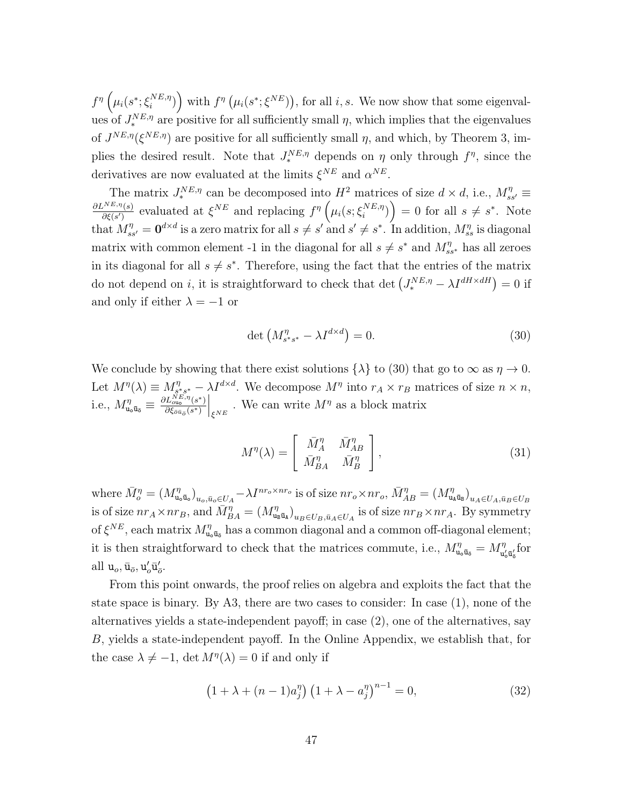$f^\eta \left( \mu_i(s^*; \xi_i^{NE, \eta}$  $\binom{NE,\eta}{i}$  with  $f^{\eta}(\mu_i(s^*; \xi^{NE}))$ , for all i, s. We now show that some eigenvalues of  $J_*^{NE,\eta}$  are positive for all sufficiently small  $\eta$ , which implies that the eigenvalues of  $J^{NE,\eta}(\xi^{NE,\eta})$  are positive for all sufficiently small  $\eta$ , and which, by Theorem 3, implies the desired result. Note that  $J_*^{NE,\eta}$  depends on  $\eta$  only through  $f^{\eta}$ , since the derivatives are now evaluated at the limits  $\xi^{NE}$  and  $\alpha^{NE}$ .

The matrix  $J_{*}^{NE,\eta}$  can be decomposed into  $H^2$  matrices of size  $d \times d$ , i.e.,  $M_{ss'}^{\eta} \equiv$  $\partial L^{NE,\eta}(s)$  $\frac{f^{NE,\eta}(s)}{\partial \xi(s')}$  evaluated at  $\xi^{NE}$  and replacing  $f^{\eta}$   $\left(\mu_i(s;\xi_i^{NE,\eta})\right)$  $\binom{NE,\eta}{i}$  = 0 for all  $s \neq s^*$ . Note that  $M_{ss'}^{\eta} = \mathbf{0}^{d \times d}$  is a zero matrix for all  $s \neq s'$  and  $s' \neq s^*$ . In addition,  $M_{ss}^{\eta}$  is diagonal matrix with common element -1 in the diagonal for all  $s \neq s^*$  and  $M_{ss^*}^{\eta}$  has all zeroes in its diagonal for all  $s \neq s^*$ . Therefore, using the fact that the entries of the matrix do not depend on *i*, it is straightforward to check that det  $(J_*^{NE,\eta} - \lambda I^{dH \times dH}) = 0$  if and only if either  $\lambda = -1$  or

$$
\det \left( M_{s^*s^*}^{\eta} - \lambda I^{d \times d} \right) = 0. \tag{30}
$$

We conclude by showing that there exist solutions  $\{\lambda\}$  to (30) that go to  $\infty$  as  $\eta \to 0$ . Let  $M^{\eta}(\lambda) \equiv M^{\eta}_{s^{\eta}}$  $\mathcal{L}_{s^*s^*}^{\eta} - \lambda I^{d \times d}$ . We decompose  $M^{\eta}$  into  $r_A \times r_B$  matrices of size  $n \times n$ , i.e.,  $M^\eta_{\mathtt{u_o}\bar{\mathtt{u}}_{\bar{\mathtt{o}}}}\equiv \frac{\partial L^{NE,\eta}_{\text{ou}_\mathtt{o}}(s^*)}{\partial \xi_{\bar{\alpha}\bar{u}_{\bar{\alpha}}}(s^*)}$  $\overline{\partial \xi_{\bar{o}\bar{u}_{\bar{o}}}(s^*)}$  $\Big|_{\xi^{NE}}$ . We can write  $M^{\eta}$  as a block matrix

$$
M^{\eta}(\lambda) = \begin{bmatrix} \bar{M}_A^{\eta} & \bar{M}_{AB}^{\eta} \\ \bar{M}_{BA}^{\eta} & \bar{M}_B^{\eta} \end{bmatrix},
$$
\n(31)

where  $\bar{M}^{\eta}_{o} = (M^{\eta}_{\mathbf{u}_{o}})$  $\left( \sum_{\mathbf{u}_o\bar{\mathbf{u}}_o} \right)_{u_o,\bar{u}_o\in U_A} - \lambda I^{n r_o \times n r_o}$  is of size  $n r_o \times n r_o, \, \bar{M}_{AB}^{\eta} = (M_{\mathbf{u}_o}^{\eta})$  $\left( \begin{smallmatrix} \eta \cr \mathbf{u}_\mathtt{A}\bar{\mathbf{u}}_\mathtt{B} \end{smallmatrix} \right)_{\mathcal{U}_A\in U_A, \bar{u}_B \in U_B}$ is of size  $nr_A \times nr_B$ , and  $\bar{M}_{BA}^{\eta} = (M_{\mathbf{u}_i}^{\eta})$  $\int_{u_B\bar{u}_A}^{\eta} v_{u_B\in U_B, \bar{u}_A \in U_A}$  is of size  $nr_B \times nr_A$ . By symmetry of  $\xi^{NE}$ , each matrix  $M^{\eta}_{\mathbf{u}}$  $\eta_{u_0\bar{u}_\delta}$  has a common diagonal and a common off-diagonal element; it is then straightforward to check that the matrices commute, i.e.,  $M_{\mathbf{u}_o\bar{\mathbf{u}}_o}^{\eta} = M_{\mathbf{u}_o}^{\eta}$  $\int_{\mathbf{u}_0'\bar{\mathbf{u}}'_\sigma}^{\eta}$  for all $\mathbf{u}_o, \bar{\mathbf{u}}_{\bar{o}}, \mathbf{u}_o' \bar{\mathbf{u}}'_{\bar{o}}.$ 

From this point onwards, the proof relies on algebra and exploits the fact that the state space is binary. By A3, there are two cases to consider: In case (1), none of the alternatives yields a state-independent payoff; in case (2), one of the alternatives, say B, yields a state-independent payoff. In the Online Appendix, we establish that, for the case  $\lambda \neq -1$ , det  $M^{\eta}(\lambda) = 0$  if and only if

$$
(1 + \lambda + (n - 1)a_j^{\eta}) (1 + \lambda - a_j^{\eta})^{n-1} = 0,
$$
\n(32)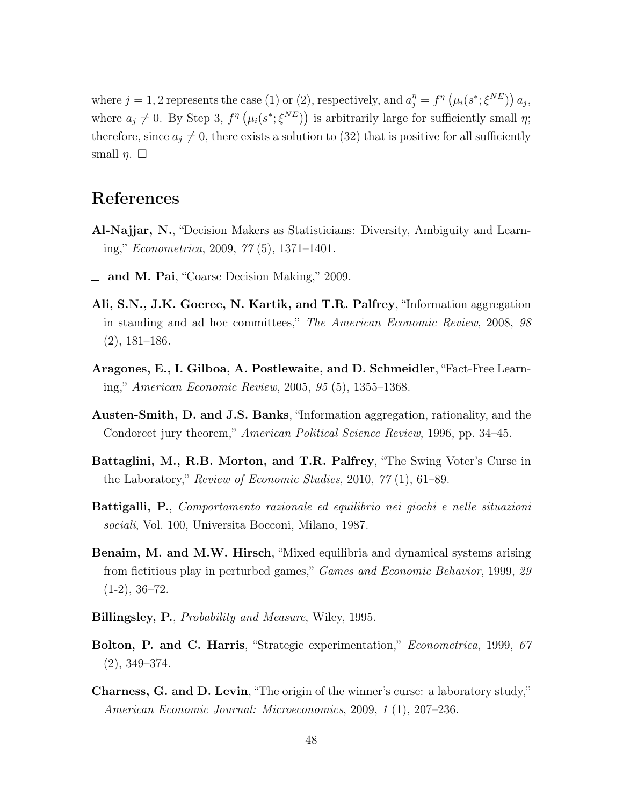where  $j = 1, 2$  represents the case (1) or (2), respectively, and  $a_j^{\eta} = f^{\eta}(\mu_i(s^*; \xi^{NE})) a_j$ , where  $a_j \neq 0$ . By Step 3,  $f^{\eta}(\mu_i(s^*; \xi^{NE}))$  is arbitrarily large for sufficiently small  $\eta$ ; therefore, since  $a_j \neq 0$ , there exists a solution to (32) that is positive for all sufficiently small  $\eta$ .  $\square$ 

# References

- Al-Najjar, N., "Decision Makers as Statisticians: Diversity, Ambiguity and Learning," Econometrica, 2009, 77 (5), 1371–1401.
- and M. Pai, "Coarse Decision Making," 2009.
- Ali, S.N., J.K. Goeree, N. Kartik, and T.R. Palfrey, "Information aggregation in standing and ad hoc committees," The American Economic Review, 2008, 98 (2), 181–186.
- Aragones, E., I. Gilboa, A. Postlewaite, and D. Schmeidler, "Fact-Free Learning," American Economic Review, 2005, 95 (5), 1355–1368.
- Austen-Smith, D. and J.S. Banks, "Information aggregation, rationality, and the Condorcet jury theorem," American Political Science Review, 1996, pp. 34–45.
- Battaglini, M., R.B. Morton, and T.R. Palfrey, "The Swing Voter's Curse in the Laboratory," Review of Economic Studies, 2010, 77 (1), 61–89.
- Battigalli, P., Comportamento razionale ed equilibrio nei giochi e nelle situazioni sociali, Vol. 100, Universita Bocconi, Milano, 1987.
- Benaim, M. and M.W. Hirsch, "Mixed equilibria and dynamical systems arising from fictitious play in perturbed games," Games and Economic Behavior, 1999, 29  $(1-2), 36-72.$
- Billingsley, P., Probability and Measure, Wiley, 1995.
- Bolton, P. and C. Harris, "Strategic experimentation," *Econometrica*, 1999, 67 (2), 349–374.
- Charness, G. and D. Levin, "The origin of the winner's curse: a laboratory study," American Economic Journal: Microeconomics, 2009, 1 (1), 207–236.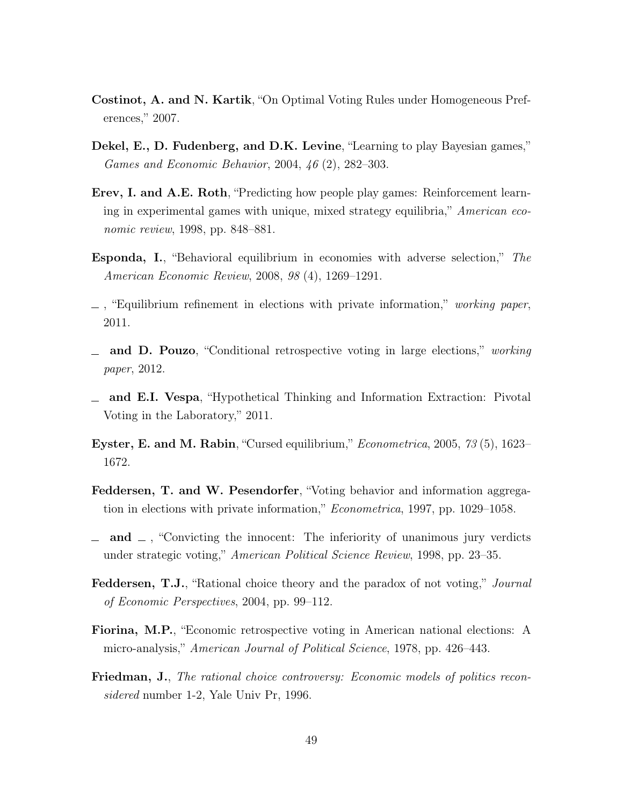- Costinot, A. and N. Kartik, "On Optimal Voting Rules under Homogeneous Preferences," 2007.
- Dekel, E., D. Fudenberg, and D.K. Levine, "Learning to play Bayesian games," Games and Economic Behavior, 2004, 46 (2), 282–303.
- Erev, I. and A.E. Roth, "Predicting how people play games: Reinforcement learning in experimental games with unique, mixed strategy equilibria," American economic review, 1998, pp. 848–881.
- Esponda, I., "Behavioral equilibrium in economies with adverse selection," The American Economic Review, 2008, 98 (4), 1269–1291.
- $\Box$ , "Equilibrium refinement in elections with private information," working paper, 2011.
- and D. Pouzo, "Conditional retrospective voting in large elections," working paper, 2012.
- and E.I. Vespa, "Hypothetical Thinking and Information Extraction: Pivotal Voting in the Laboratory," 2011.
- Eyster, E. and M. Rabin, "Cursed equilibrium," Econometrica, 2005, 73 (5), 1623– 1672.
- Feddersen, T. and W. Pesendorfer, "Voting behavior and information aggregation in elections with private information," Econometrica, 1997, pp. 1029–1058.
- $\Box$  and  $\Box$ , "Convicting the innocent: The inferiority of unanimous jury verdicts under strategic voting," American Political Science Review, 1998, pp. 23–35.
- **Feddersen, T.J.**, "Rational choice theory and the paradox of not voting," *Journal* of Economic Perspectives, 2004, pp. 99–112.
- Fiorina, M.P., "Economic retrospective voting in American national elections: A micro-analysis," American Journal of Political Science, 1978, pp. 426–443.
- Friedman, J., The rational choice controversy: Economic models of politics reconsidered number 1-2, Yale Univ Pr, 1996.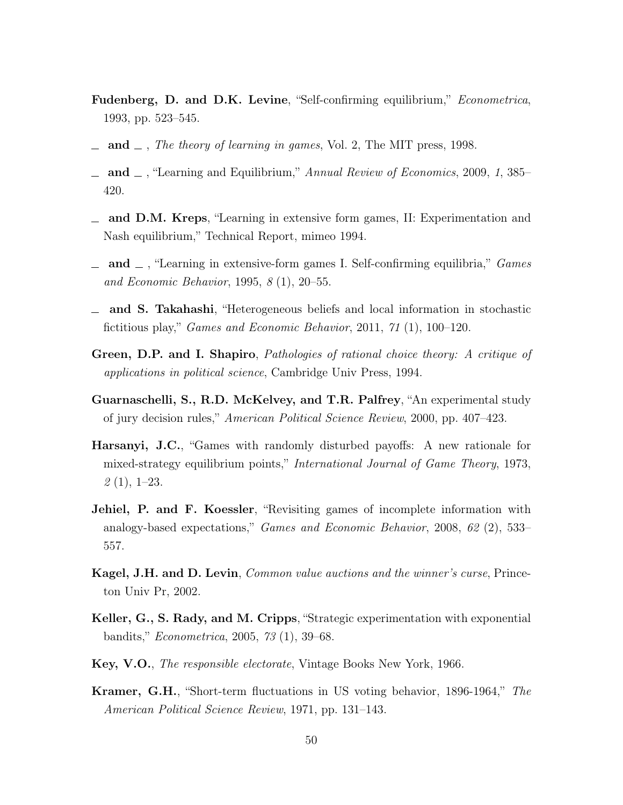- Fudenberg, D. and D.K. Levine, "Self-confirming equilibrium," Econometrica, 1993, pp. 523–545.
- $\Box$  and  $\Box$ , The theory of learning in games, Vol. 2, The MIT press, 1998.
- $\Delta$  and  $\Delta$ , "Learning and Equilibrium," Annual Review of Economics, 2009, 1, 385– 420.
- $\equiv$  and D.M. Kreps, "Learning in extensive form games, II: Experimentation and Nash equilibrium," Technical Report, mimeo 1994.
- $\Box$  and  $\Box$ , "Learning in extensive-form games I. Self-confirming equilibria," Games and Economic Behavior, 1995, 8 (1), 20–55.
- and S. Takahashi, "Heterogeneous beliefs and local information in stochastic fictitious play," Games and Economic Behavior, 2011, 71 (1), 100–120.
- Green, D.P. and I. Shapiro, Pathologies of rational choice theory: A critique of applications in political science, Cambridge Univ Press, 1994.
- Guarnaschelli, S., R.D. McKelvey, and T.R. Palfrey, "An experimental study of jury decision rules," American Political Science Review, 2000, pp. 407–423.
- Harsanyi, J.C., "Games with randomly disturbed payoffs: A new rationale for mixed-strategy equilibrium points," International Journal of Game Theory, 1973,  $2(1), 1-23.$
- Jehiel, P. and F. Koessler, "Revisiting games of incomplete information with analogy-based expectations," Games and Economic Behavior, 2008, 62 (2), 533– 557.
- Kagel, J.H. and D. Levin, *Common value auctions and the winner's curse*, Princeton Univ Pr, 2002.
- Keller, G., S. Rady, and M. Cripps, "Strategic experimentation with exponential bandits," Econometrica, 2005, 73 (1), 39–68.
- Key, V.O., The responsible electorate, Vintage Books New York, 1966.
- Kramer, G.H., "Short-term fluctuations in US voting behavior, 1896-1964," The American Political Science Review, 1971, pp. 131–143.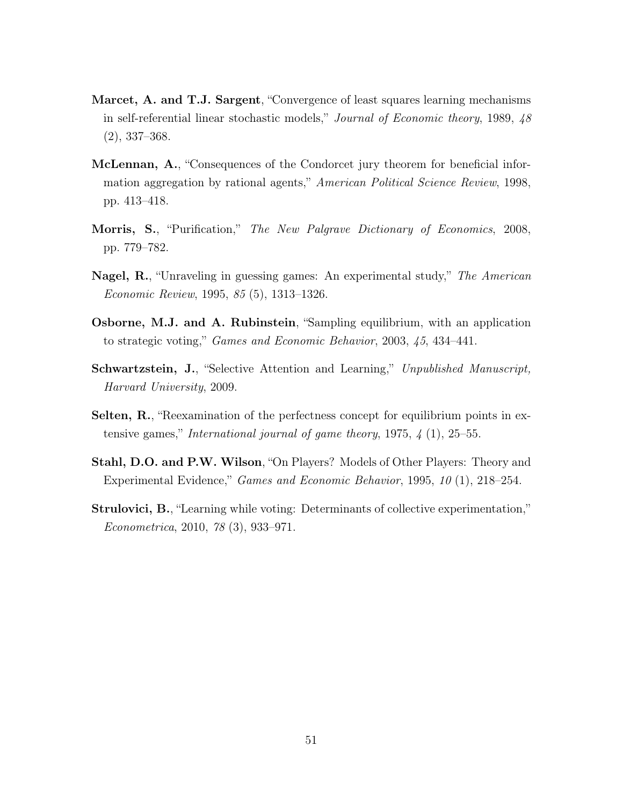- Marcet, A. and T.J. Sargent, "Convergence of least squares learning mechanisms in self-referential linear stochastic models," Journal of Economic theory, 1989, 48 (2), 337–368.
- McLennan, A., "Consequences of the Condorcet jury theorem for beneficial information aggregation by rational agents," American Political Science Review, 1998, pp. 413–418.
- Morris, S., "Purification," The New Palgrave Dictionary of Economics, 2008, pp. 779–782.
- Nagel, R., "Unraveling in guessing games: An experimental study," The American Economic Review, 1995, 85 (5), 1313–1326.
- Osborne, M.J. and A. Rubinstein, "Sampling equilibrium, with an application to strategic voting," Games and Economic Behavior, 2003, 45, 434–441.
- Schwartzstein, J., "Selective Attention and Learning," Unpublished Manuscript, Harvard University, 2009.
- Selten, R., "Reexamination of the perfectness concept for equilibrium points in extensive games," International journal of game theory,  $1975, \frac{1}{4}$  (1),  $25-55$ .
- Stahl, D.O. and P.W. Wilson, "On Players? Models of Other Players: Theory and Experimental Evidence," Games and Economic Behavior, 1995, 10 (1), 218–254.
- Strulovici, B., "Learning while voting: Determinants of collective experimentation," Econometrica, 2010, 78 (3), 933–971.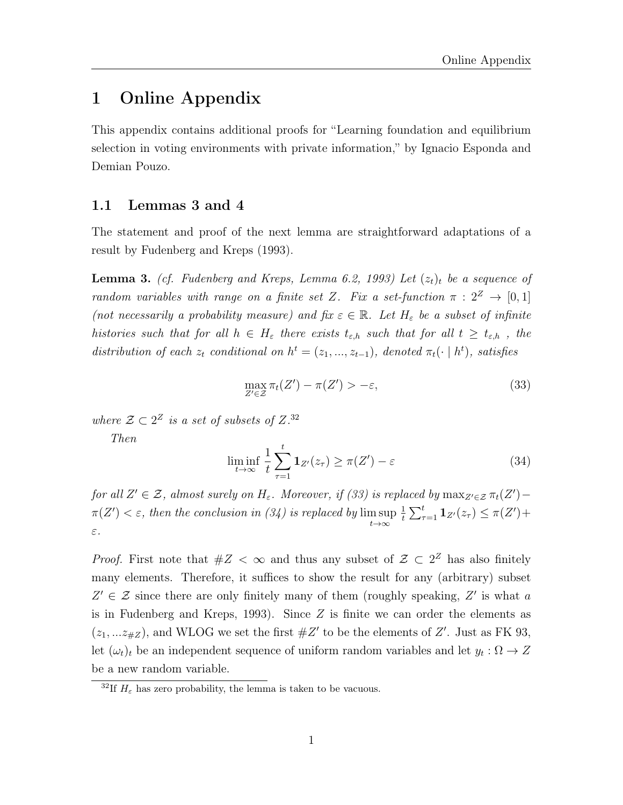### 1 Online Appendix

This appendix contains additional proofs for "Learning foundation and equilibrium selection in voting environments with private information," by Ignacio Esponda and Demian Pouzo.

### 1.1 Lemmas 3 and 4

The statement and proof of the next lemma are straightforward adaptations of a result by Fudenberg and Kreps (1993).

**Lemma 3.** (cf. Fudenberg and Kreps, Lemma 6.2, 1993) Let  $(z_t)_t$  be a sequence of random variables with range on a finite set Z. Fix a set-function  $\pi : 2^Z \rightarrow [0,1]$ (not necessarily a probability measure) and fix  $\varepsilon \in \mathbb{R}$ . Let  $H_{\varepsilon}$  be a subset of infinite histories such that for all  $h \in H_{\varepsilon}$  there exists  $t_{\varepsilon,h}$  such that for all  $t \geq t_{\varepsilon,h}$ , the distribution of each  $z_t$  conditional on  $h^t = (z_1, ..., z_{t-1})$ , denoted  $\pi_t(\cdot \mid h^t)$ , satisfies

$$
\max_{Z' \in \mathcal{Z}} \pi_t(Z') - \pi(Z') > -\varepsilon,\tag{33}
$$

where  $\mathcal{Z} \subset 2^Z$  is a set of subsets of  $Z^{32}$ 

Then

$$
\liminf_{t \to \infty} \frac{1}{t} \sum_{\tau=1}^{t} \mathbf{1}_{Z'}(z_{\tau}) \ge \pi(Z') - \varepsilon \tag{34}
$$

for all  $Z' \in \mathcal{Z}$ , almost surely on  $H_{\varepsilon}$ . Moreover, if (33) is replaced by  $\max_{Z' \in \mathcal{Z}} \pi_t(Z')$  $\pi(Z') < \varepsilon$ , then the conclusion in (34) is replaced by  $\limsup$  $t\rightarrow\infty$ 1  $\frac{1}{t} \sum_{\tau=1}^t \mathbf{1}_{Z'}(z_\tau) \leq \pi(Z') +$ ε.

*Proof.* First note that  $#Z < \infty$  and thus any subset of  $\mathcal{Z} \subset 2^Z$  has also finitely many elements. Therefore, it suffices to show the result for any (arbitrary) subset  $Z' \in \mathcal{Z}$  since there are only finitely many of them (roughly speaking,  $Z'$  is what a is in Fudenberg and Kreps, 1993). Since  $Z$  is finite we can order the elements as  $(z_1,...z_{\#Z})$ , and WLOG we set the first  $\#Z'$  to be the elements of  $Z'$ . Just as FK 93, let  $(\omega_t)_t$  be an independent sequence of uniform random variables and let  $y_t : \Omega \to Z$ be a new random variable.

<sup>&</sup>lt;sup>32</sup>If  $H<sub>\varepsilon</sub>$  has zero probability, the lemma is taken to be vacuous.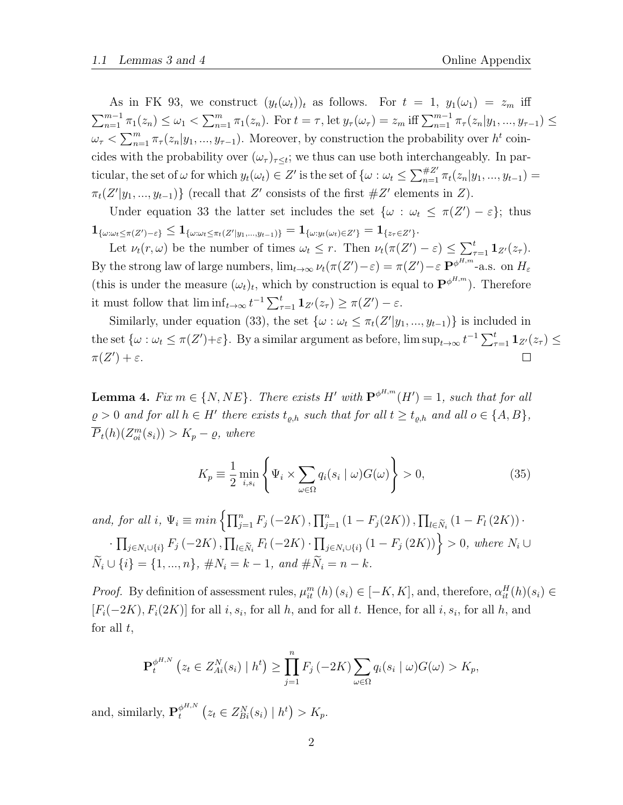As in FK 93, we construct  $(y_t(\omega_t))_t$  as follows. For  $t = 1$ ,  $y_1(\omega_1) = z_m$  iff  $\sum_{n=1}^{m-1} \pi_1(z_n) \leq \omega_1 < \sum_{n=1}^{m} \pi_1(z_n)$ . For  $t = \tau$ , let  $y_\tau(\omega_\tau) = z_m$  iff  $\sum_{n=1}^{m-1} \pi_\tau(z_n|y_1, ..., y_{\tau-1}) \leq$  $\omega_{\tau} < \sum_{n=1}^{m} \pi_{\tau}(z_n|y_1,...,y_{\tau-1})$ . Moreover, by construction the probability over  $h^t$  coincides with the probability over  $(\omega_{\tau})_{\tau \leq t}$ ; we thus can use both interchangeably. In particular, the set of  $\omega$  for which  $y_t(\omega_t) \in Z'$  is the set of  $\{\omega : \omega_t \leq \sum_{n=1}^{+\infty} \pi_t(z_n|y_1, ..., y_{t-1}) =$  $\pi_t(Z'|y_1, ..., y_{t-1})$  (recall that Z' consists of the first  $\#Z'$  elements in Z).

Under equation 33 the latter set includes the set  $\{\omega : \omega_t \leq \pi(Z') - \varepsilon\}$ ; thus  $1_{\{\omega:\omega_t\leq \pi(Z')-\varepsilon\}}\leq 1_{\{\omega:\omega_t\leq \pi_t(Z'|y_1,...,y_{t-1})\}}=1_{\{\omega:y_t(\omega_t)\in Z'\}}=1_{\{z_\tau\in Z'\}}.$ 

Let  $\nu_t(r,\omega)$  be the number of times  $\omega_t \leq r$ . Then  $\nu_t(\pi(Z') - \varepsilon) \leq \sum_{\tau=1}^t \mathbf{1}_{Z'}(z_\tau)$ . By the strong law of large numbers,  $\lim_{t\to\infty} \nu_t(\pi(Z')-\varepsilon) = \pi(Z')-\varepsilon \mathbf{P}^{\phi^{H,m}}$ -a.s. on  $H_{\varepsilon}$ (this is under the measure  $(\omega_t)_t$ , which by construction is equal to  $\mathbf{P}^{\phi^{H,m}}$ ). Therefore it must follow that  $\liminf_{t\to\infty} t^{-1}\sum_{\tau=1}^t \mathbf{1}_{Z'}(z_\tau) \geq \pi(Z') - \varepsilon$ .

Similarly, under equation (33), the set  $\{\omega : \omega_t \leq \pi_t(Z'|y_1, \ldots, y_{t-1})\}$  is included in the set  $\{\omega : \omega_t \leq \pi(Z') + \varepsilon\}$ . By a similar argument as before,  $\limsup_{t \to \infty} t^{-1} \sum_{\tau=1}^t \mathbf{1}_{Z'}(z_\tau) \leq$  $\pi(Z') + \varepsilon$ .

**Lemma 4.** Fix  $m \in \{N, NE\}$ . There exists H' with  $\mathbf{P}^{\phi^{H,m}}(H') = 1$ , such that for all  $\rho > 0$  and for all  $h \in H'$  there exists  $t_{\varrho,h}$  such that for all  $t \geq t_{\varrho,h}$  and all  $o \in \{A, B\},$  $\overline{P}_t(h)(Z_{oi}^m(s_i)) > K_p - \varrho,$  where

$$
K_p \equiv \frac{1}{2} \min_{i,s_i} \left\{ \Psi_i \times \sum_{\omega \in \Omega} q_i(s_i \mid \omega) G(\omega) \right\} > 0,
$$
 (35)

and, for all i,  $\Psi_i \equiv min \left\{ \prod_{j=1}^n F_j (-2K) , \prod_{j=1}^n (1 - F_j (2K)) , \prod_{l \in \tilde{N}_i} (1 - F_l (2K)) \right\}$  $\cdot \prod_{j \in N_i \cup \{i\}} F_j(-2K)$ ,  $\prod_{l \in \tilde{N}_i} F_l(-2K) \cdot \prod_{j \in N_i \cup \{i\}} (1 - F_j(2K))$  > 0, where  $N_i$  ∪  $\widetilde{N}_i \cup \{i\} = \{1, ..., n\}, \#N_i = k - 1, \text{ and } \# \widetilde{N}_i = n - k.$ 

*Proof.* By definition of assessment rules,  $\mu_{it}^{m}(h)(s_i) \in [-K, K]$ , and, therefore,  $\alpha_{it}^{H}(h)(s_i) \in$  $[F_i(-2K), F_i(2K)]$  for all i,  $s_i$ , for all h, and for all t. Hence, for all i,  $s_i$ , for all h, and for all  $t$ ,

$$
\mathbf{P}_{t}^{\phi^{H,N}}\left(z_{t}\in Z_{Ai}^{N}(s_{i})\mid h^{t}\right)\geq \prod_{j=1}^{n}F_{j}\left(-2K\right)\sum_{\omega\in\Omega}q_{i}(s_{i}\mid\omega)G(\omega)>K_{p},
$$

and, similarly,  ${\bf P}_t^{\phi^{H,N}}$  $t_t^{\phi^{H,N}}$   $(z_t \in Z_{Bi}^N(s_i) | h^t) > K_p$ .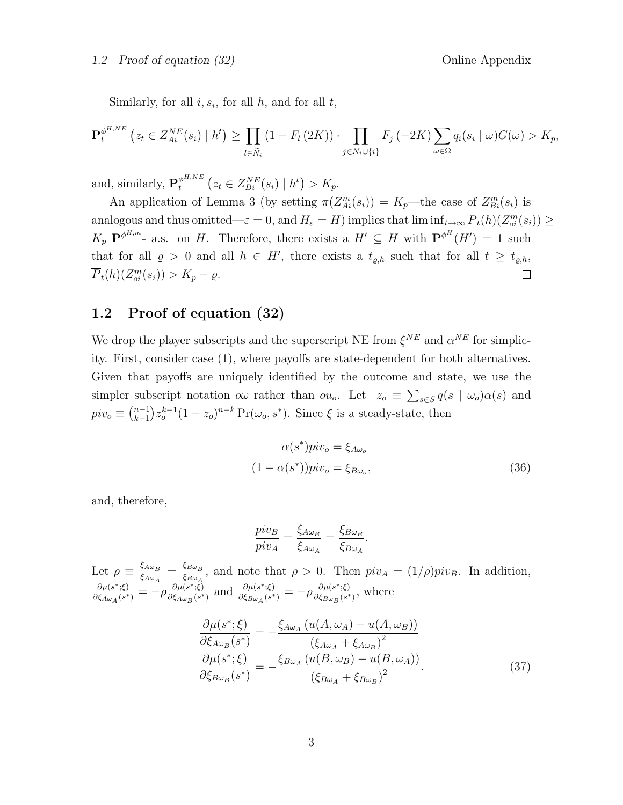Similarly, for all  $i, s_i$ , for all  $h$ , and for all  $t$ ,

$$
\mathbf{P}_{t}^{\phi^{H,NE}}\left(z_{t} \in Z_{Ai}^{NE}(s_{i}) \mid h^{t}\right) \geq \prod_{l \in \widetilde{N}_{i}}\left(1 - F_{l}\left(2K\right)\right) \cdot \prod_{j \in N_{i} \cup \{i\}} F_{j}\left(-2K\right) \sum_{\omega \in \Omega} q_{i}(s_{i} \mid \omega) G(\omega) > K_{p},
$$

and, similarly,  $\mathbf{P}_{t}^{\phi^{H,NE}}$  $t^{p^{H,NE}}$   $(z_t \in Z_{Bi}^{NE}(s_i) | h^t) > K_p.$ 

An application of Lemma 3 (by setting  $\pi(Z_{Ai}^m(s_i)) = K_p$ —the case of  $Z_{Bi}^m(s_i)$  is analogous and thus omitted— $\varepsilon = 0$ , and  $H_{\varepsilon} = H$ ) implies that  $\liminf_{t \to \infty} \overline{P}_t(h)(Z_{oi}^m(s_i)) \ge$  $K_p$   $\mathbf{P}^{\phi^{H,m}}$ - a.s. on H. Therefore, there exists a  $H' \subseteq H$  with  $\mathbf{P}^{\phi^H}(H') = 1$  such that for all  $\varrho > 0$  and all  $h \in H'$ , there exists a  $t_{\varrho,h}$  such that for all  $t \geq t_{\varrho,h}$ ,  $\overline{P}_t(h)(Z_{oi}^m(s_i)) > K_p - \varrho.$  $\Box$ 

### 1.2 Proof of equation (32)

We drop the player subscripts and the superscript NE from  $\xi^{NE}$  and  $\alpha^{NE}$  for simplicity. First, consider case (1), where payoffs are state-dependent for both alternatives. Given that payoffs are uniquely identified by the outcome and state, we use the simpler subscript notation  $\omega \omega$  rather than  $\omega \omega_o$ . Let  $z_o \equiv \sum_{s \in S} q(s \mid \omega_o) \alpha(s)$  and  $piv_o \equiv \binom{n-1}{k-1}$  $_{k-1}^{n-1} z_{o}^{k-1} (1 - z_{o})^{n-k} \Pr(\omega_o, s^*)$ . Since  $\xi$  is a steady-state, then

$$
\alpha(s^*)\text{piv}_o = \xi_{A\omega_o}
$$
  

$$
(1 - \alpha(s^*))\text{piv}_o = \xi_{B\omega_o},
$$
 (36)

and, therefore,

$$
\frac{piv_B}{piv_A} = \frac{\xi_{A\omega_B}}{\xi_{A\omega_A}} = \frac{\xi_{B\omega_B}}{\xi_{B\omega_A}}.
$$

Let  $\rho \equiv \frac{\xi_{A\omega_B}}{\xi_A}$  $\frac{\xi_{A\omega_B}}{\xi_{A\omega_A}}=\frac{\xi_{B\omega_B}}{\xi_{B\omega_A}}$  $\frac{\mathcal{L}_{B\omega_B}}{\mathcal{L}_{B\omega_A}}$ , and note that  $\rho > 0$ . Then  $piv_A = (1/\rho)piv_B$ . In addition,  $\partial \mu(s^*;\xi)$  $\frac{\partial \mu(s^*;\xi)}{\partial \xi_{A\omega_A}(s^*)} = -\rho \frac{\partial \mu(s^*;\xi)}{\partial \xi_{A\omega_B}(s^*)}$  $\frac{\partial \mu(s^*;\xi)}{\partial \xi_{A\omega_B}(s^*)}$  and  $\frac{\partial \mu(s^*;\xi)}{\partial \xi_{B\omega_A}(s^*)}$  $\frac{\partial \mu(s^*; \xi)}{\partial \xi_{B\omega_A}(s^*)} = -\rho \frac{\partial \mu(s^*; \xi)}{\partial \xi_{B\omega_B}(s^*)}$  $\frac{\partial \mu(s^{\cdot};\xi)}{\partial \xi_{B\omega_B}(s^*)}$ , where

$$
\frac{\partial \mu(s^*; \xi)}{\partial \xi_{A\omega_B}(s^*)} = -\frac{\xi_{A\omega_A} (u(A, \omega_A) - u(A, \omega_B))}{(\xi_{A\omega_A} + \xi_{A\omega_B})^2}
$$

$$
\frac{\partial \mu(s^*; \xi)}{\partial \xi_{B\omega_B}(s^*)} = -\frac{\xi_{B\omega_A} (u(B, \omega_B) - u(B, \omega_A))}{(\xi_{B\omega_A} + \xi_{B\omega_B})^2}.
$$
(37)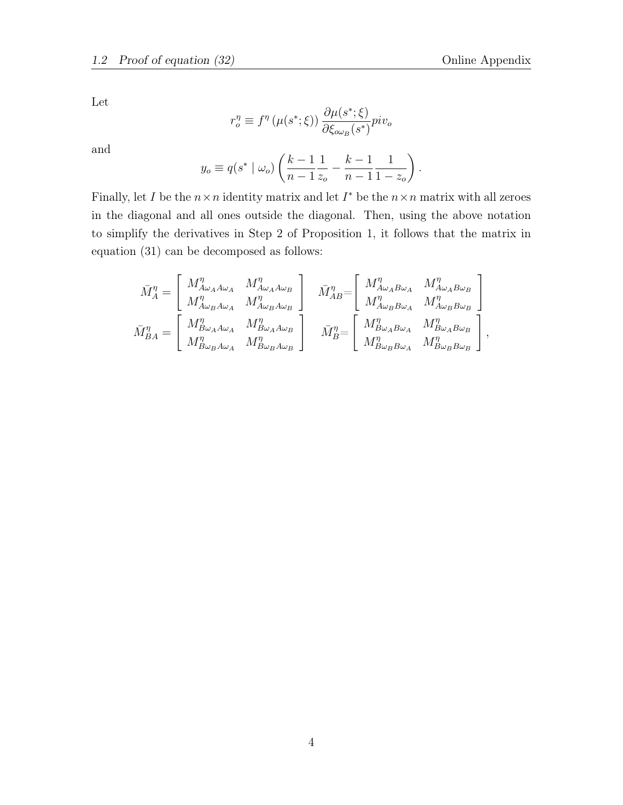Let

$$
r_o^\eta \equiv f^\eta \left( \mu(s^*; \xi) \right) \frac{\partial \mu(s^*; \xi)}{\partial \xi_{o \omega_B}(s^*)} piv_o
$$

and

$$
y_o \equiv q(s^* \mid \omega_o) \left( \frac{k-1}{n-1} \frac{1}{z_o} - \frac{k-1}{n-1} \frac{1}{1-z_o} \right).
$$

Finally, let I be the  $n \times n$  identity matrix and let  $I^*$  be the  $n \times n$  matrix with all zeroes in the diagonal and all ones outside the diagonal. Then, using the above notation to simplify the derivatives in Step 2 of Proposition 1, it follows that the matrix in equation (31) can be decomposed as follows:

$$
\bar{M}^{\eta}_A = \left[ \begin{array}{ccc} M^{\eta}_{A\omega_A A\omega_A} & M^{\eta}_{A\omega_A A\omega_B} \\[1mm] M^{\eta}_{A\omega_B A\omega_A} & M^{\eta}_{A\omega_B A\omega_B} \end{array} \right] \quad \bar{M}^{\eta}_{AB} = \left[ \begin{array}{ccc} M^{\eta}_{A\omega_A B\omega_A} & M^{\eta}_{A\omega_B B\omega_B} \\[1mm] M^{\eta}_{A\omega_B B\omega_A} & M^{\eta}_{A\omega_B B\omega_B} \end{array} \right] \\[1mm] \bar{M}^{\eta}_{BA} = \left[ \begin{array}{ccc} M^{\eta}_{B\omega_A A\omega_A} & M^{\eta}_{B\omega_A A\omega_B} \\[1mm] M^{\eta}_{B\omega_B A\omega_A} & M^{\eta}_{B\omega_B A\omega_B} \end{array} \right] \quad \bar{M}^{\eta}_B = \left[ \begin{array}{ccc} M^{\eta}_{A\omega_A B\omega_A} & M^{\eta}_{A\omega_B B\omega_B} \\[1mm] M^{\eta}_{B\omega_B B\omega_A} & M^{\eta}_{B\omega_B B\omega_B} \end{array} \right],
$$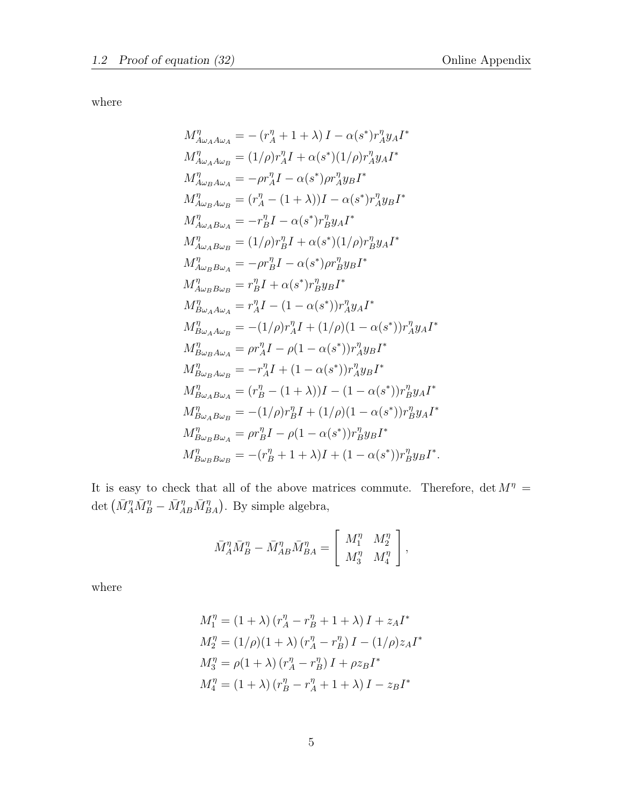where

$$
M_{A\omega_{A}A\omega_{A}}^{\eta} = -(r_{A}^{\eta} + 1 + \lambda) I - \alpha(s^{*})r_{A}^{\eta}y_{A}I^{*}
$$
  
\n
$$
M_{A\omega_{A}A\omega_{B}}^{\eta} = (1/\rho)r_{A}^{\eta}I + \alpha(s^{*})(1/\rho)r_{A}^{\eta}y_{A}I^{*}
$$
  
\n
$$
M_{A\omega_{B}A\omega_{A}}^{\eta} = -\rho r_{A}^{\eta}I - \alpha(s^{*})\rho r_{A}^{\eta}y_{B}I^{*}
$$
  
\n
$$
M_{A\omega_{B}A\omega_{B}}^{\eta} = (r_{A}^{\eta} - (1 + \lambda))I - \alpha(s^{*})r_{A}^{\eta}y_{B}I^{*}
$$
  
\n
$$
M_{A\omega_{A}B\omega_{A}}^{\eta} = -r_{B}^{\eta}I - \alpha(s^{*})r_{B}^{\eta}y_{A}I^{*}
$$
  
\n
$$
M_{A\omega_{A}B\omega_{B}}^{\eta} = (1/\rho)r_{B}^{\eta}I + \alpha(s^{*})(1/\rho)r_{B}^{\eta}y_{A}I^{*}
$$
  
\n
$$
M_{A\omega_{B}B\omega_{A}}^{\eta} = -\rho r_{B}^{\eta}I - \alpha(s^{*})\rho r_{B}^{\eta}y_{B}I^{*}
$$
  
\n
$$
M_{A\omega_{B}B\omega_{B}}^{\eta} = r_{B}^{\eta}I + \alpha(s^{*})r_{B}^{\eta}y_{B}I^{*}
$$
  
\n
$$
M_{B\omega_{A}A\omega_{B}}^{\eta} = -(1/\rho)r_{A}^{\eta}I + (1/\rho)(1 - \alpha(s^{*}))r_{A}^{\eta}y_{A}I^{*}
$$
  
\n
$$
M_{B\omega_{B}A\omega_{A}}^{\eta} = \rho r_{A}^{\eta}I - \rho(1 - \alpha(s^{*}))r_{A}^{\eta}y_{B}I^{*}
$$
  
\n
$$
M_{B\omega_{B}A\omega_{B}}^{\eta} = -r_{A}^{\eta}I + (1 - \alpha(s^{*}))r_{A}^{\eta}y_{B}I^{*}
$$
  
\n
$$
M_{B\omega_{A}B\omega_{B}}
$$

It is easy to check that all of the above matrices commute. Therefore,  $\det M^{\eta} =$ det  $(\bar{M}_A^{\eta} \bar{M}_B^{\eta} - \bar{M}_{AB}^{\eta} \bar{M}_{BA}^{\eta})$ . By simple algebra,

$$
\bar{M}_A^\eta \bar{M}_B^\eta - \bar{M}_{AB}^\eta \bar{M}_{BA}^\eta = \left[ \begin{array}{cc} M_1^\eta & M_2^\eta \\ M_3^\eta & M_4^\eta \end{array} \right],
$$

where

$$
M_1^{\eta} = (1 + \lambda) (r_A^{\eta} - r_B^{\eta} + 1 + \lambda) I + z_A I^*
$$
  
\n
$$
M_2^{\eta} = (1/\rho)(1 + \lambda) (r_A^{\eta} - r_B^{\eta}) I - (1/\rho) z_A I^*
$$
  
\n
$$
M_3^{\eta} = \rho(1 + \lambda) (r_A^{\eta} - r_B^{\eta}) I + \rho z_B I^*
$$
  
\n
$$
M_4^{\eta} = (1 + \lambda) (r_B^{\eta} - r_A^{\eta} + 1 + \lambda) I - z_B I^*
$$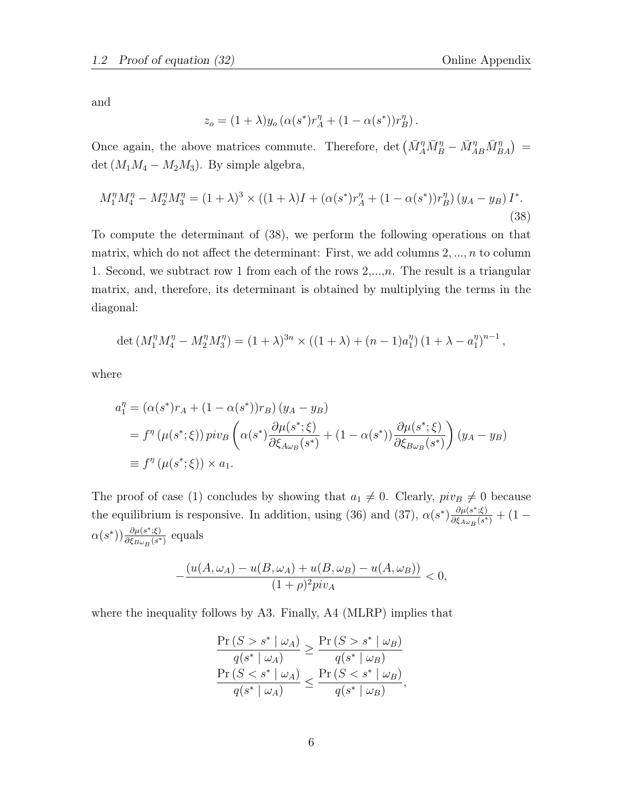and

$$
z_o = (1+\lambda) y_o \left( \alpha(s^*) r_A^\eta + (1-\alpha(s^*)) r_B^\eta \right).
$$

Once again, the above matrices commute. Therefore, det  $(\bar{M}_A^{\eta} \bar{M}_B^{\eta} - \bar{M}_{AB}^{\eta} \bar{M}_{BA}^{\eta}) =$ det  $(M_1M_4 - M_2M_3)$ . By simple algebra,

$$
M_1^{\eta} M_4^{\eta} - M_2^{\eta} M_3^{\eta} = (1 + \lambda)^3 \times ((1 + \lambda)I + (\alpha(s^*)r_A^{\eta} + (1 - \alpha(s^*))r_B^{\eta})(y_A - y_B)I^*.
$$
\n(38)

To compute the determinant of (38), we perform the following operations on that matrix, which do not affect the determinant: First, we add columns  $2, ..., n$  to column 1. Second, we subtract row 1 from each of the rows  $2,\ldots,n$ . The result is a triangular matrix, and, therefore, its determinant is obtained by multiplying the terms in the diagonal:

$$
\det \left( M_1^{\eta} M_4^{\eta} - M_2^{\eta} M_3^{\eta} \right) = (1 + \lambda)^{3n} \times \left( (1 + \lambda) + (n - 1)a_1^{\eta} \right) \left( 1 + \lambda - a_1^{\eta} \right)^{n-1},
$$

where

$$
a_1^{\eta} = (\alpha(s^*)r_A + (1 - \alpha(s^*))r_B)(y_A - y_B)
$$
  
=  $f^{\eta}(\mu(s^*; \xi)) \pi v_B \left( \alpha(s^*) \frac{\partial \mu(s^*; \xi)}{\partial \xi_{A\omega_B}(s^*)} + (1 - \alpha(s^*)) \frac{\partial \mu(s^*; \xi)}{\partial \xi_{B\omega_B}(s^*)} \right) (y_A - y_B)$   

$$
\equiv f^{\eta}(\mu(s^*; \xi)) \times a_1.
$$

The proof of case (1) concludes by showing that  $a_1 \neq 0$ . Clearly,  $piv_B \neq 0$  because the equilibrium is responsive. In addition, using (36) and (37),  $\alpha(s^*)\frac{\partial \mu(s^*,\xi)}{\partial \xi}$  $\frac{\partial \mu(s^{\ast};\xi)}{\partial \xi_{A\omega_B}(s^{\ast})}+(1-\$  $\alpha(s^*)$ )  $\frac{\partial \mu(s^*;\xi)}{\partial \xi_{\rm B} - (s^*)}$  $\frac{\partial \mu(s^{\cdot};\xi)}{\partial \xi_{B\omega_B}(s^*)}$  equals

$$
-\frac{(u(A, \omega_A) - u(B, \omega_A) + u(B, \omega_B) - u(A, \omega_B))}{(1 + \rho)^2 p i v_A} < 0,
$$

where the inequality follows by A3. Finally, A4 (MLRP) implies that

$$
\frac{\Pr(S > s^* | \omega_A)}{q(s^* | \omega_A)} \ge \frac{\Pr(S > s^* | \omega_B)}{q(s^* | \omega_B)}
$$
  

$$
\frac{\Pr(S < s^* | \omega_A)}{q(s^* | \omega_A)} \le \frac{\Pr(S < s^* | \omega_B)}{q(s^* | \omega_B)},
$$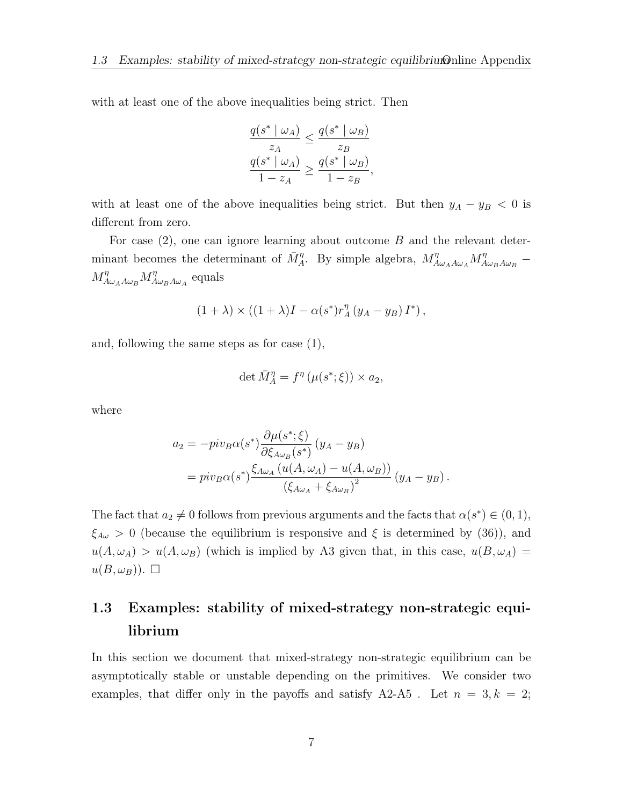with at least one of the above inequalities being strict. Then

$$
\frac{q(s^* \mid \omega_A)}{z_A} \le \frac{q(s^* \mid \omega_B)}{z_B}
$$

$$
\frac{q(s^* \mid \omega_A)}{1 - z_A} \ge \frac{q(s^* \mid \omega_B)}{1 - z_B},
$$

with at least one of the above inequalities being strict. But then  $y_A - y_B < 0$  is different from zero.

For case  $(2)$ , one can ignore learning about outcome B and the relevant determinant becomes the determinant of  $\bar{M}_A^{\eta}$ . By simple algebra,  $M_{A\omega_A A\omega_A}^{\eta} M_{A\omega_B A\omega_B}^{\eta}$  $M^\eta_{A\omega_A A\omega_B} M^\eta_A$  $\frac{\eta}{A\omega_B A\omega_A}$  equals

$$
(1 + \lambda) \times ((1 + \lambda)I - \alpha(s^*)r_A^{\eta}(y_A - y_B)I^*)
$$

and, following the same steps as for case (1),

$$
\det \bar{M}^{\eta}_A = f^{\eta}(\mu(s^*; \xi)) \times a_2,
$$

where

$$
a_2 = -piv_B\alpha(s^*) \frac{\partial \mu(s^*; \xi)}{\partial \xi_{A\omega_B}(s^*)} (y_A - y_B)
$$
  
=  $piv_B\alpha(s^*) \frac{\xi_{A\omega_A} (u(A, \omega_A) - u(A, \omega_B))}{(\xi_{A\omega_A} + \xi_{A\omega_B})^2} (y_A - y_B).$ 

The fact that  $a_2 \neq 0$  follows from previous arguments and the facts that  $\alpha(s^*) \in (0,1)$ ,  $\xi_{A\omega} > 0$  (because the equilibrium is responsive and  $\xi$  is determined by (36)), and  $u(A, \omega_A) > u(A, \omega_B)$  (which is implied by A3 given that, in this case,  $u(B, \omega_A) =$  $u(B,\omega_B)$ ).  $\Box$ 

# 1.3 Examples: stability of mixed-strategy non-strategic equilibrium

In this section we document that mixed-strategy non-strategic equilibrium can be asymptotically stable or unstable depending on the primitives. We consider two examples, that differ only in the payoffs and satisfy A2-A5. Let  $n = 3, k = 2$ ;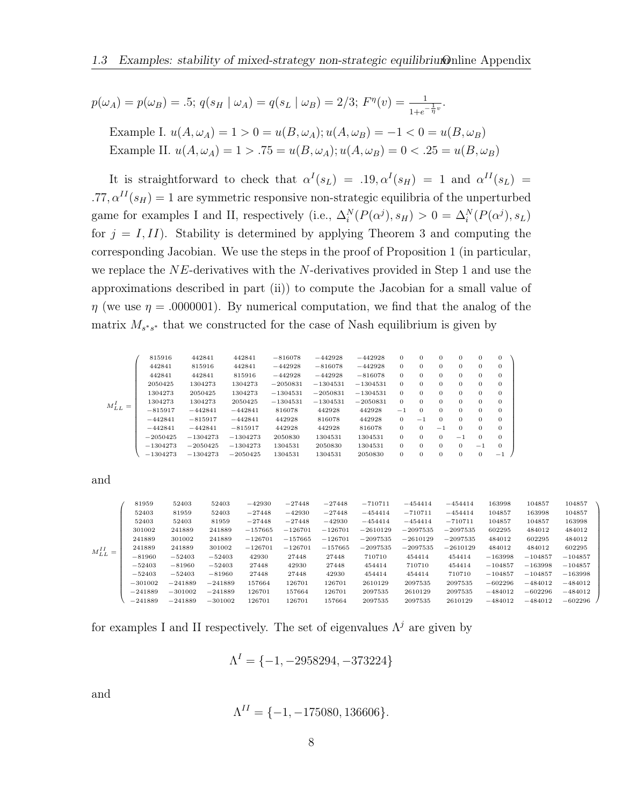$$
p(\omega_A) = p(\omega_B) = .5; q(s_H | \omega_A) = q(s_L | \omega_B) = 2/3; F^{\eta}(v) = \frac{1}{1 + e^{-\frac{1}{\eta}v}}.
$$

Example I.  $u(A, \omega_A) = 1 > 0 = u(B, \omega_A); u(A, \omega_B) = -1 < 0 = u(B, \omega_B)$ Example II.  $u(A, \omega_A) = 1 > .75 = u(B, \omega_A); u(A, \omega_B) = 0 < .25 = u(B, \omega_B)$ 

It is straightforward to check that  $\alpha^I(s_L) = .19, \alpha^I(s_H) = 1$  and  $\alpha^{II}(s_L) =$ .77,  $\alpha^{II}(s_H) = 1$  are symmetric responsive non-strategic equilibria of the unperturbed game for examples I and II, respectively (i.e.,  $\Delta_i^N(P(\alpha^j), s_H) > 0 = \Delta_i^N(P(\alpha^j), s_L)$ for  $j = I, II$ ). Stability is determined by applying Theorem 3 and computing the corresponding Jacobian. We use the steps in the proof of Proposition 1 (in particular, we replace the  $NE$ -derivatives with the  $N$ -derivatives provided in Step 1 and use the approximations described in part (ii)) to compute the Jacobian for a small value of  $\eta$  (we use  $\eta = 0.0000001$ ). By numerical computation, we find that the analog of the matrix  $M_{s^*s^*}$  that we constructed for the case of Nash equilibrium is given by

$$
M^I_{LL}=\left(\begin{array}{cccccccc} 815916 & 442841 & 442841 & -816078 & -442928 & -442928 & 0 & 0 & 0 & 0 & 0 \\ 442841 & 815916 & 442841 & -442928 & -816078 & -442928 & 0 & 0 & 0 & 0 & 0 \\ 442841 & 442841 & 815916 & -442928 & -442928 & -816078 & 0 & 0 & 0 & 0 & 0 \\ 2050425 & 1304273 & 1304273 & -2050831 & -1304531 & -1304531 & 0 & 0 & 0 & 0 & 0 \\ 1304273 & 2050425 & 1304273 & -1304531 & -2050831 & -1304531 & 0 & 0 & 0 & 0 & 0 \\ -815917 & -442841 & -442841 & 816078 & 442928 & 442928 & -1 & 0 & 0 & 0 & 0 \\ -442841 & -815917 & -442841 & 442948 & 442928 & 442928 & 0 & -1 & 0 & 0 & 0 \\ -442841 & -442841 & -815917 & 442841 & 816078 & 442928 & 816078 & 0 & 0 & -1 & 0 & 0 \\ -1304273 & -1304273 & -1304273 & 2050830 & 1304531 & 1304531 & 0 & 0 & 0 & -1 & 0 & 0 \\ -1304273 & -2050425 & -1304273 & 2050830 & 1304531 & 1304531 & 0 & 0 & 0 & -1 & 0 \\ -1304273 & -1304273 & -1304273 & 1304531 & 2050830 & 1304531 & 0 & 0 & 0 & 0 & -1 & 0 \\ -13042
$$

and

|                 | 81959     | 52403     | 52403     | $-42930$  | $-27448$  | $-27448$  | $-710711$  | $-454414$  | $-454414$  | 163998    | 104857    | 104857    |
|-----------------|-----------|-----------|-----------|-----------|-----------|-----------|------------|------------|------------|-----------|-----------|-----------|
| $M^{II}_{LL} =$ | 52403     | 81959     | 52403     | $-27448$  | $-42930$  | $-27448$  | $-454414$  | $-710711$  | $-454414$  | 104857    | 163998    | 104857    |
|                 | 52403     | 52403     | 81959     | $-27448$  | $-27448$  | $-42930$  | $-454414$  | $-454414$  | $-710711$  | 104857    | 104857    | 163998    |
|                 | 301002    | 241889    | 241889    | $-157665$ | $-126701$ | $-126701$ | $-2610129$ | $-2097535$ | $-2097535$ | 602295    | 484012    | 484012    |
|                 | 241889    | 301002    | 241889    | $-126701$ | $-157665$ | $-126701$ | $-2097535$ | $-2610129$ | $-2097535$ | 484012    | 602295    | 484012    |
|                 | 241889    | 241889    | 301002    | $-126701$ | $-126701$ | $-157665$ | $-2097535$ | $-2097535$ | $-2610129$ | 484012    | 484012    | 602295    |
|                 | $-81960$  | $-52403$  | $-52403$  | 42930     | 27448     | 27448     | 710710     | 454414     | 454414     | $-163998$ | $-104857$ | $-104857$ |
|                 | $-52403$  | $-81960$  | $-52403$  | 27448     | 42930     | 27448     | 454414     | 710710     | 454414     | $-104857$ | $-163998$ | $-104857$ |
|                 | $-52403$  | $-52403$  | $-81960$  | 27448     | 27448     | 42930     | 454414     | 454414     | 710710     | $-104857$ | $-104857$ | $-163998$ |
|                 | $-301002$ | $-241889$ | $-241889$ | 157664    | 126701    | 126701    | 2610129    | 2097535    | 2097535    | $-602296$ | $-484012$ | $-484012$ |
|                 | $-241889$ | $-301002$ | $-241889$ | 126701    | 157664    | 126701    | 2097535    | 2610129    | 2097535    | $-484012$ | $-602296$ | $-484012$ |
|                 | $-241889$ | $-241889$ | $-301002$ | 126701    | 126701    | 157664    | 2097535    | 2097535    | 2610129    | $-484012$ | $-484012$ | $-602296$ |

V.

for examples I and II respectively. The set of eigenvalues  $\Lambda^{j}$  are given by

$$
\Lambda^I = \{-1, -2958294, -373224\}
$$

and

$$
\Lambda^{II} = \{-1, -175080, 136606\}.
$$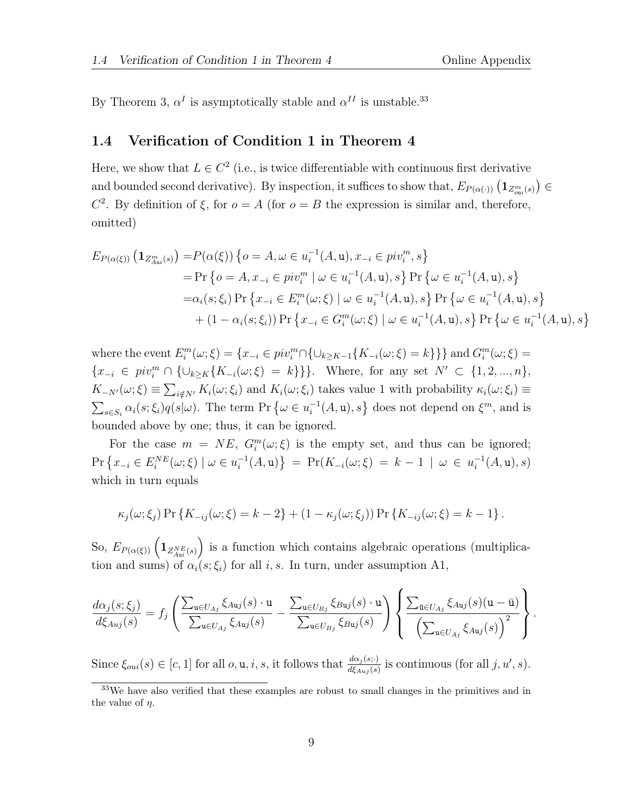By Theorem 3,  $\alpha^I$  is asymptotically stable and  $\alpha^{II}$  is unstable.<sup>33</sup>

### 1.4 Verification of Condition 1 in Theorem 4

Here, we show that  $L \in C^2$  (i.e., is twice differentiable with continuous first derivative and bounded second derivative). By inspection, it suffices to show that,  $E_{P(\alpha(\cdot))} (\mathbf{1}_{Z_{out}^m(s)}) \in$  $C<sup>2</sup>$ . By definition of  $\xi$ , for  $o = A$  (for  $o = B$  the expression is similar and, therefore, omitted)

$$
E_{P(\alpha(\xi))} \left( \mathbf{1}_{Z_{\text{Aut}}^m(s)} \right) = P(\alpha(\xi)) \left\{ o = A, \omega \in u_i^{-1}(A, \mathbf{u}), x_{-i} \in piv_i^m, s \right\}
$$
  
\n
$$
= \Pr \left\{ o = A, x_{-i} \in piv_i^m \mid \omega \in u_i^{-1}(A, \mathbf{u}), s \right\} \Pr \left\{ \omega \in u_i^{-1}(A, \mathbf{u}), s \right\}
$$
  
\n
$$
= \alpha_i(s; \xi_i) \Pr \left\{ x_{-i} \in E_i^m(\omega; \xi) \mid \omega \in u_i^{-1}(A, \mathbf{u}), s \right\} \Pr \left\{ \omega \in u_i^{-1}(A, \mathbf{u}), s \right\}
$$
  
\n
$$
+ (1 - \alpha_i(s; \xi_i)) \Pr \left\{ x_{-i} \in G_i^m(\omega; \xi) \mid \omega \in u_i^{-1}(A, \mathbf{u}), s \right\} \Pr \left\{ \omega \in u_i^{-1}(A, \mathbf{u}), s \right\}
$$

where the event  $E_i^m(\omega;\xi) = \{x_{-i} \in piv_i^m \cap \{\cup_{k \geq K-1}\{K_{-i}(\omega;\xi) = k\}\}\}\$  and  $G_i^m(\omega;\xi) =$  ${x_{-i} \in \text{piv}_i^m \cap {\{\cup_{k\geq K}\{K_{-i}(\omega;\xi) = k\}\}}.$  Where, for any set  $N' \subset {1, 2, ..., n}$ ,  $K_{-N'}(\omega;\xi) \equiv \sum_{i \notin N'} K_i(\omega;\xi_i)$  and  $K_i(\omega;\xi_i)$  takes value 1 with probability  $\kappa_i(\omega;\xi_i) \equiv$  $\sum_{s \in S_i} \alpha_i(s; \xi_i) q(s|\omega)$ . The term Pr  $\{\omega \in u_i^{-1}\}$  $\{\mathcal{I}_i^{-1}(A, \mathbf{u}), s\}$  does not depend on  $\xi^m$ , and is bounded above by one; thus, it can be ignored.

For the case  $m = NE$ ,  $G_i^m(\omega; \xi)$  is the empty set, and thus can be ignored;  $\Pr\left\{x_{-i} \in E_i^{NE}(\omega; \xi) \mid \omega \in u_i^{-1}\right\}$  $\{f_i^{-1}(A, \mathbf{u})\} = \Pr(K_{-i}(\omega; \xi)) = k - 1 \mid \omega \in u_i^{-1}$  $_i^{-1}(A, \mathbf{u}), s)$ which in turn equals

$$
\kappa_j(\omega;\xi_j) \Pr\{K_{-ij}(\omega;\xi) = k - 2\} + (1 - \kappa_j(\omega;\xi_j)) \Pr\{K_{-ij}(\omega;\xi) = k - 1\}.
$$

So,  $E_{P(\alpha(\xi))}\left(\mathbf{1}_{Z_{\text{Au}}^{NE}(s)}\right)$  is a function which contains algebraic operations (multiplication and sums) of  $\alpha_i(s;\xi_i)$  for all i, s. In turn, under assumption A1,

$$
\frac{d\alpha_j(s;\xi_j)}{d\xi_{Auj}(s)} = f_j \left( \frac{\sum_{\mathbf{u} \in U_{Aj}} \xi_{A\mathbf{u}j}(s) \cdot \mathbf{u}}{\sum_{\mathbf{u} \in U_{Aj}} \xi_{A\mathbf{u}j}(s)} - \frac{\sum_{\mathbf{u} \in U_{Bj}} \xi_{B\mathbf{u}j}(s) \cdot \mathbf{u}}{\sum_{\mathbf{u} \in U_{Bj}} \xi_{B\mathbf{u}j}(s)} \right) \left\{ \frac{\sum_{\mathbf{\bar{u}} \in U_{Aj}} \xi_{A\mathbf{u}j}(s) (\mathbf{u} - \bar{\mathbf{u}})}{\left(\sum_{\mathbf{u} \in U_{Aj}} \xi_{A\mathbf{u}j}(s)\right)^2} \right\}.
$$

Since  $\xi_{oni}(s) \in [c, 1]$  for all  $o, u, i, s$ , it follows that  $\frac{d\alpha_j(s; \cdot)}{d\xi_{Auj}(s)}$  is continuous (for all  $j, u', s$ ).

<sup>33</sup>We have also verified that these examples are robust to small changes in the primitives and in the value of  $n$ .